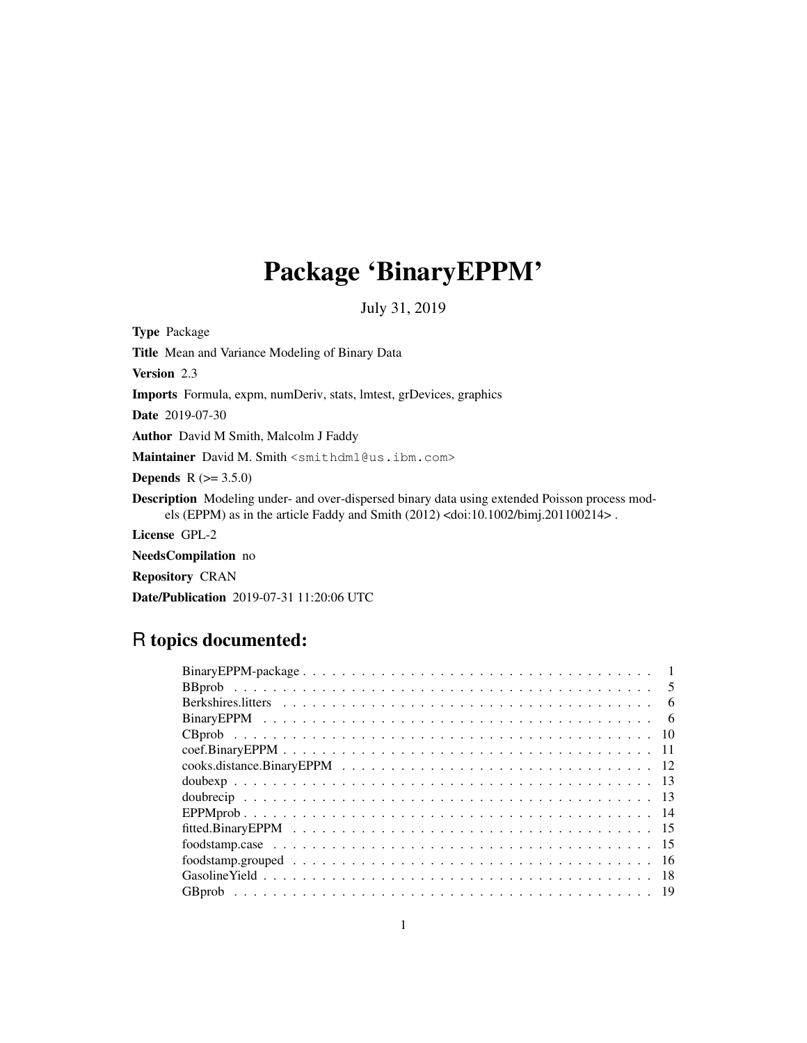# Package 'BinaryEPPM'

July 31, 2019

Type Package

Title Mean and Variance Modeling of Binary Data

Version 2.3

Imports Formula, expm, numDeriv, stats, lmtest, grDevices, graphics

Date 2019-07-30

Author David M Smith, Malcolm J Faddy

Maintainer David M. Smith <smithdm1@us.ibm.com>

**Depends**  $R$  ( $>= 3.5.0$ )

Description Modeling under- and over-dispersed binary data using extended Poisson process models (EPPM) as in the article Faddy and Smith (2012) <doi:10.1002/bimj.201100214> .

License GPL-2

NeedsCompilation no

Repository CRAN

Date/Publication 2019-07-31 11:20:06 UTC

## R topics documented:

| - 5 |
|-----|
| -6  |
| - 6 |
|     |
|     |
|     |
|     |
|     |
|     |
|     |
|     |
|     |
|     |
|     |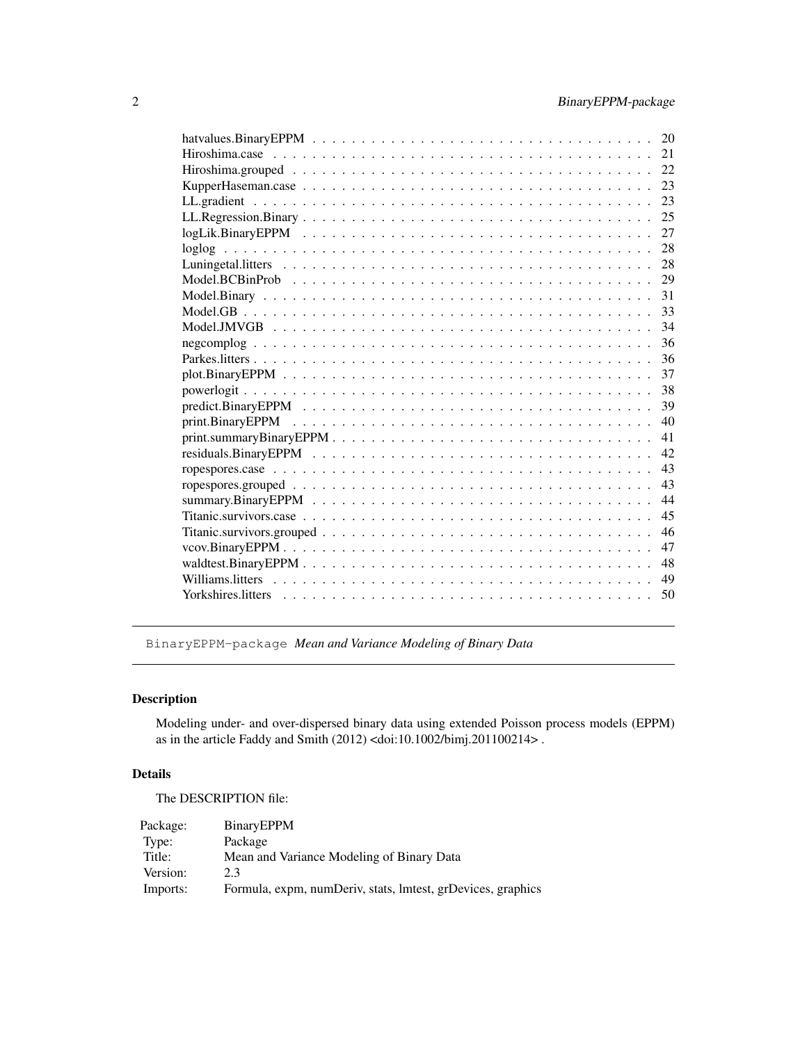| 20 |
|----|
| 21 |
| 22 |
| 23 |
| 23 |
| 25 |
| 27 |
| 28 |
| 28 |
| 29 |
| 31 |
| 33 |
| 34 |
| 36 |
| 36 |
| 37 |
| 38 |
| 39 |
| 40 |
| 41 |
| 42 |
| 43 |
| 43 |
| 44 |
| 45 |
| 46 |
| 47 |
| 48 |
| 49 |
| 50 |
|    |

BinaryEPPM-package *Mean and Variance Modeling of Binary Data*

### Description

Modeling under- and over-dispersed binary data using extended Poisson process models (EPPM) as in the article Faddy and Smith (2012) <doi:10.1002/bimj.201100214> .

### Details

The DESCRIPTION file:

| Package: | BinaryEPPM                                                  |
|----------|-------------------------------------------------------------|
| Type:    | Package                                                     |
| Title:   | Mean and Variance Modeling of Binary Data                   |
| Version: | 2.3                                                         |
| Imports: | Formula, expm, numDeriv, stats, lmtest, grDevices, graphics |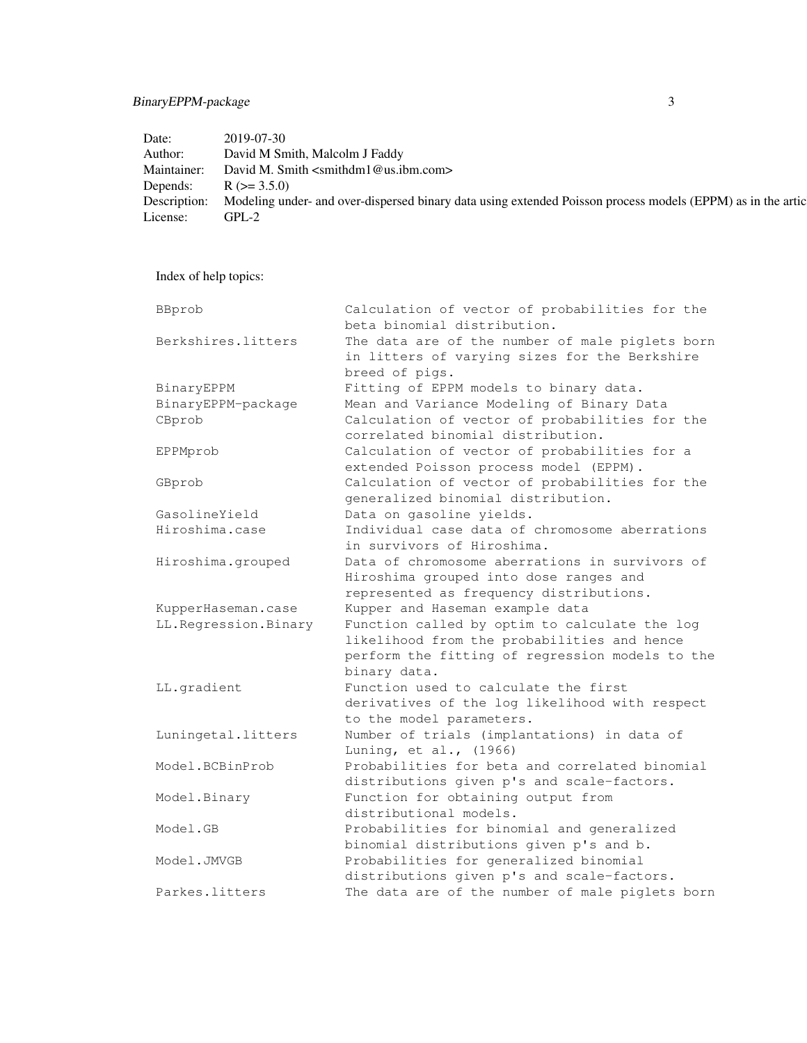### BinaryEPPM-package 3

| David M Smith, Malcolm J Faddy<br>David M. Smith $\leq$ smithdm1@us.ibm.com><br>$R$ ( $> = 3.5.0$ )<br>$GPL-2$ | Date:        | $2019 - 07 - 30$                                                                                            |
|----------------------------------------------------------------------------------------------------------------|--------------|-------------------------------------------------------------------------------------------------------------|
|                                                                                                                | Author:      |                                                                                                             |
|                                                                                                                | Maintainer:  |                                                                                                             |
|                                                                                                                | Depends:     |                                                                                                             |
|                                                                                                                | Description: | Modeling under- and over-dispersed binary data using extended Poisson process models (EPPM) as in the artic |
|                                                                                                                | License:     |                                                                                                             |

Index of help topics:

| BBprob               | Calculation of vector of probabilities for the<br>beta binomial distribution. |
|----------------------|-------------------------------------------------------------------------------|
| Berkshires.litters   | The data are of the number of male piglets born                               |
|                      | in litters of varying sizes for the Berkshire                                 |
|                      | breed of pigs.                                                                |
| BinaryEPPM           | Fitting of EPPM models to binary data.                                        |
| BinaryEPPM-package   | Mean and Variance Modeling of Binary Data                                     |
| CBprob               | Calculation of vector of probabilities for the                                |
|                      | correlated binomial distribution.                                             |
| EPPMprob             | Calculation of vector of probabilities for a                                  |
|                      | extended Poisson process model (EPPM).                                        |
| GBprob               | Calculation of vector of probabilities for the                                |
|                      | generalized binomial distribution.                                            |
| GasolineYield        | Data on gasoline yields.                                                      |
| Hiroshima.case       | Individual case data of chromosome aberrations                                |
|                      | in survivors of Hiroshima.                                                    |
| Hiroshima.grouped    | Data of chromosome aberrations in survivors of                                |
|                      | Hiroshima grouped into dose ranges and                                        |
|                      | represented as frequency distributions.                                       |
| KupperHaseman.case   | Kupper and Haseman example data                                               |
| LL.Regression.Binary | Function called by optim to calculate the log                                 |
|                      | likelihood from the probabilities and hence                                   |
|                      | perform the fitting of regression models to the                               |
|                      | binary data.                                                                  |
| LL.gradient          | Function used to calculate the first                                          |
|                      | derivatives of the log likelihood with respect                                |
|                      | to the model parameters.                                                      |
| Luningetal.litters   | Number of trials (implantations) in data of                                   |
|                      | Luning, et al., (1966)                                                        |
| Model.BCBinProb      | Probabilities for beta and correlated binomial                                |
|                      | distributions given p's and scale-factors.                                    |
| Model.Binary         | Function for obtaining output from                                            |
|                      | distributional models.                                                        |
| Model.GB             | Probabilities for binomial and generalized                                    |
|                      | binomial distributions given p's and b.                                       |
| Model.JMVGB          | Probabilities for generalized binomial                                        |
|                      | distributions given p's and scale-factors.                                    |
| Parkes.litters       | The data are of the number of male piglets born                               |
|                      |                                                                               |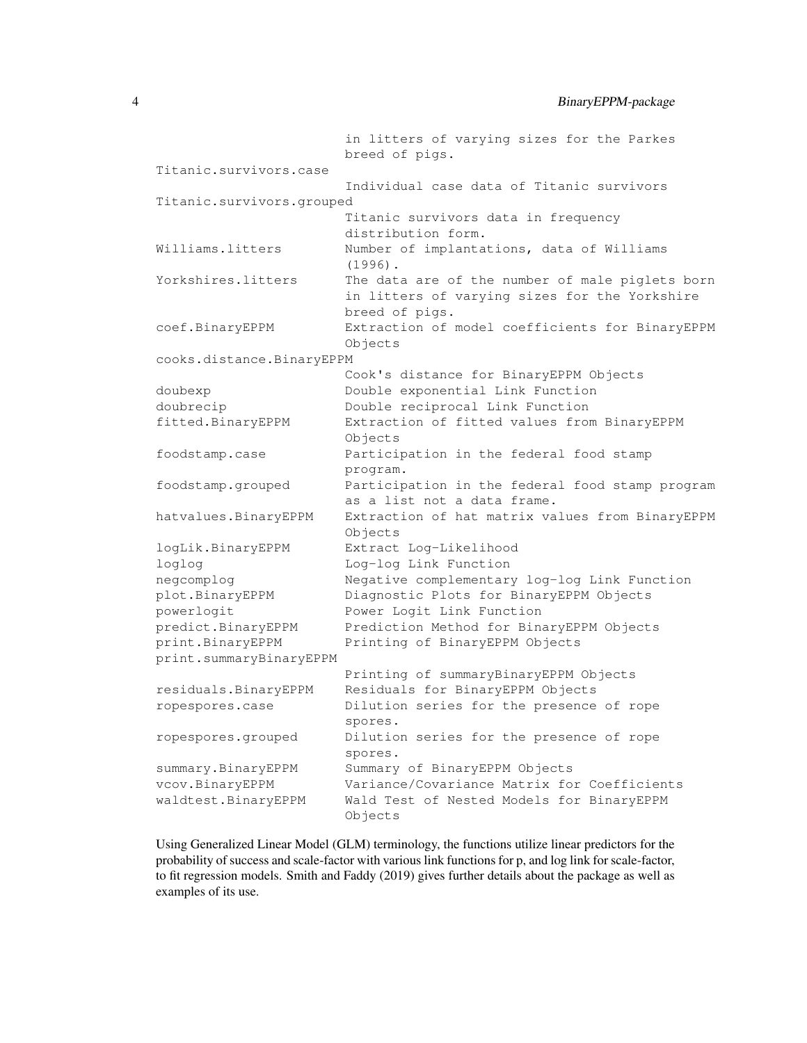|                           | in litters of varying sizes for the Parkes<br>breed of pigs.                                                       |
|---------------------------|--------------------------------------------------------------------------------------------------------------------|
| Titanic.survivors.case    |                                                                                                                    |
|                           | Individual case data of Titanic survivors                                                                          |
| Titanic.survivors.grouped |                                                                                                                    |
|                           | Titanic survivors data in frequency                                                                                |
|                           | distribution form.                                                                                                 |
| Williams.litters          | Number of implantations, data of Williams<br>$(1996)$ .                                                            |
| Yorkshires.litters        | The data are of the number of male piglets born<br>in litters of varying sizes for the Yorkshire<br>breed of pigs. |
| coef.BinaryEPPM           | Extraction of model coefficients for BinaryEPPM<br>Objects                                                         |
| cooks.distance.BinaryEPPM |                                                                                                                    |
|                           | Cook's distance for BinaryEPPM Objects                                                                             |
| doubexp                   | Double exponential Link Function                                                                                   |
| doubrecip                 | Double reciprocal Link Function                                                                                    |
| fitted.BinaryEPPM         | Extraction of fitted values from BinaryEPPM<br>Objects                                                             |
| foodstamp.case            | Participation in the federal food stamp<br>program.                                                                |
| foodstamp.grouped         | Participation in the federal food stamp program<br>as a list not a data frame.                                     |
| hatvalues.BinaryEPPM      | Extraction of hat matrix values from BinaryEPPM<br>Objects                                                         |
| logLik.BinaryEPPM         | Extract Log-Likelihood                                                                                             |
| loglog                    | Log-log Link Function                                                                                              |
| negcomplog                | Negative complementary log-log Link Function                                                                       |
| plot.BinaryEPPM           | Diagnostic Plots for BinaryEPPM Objects                                                                            |
| powerlogit                | Power Logit Link Function                                                                                          |
| predict.BinaryEPPM        | Prediction Method for BinaryEPPM Objects                                                                           |
| print.BinaryEPPM          | Printing of BinaryEPPM Objects                                                                                     |
| print.summaryBinaryEPPM   |                                                                                                                    |
|                           | Printing of summaryBinaryEPPM Objects                                                                              |
| residuals. BinaryEPPM     | Residuals for BinaryEPPM Objects                                                                                   |
| ropespores.case           | Dilution series for the presence of rope<br>spores.                                                                |
| ropespores.grouped        | Dilution series for the presence of rope<br>spores.                                                                |
| summary.BinaryEPPM        | Summary of BinaryEPPM Objects                                                                                      |
| vcov.BinaryEPPM           | Variance/Covariance Matrix for Coefficients                                                                        |
| waldtest.BinaryEPPM       | Wald Test of Nested Models for BinaryEPPM<br>Objects                                                               |

Using Generalized Linear Model (GLM) terminology, the functions utilize linear predictors for the probability of success and scale-factor with various link functions for p, and log link for scale-factor, to fit regression models. Smith and Faddy (2019) gives further details about the package as well as examples of its use.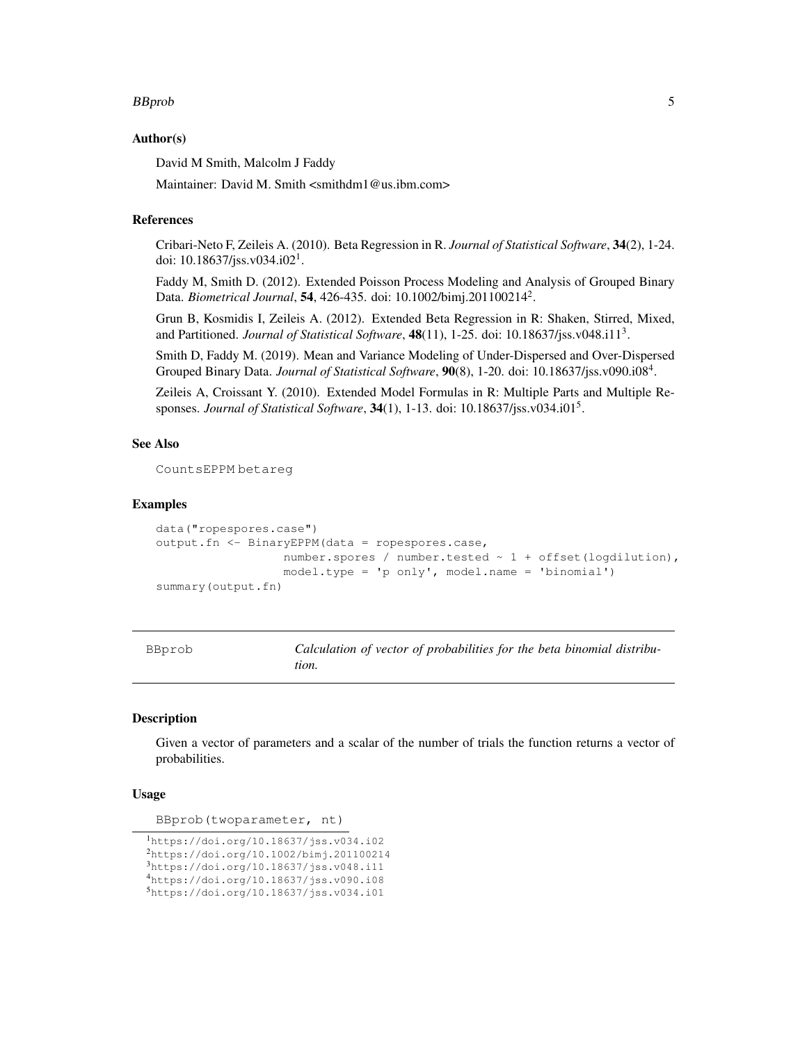#### BBprob 55 to 1999 and 2009 and 2009 and 2009 and 2009 and 2009 and 2009 and 2009 and 2009 and 2009 and 2009 and 2009 and 2009 and 2009 and 2009 and 2009 and 2009 and 2009 and 2009 and 2009 and 2009 and 2009 and 2009 and 20

### Author(s)

David M Smith, Malcolm J Faddy

Maintainer: David M. Smith <smithdm1@us.ibm.com>

#### References

Cribari-Neto F, Zeileis A. (2010). Beta Regression in R. *Journal of Statistical Software*, 34(2), 1-24. doi: 10.18637/jss.v034.i02<sup>1</sup>.

Faddy M, Smith D. (2012). Extended Poisson Process Modeling and Analysis of Grouped Binary Data. *Biometrical Journal*, 54, 426-435. doi: 10.1002/bimj.201100214<sup>2</sup> .

Grun B, Kosmidis I, Zeileis A. (2012). Extended Beta Regression in R: Shaken, Stirred, Mixed, and Partitioned. *Journal of Statistical Software*, 48(11), 1-25. doi: 10.18637/jss.v048.i11<sup>3</sup> .

Smith D, Faddy M. (2019). Mean and Variance Modeling of Under-Dispersed and Over-Dispersed Grouped Binary Data. *Journal of Statistical Software*, 90(8), 1-20. doi: 10.18637/jss.v090.i08<sup>4</sup>.

Zeileis A, Croissant Y. (2010). Extended Model Formulas in R: Multiple Parts and Multiple Responses. *Journal of Statistical Software*, 34(1), 1-13. doi: 10.18637/jss.v034.i01<sup>5</sup> .

#### See Also

CountsEPPM betareg

### Examples

```
data("ropespores.case")
output.fn <- BinaryEPPM(data = ropespores.case,
                     number.spores / number.tested \sim 1 + offset(logdilution),
                                                                 \mathbf{B} in \mathbf{m} is \mathbf{I}sum
```

|                  |  |  |  | $model.\texttt{type} = 'p \texttt{only}', model.\texttt{name} = 'b \texttt{inomial}')$ |  |
|------------------|--|--|--|----------------------------------------------------------------------------------------|--|
| mary (output.fn) |  |  |  |                                                                                        |  |
|                  |  |  |  |                                                                                        |  |
|                  |  |  |  |                                                                                        |  |

| BBprob | Calculation of vector of probabilities for the beta binomial distribu- |
|--------|------------------------------------------------------------------------|
|        | tion.                                                                  |

#### Description

Given a vector of parameters and a scalar of the number of trials the function returns a vector of probabilities.

#### Usage

BBprob(twoparameter, nt)

```
1https://doi.org/10.18637/jss.v034.i02
2https://doi.org/10.1002/bimj.201100214
3https://doi.org/10.18637/jss.v048.i11
4https://doi.org/10.18637/jss.v090.i08
5https://doi.org/10.18637/jss.v034.i01
```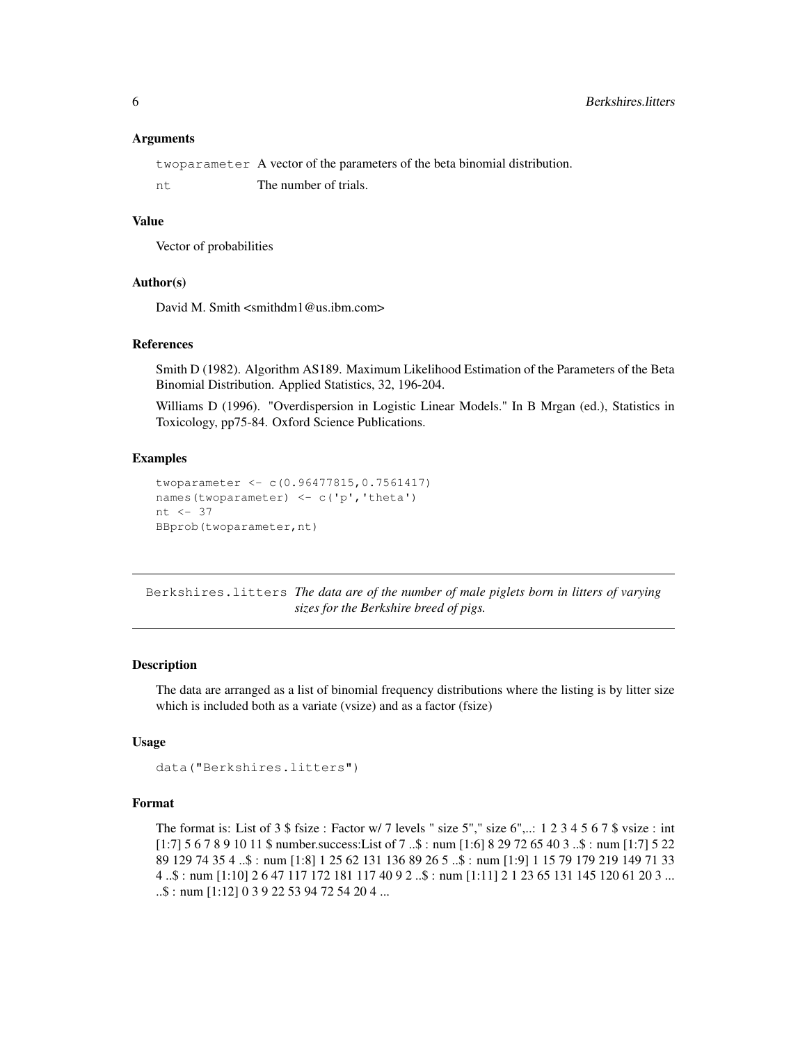#### Arguments

twoparameter A vector of the parameters of the beta binomial distribution.

nt The number of trials.

### Value

Vector of probabilities

### Author(s)

David M. Smith <smithdm1@us.ibm.com>

#### References

Smith D (1982). Algorithm AS189. Maximum Likelihood Estimation of the Parameters of the Beta Binomial Distribution. Applied Statistics, 32, 196-204.

Williams D (1996). "Overdispersion in Logistic Linear Models." In B Mrgan (ed.), Statistics in Toxicology, pp75-84. Oxford Science Publications.

### Examples

```
twoparameter <- c(0.96477815,0.7561417)
names(twoparameter) <- c('p', 'theta')
nt <- 37
BBprob(twoparameter,nt)
```
Berkshires.litters *The data are of the number of male piglets born in litters of varying sizes for the Berkshire breed of pigs.*

### Description

The data are arranged as a list of binomial frequency distributions where the listing is by litter size which is included both as a variate (vsize) and as a factor (fsize)

#### Usage

```
data("Berkshires.litters")
```
### Format

The format is: List of 3  $\frac{6}{3}$  fsize : Factor w/ 7 levels " size 5"," size 6",..: 1 2 3 4 5 6 7  $\frac{6}{3}$  vsize : int [1:7] 5 6 7 8 9 10 11 \$ number.success:List of 7 ..\$ : num [1:6] 8 29 72 65 40 3 ..\$ : num [1:7] 5 22 89 129 74 35 4 ..\$ : num [1:8] 1 25 62 131 136 89 26 5 ..\$ : num [1:9] 1 15 79 179 219 149 71 33 4 ..\$ : num [1:10] 2 6 47 117 172 181 117 40 9 2 ..\$ : num [1:11] 2 1 23 65 131 145 120 61 20 3 ... ..\$ : num [1:12] 0 3 9 22 53 94 72 54 20 4 ...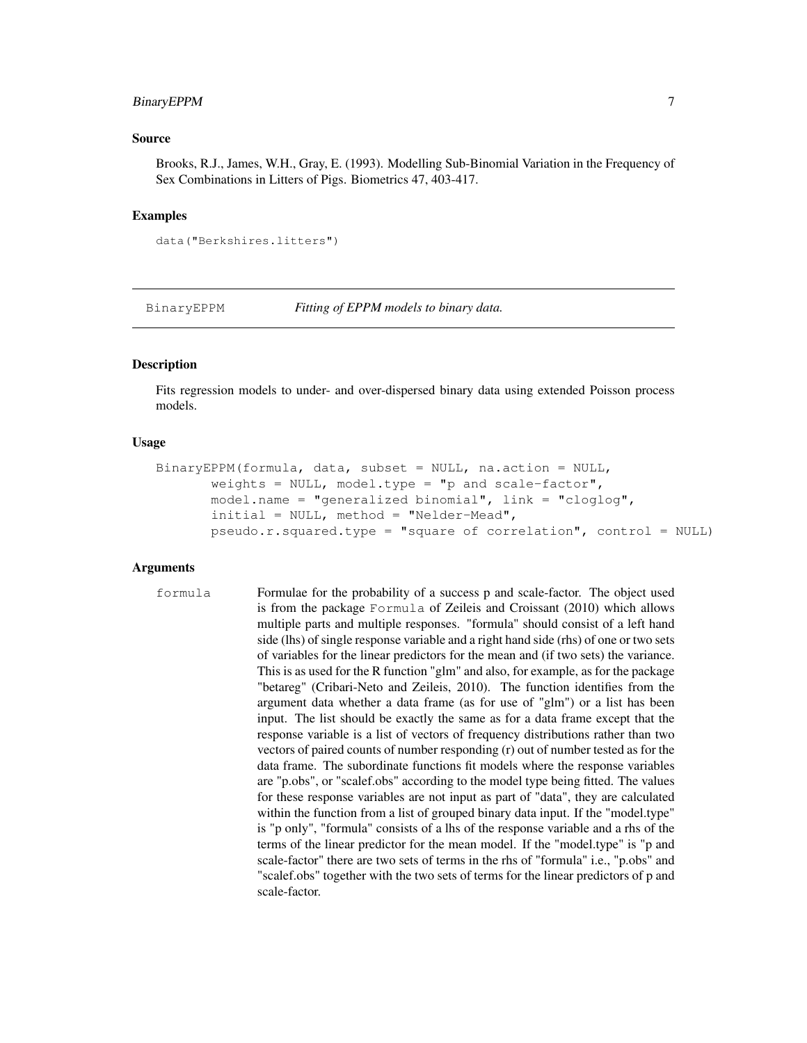### BinaryEPPM 7

#### Source

Brooks, R.J., James, W.H., Gray, E. (1993). Modelling Sub-Binomial Variation in the Frequency of Sex Combinations in Litters of Pigs. Biometrics 47, 403-417.

#### Examples

```
data("Berkshires.litters")
```
BinaryEPPM *Fitting of EPPM models to binary data.*

### Description

Fits regression models to under- and over-dispersed binary data using extended Poisson process models.

### Usage

```
BinaryEPPM(formula, data, subset = NULL, na.action = NULL,
       weights = NULL, mode1.type = "p and scale-factor",model.name = "generalized binomial", link = "cloglog",
       initial = NULL, method = "Nelder-Mead",
       pseudo.r.squared.type = "square of correlation", control = NULL)
```
#### Arguments

formula Formulae for the probability of a success p and scale-factor. The object used is from the package Formula of Zeileis and Croissant (2010) which allows multiple parts and multiple responses. "formula" should consist of a left hand side (lhs) of single response variable and a right hand side (rhs) of one or two sets of variables for the linear predictors for the mean and (if two sets) the variance. This is as used for the R function "glm" and also, for example, as for the package "betareg" (Cribari-Neto and Zeileis, 2010). The function identifies from the argument data whether a data frame (as for use of "glm") or a list has been input. The list should be exactly the same as for a data frame except that the response variable is a list of vectors of frequency distributions rather than two vectors of paired counts of number responding (r) out of number tested as for the data frame. The subordinate functions fit models where the response variables are "p.obs", or "scalef.obs" according to the model type being fitted. The values for these response variables are not input as part of "data", they are calculated within the function from a list of grouped binary data input. If the "model.type" is "p only", "formula" consists of a lhs of the response variable and a rhs of the terms of the linear predictor for the mean model. If the "model.type" is "p and scale-factor" there are two sets of terms in the rhs of "formula" i.e., "p.obs" and "scalef.obs" together with the two sets of terms for the linear predictors of p and scale-factor.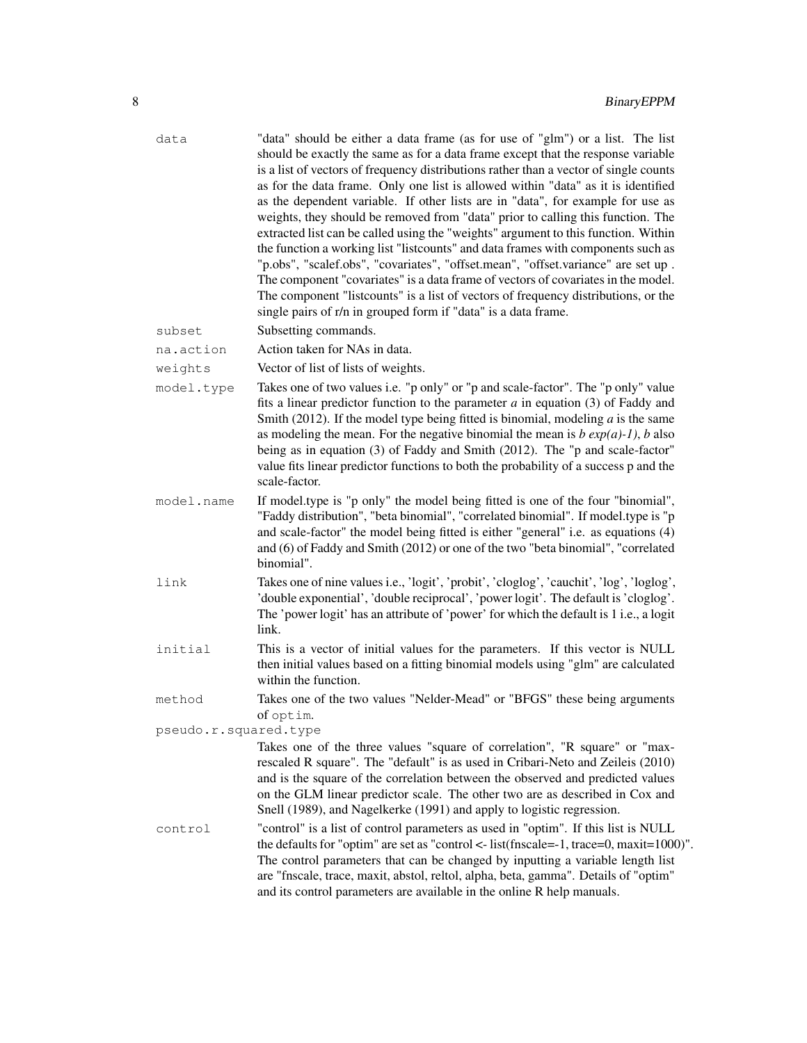| data                  | "data" should be either a data frame (as for use of "glm") or a list. The list<br>should be exactly the same as for a data frame except that the response variable<br>is a list of vectors of frequency distributions rather than a vector of single counts<br>as for the data frame. Only one list is allowed within "data" as it is identified<br>as the dependent variable. If other lists are in "data", for example for use as<br>weights, they should be removed from "data" prior to calling this function. The<br>extracted list can be called using the "weights" argument to this function. Within<br>the function a working list "listcounts" and data frames with components such as<br>"p.obs", "scalef.obs", "covariates", "offset.mean", "offset.variance" are set up.<br>The component "covariates" is a data frame of vectors of covariates in the model.<br>The component "listcounts" is a list of vectors of frequency distributions, or the<br>single pairs of r/n in grouped form if "data" is a data frame. |
|-----------------------|------------------------------------------------------------------------------------------------------------------------------------------------------------------------------------------------------------------------------------------------------------------------------------------------------------------------------------------------------------------------------------------------------------------------------------------------------------------------------------------------------------------------------------------------------------------------------------------------------------------------------------------------------------------------------------------------------------------------------------------------------------------------------------------------------------------------------------------------------------------------------------------------------------------------------------------------------------------------------------------------------------------------------------|
| subset                | Subsetting commands.                                                                                                                                                                                                                                                                                                                                                                                                                                                                                                                                                                                                                                                                                                                                                                                                                                                                                                                                                                                                               |
| na.action             | Action taken for NAs in data.                                                                                                                                                                                                                                                                                                                                                                                                                                                                                                                                                                                                                                                                                                                                                                                                                                                                                                                                                                                                      |
| weights               | Vector of list of lists of weights.                                                                                                                                                                                                                                                                                                                                                                                                                                                                                                                                                                                                                                                                                                                                                                                                                                                                                                                                                                                                |
| model.type            | Takes one of two values i.e. "p only" or "p and scale-factor". The "p only" value<br>fits a linear predictor function to the parameter $a$ in equation (3) of Faddy and<br>Smith (2012). If the model type being fitted is binomial, modeling $a$ is the same<br>as modeling the mean. For the negative binomial the mean is $b \exp(a)-1$ , $b$ also<br>being as in equation (3) of Faddy and Smith (2012). The "p and scale-factor"<br>value fits linear predictor functions to both the probability of a success p and the<br>scale-factor.                                                                                                                                                                                                                                                                                                                                                                                                                                                                                     |
| model.name            | If model type is "p only" the model being fitted is one of the four "binomial",<br>"Faddy distribution", "beta binomial", "correlated binomial". If model.type is "p<br>and scale-factor" the model being fitted is either "general" i.e. as equations (4)<br>and (6) of Faddy and Smith (2012) or one of the two "beta binomial", "correlated<br>binomial".                                                                                                                                                                                                                                                                                                                                                                                                                                                                                                                                                                                                                                                                       |
| link                  | Takes one of nine values i.e., 'logit', 'probit', 'cloglog', 'cauchit', 'log', 'loglog',<br>'double exponential', 'double reciprocal', 'power logit'. The default is 'cloglog'.<br>The 'power logit' has an attribute of 'power' for which the default is 1 i.e., a logit<br>link.                                                                                                                                                                                                                                                                                                                                                                                                                                                                                                                                                                                                                                                                                                                                                 |
| initial               | This is a vector of initial values for the parameters. If this vector is NULL<br>then initial values based on a fitting binomial models using "glm" are calculated<br>within the function.                                                                                                                                                                                                                                                                                                                                                                                                                                                                                                                                                                                                                                                                                                                                                                                                                                         |
| method                | Takes one of the two values "Nelder-Mead" or "BFGS" these being arguments<br>of optim.                                                                                                                                                                                                                                                                                                                                                                                                                                                                                                                                                                                                                                                                                                                                                                                                                                                                                                                                             |
| pseudo.r.squared.type |                                                                                                                                                                                                                                                                                                                                                                                                                                                                                                                                                                                                                                                                                                                                                                                                                                                                                                                                                                                                                                    |
|                       | Takes one of the three values "square of correlation", "R square" or "max-<br>rescaled R square". The "default" is as used in Cribari-Neto and Zeileis (2010)<br>and is the square of the correlation between the observed and predicted values<br>on the GLM linear predictor scale. The other two are as described in Cox and<br>Snell (1989), and Nagelkerke (1991) and apply to logistic regression.                                                                                                                                                                                                                                                                                                                                                                                                                                                                                                                                                                                                                           |
| control               | "control" is a list of control parameters as used in "optim". If this list is NULL<br>the defaults for "optim" are set as "control $\lt$ -list(fnscale=-1, trace=0, maxit=1000)".<br>The control parameters that can be changed by inputting a variable length list<br>are "fnscale, trace, maxit, abstol, reltol, alpha, beta, gamma". Details of "optim"<br>and its control parameters are available in the online R help manuals.                                                                                                                                                                                                                                                                                                                                                                                                                                                                                                                                                                                               |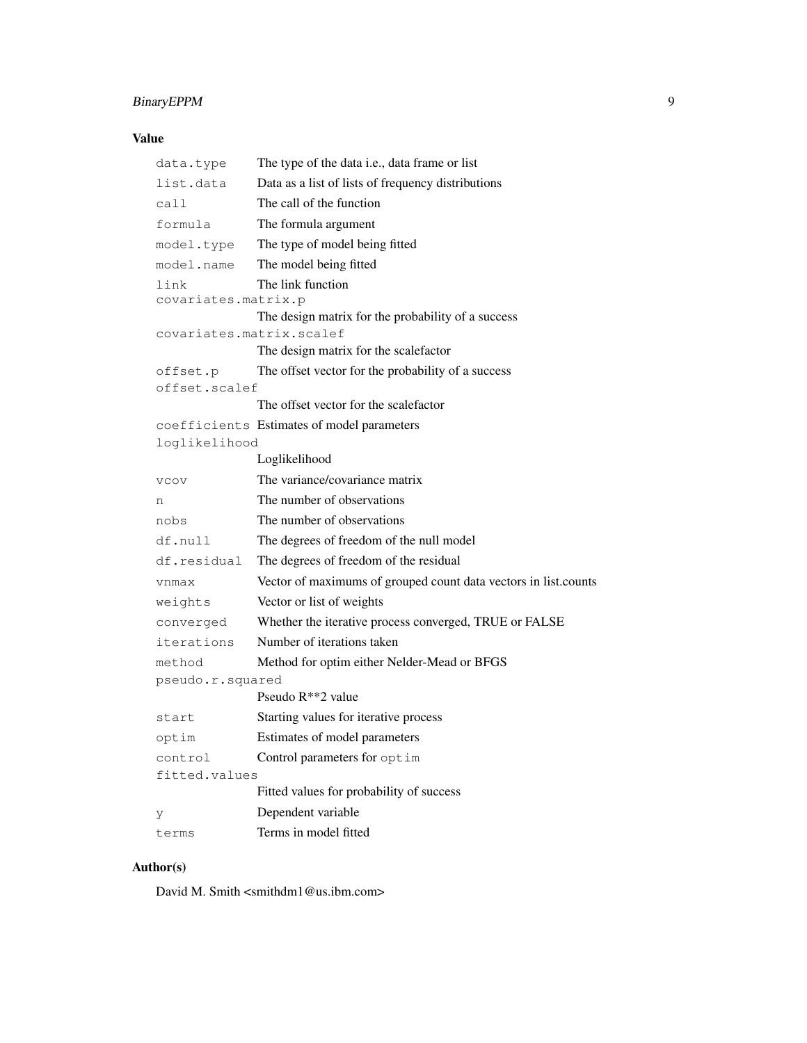### BinaryEPPM 9

### Value

| data.type                   | The type of the data i.e., data frame or list                   |
|-----------------------------|-----------------------------------------------------------------|
| list.data                   | Data as a list of lists of frequency distributions              |
| call                        | The call of the function                                        |
| formula                     | The formula argument                                            |
| model.type                  | The type of model being fitted                                  |
| model.name                  | The model being fitted                                          |
| link<br>covariates.matrix.p | The link function                                               |
|                             | The design matrix for the probability of a success              |
| covariates.matrix.scalef    | The design matrix for the scalefactor                           |
| offset.p                    | The offset vector for the probability of a success              |
| offset.scalef               |                                                                 |
|                             | The offset vector for the scalefactor                           |
|                             | coefficients Estimates of model parameters                      |
| loglikelihood               |                                                                 |
|                             | Loglikelihood                                                   |
| <b>VCOV</b>                 | The variance/covariance matrix                                  |
| n                           | The number of observations                                      |
| nobs                        | The number of observations                                      |
| df.null                     | The degrees of freedom of the null model                        |
| df.residual                 | The degrees of freedom of the residual                          |
| vnmax                       | Vector of maximums of grouped count data vectors in list.counts |
| weights                     | Vector or list of weights                                       |
| converged                   | Whether the iterative process converged, TRUE or FALSE          |
| iterations                  | Number of iterations taken                                      |
| method                      | Method for optim either Nelder-Mead or BFGS                     |
| pseudo.r.squared            |                                                                 |
|                             | Pseudo $R^{**}$ 2 value                                         |
| start                       | Starting values for iterative process                           |
| optim                       | Estimates of model parameters                                   |
| control                     | Control parameters for optim                                    |
| fitted.values               |                                                                 |
|                             | Fitted values for probability of success                        |
| У                           | Dependent variable                                              |
| terms                       | Terms in model fitted                                           |

### Author(s)

David M. Smith <smithdm1@us.ibm.com>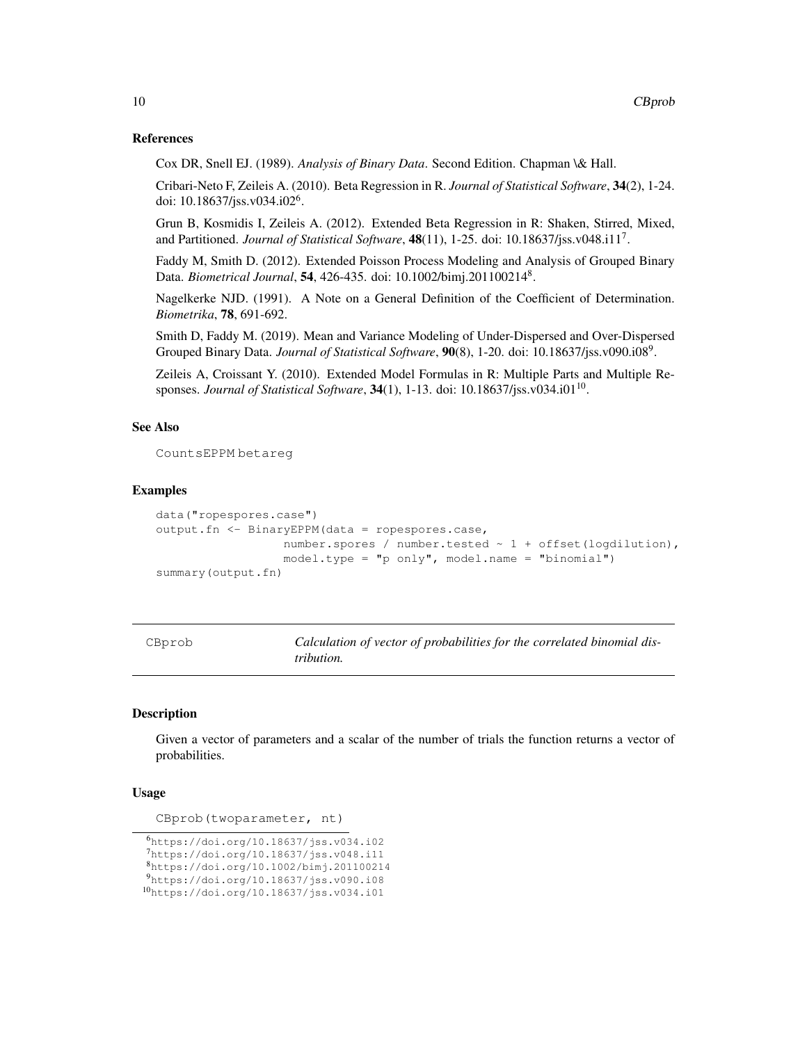#### References

Cox DR, Snell EJ. (1989). *Analysis of Binary Data*. Second Edition. Chapman \& Hall.

Cribari-Neto F, Zeileis A. (2010). Beta Regression in R. *Journal of Statistical Software*, 34(2), 1-24. doi: 10.18637/jss.v034.i02<sup>6</sup> .

Grun B, Kosmidis I, Zeileis A. (2012). Extended Beta Regression in R: Shaken, Stirred, Mixed, and Partitioned. *Journal of Statistical Software*, 48(11), 1-25. doi: 10.18637/jss.v048.i11<sup>7</sup> .

Faddy M, Smith D. (2012). Extended Poisson Process Modeling and Analysis of Grouped Binary Data. *Biometrical Journal*, 54, 426-435. doi: 10.1002/bimj.201100214<sup>8</sup> .

Nagelkerke NJD. (1991). A Note on a General Definition of the Coefficient of Determination. *Biometrika*, 78, 691-692.

Smith D, Faddy M. (2019). Mean and Variance Modeling of Under-Dispersed and Over-Dispersed Grouped Binary Data. *Journal of Statistical Software*, 90(8), 1-20. doi: 10.18637/jss.v090.i08<sup>9</sup>.

Zeileis A, Croissant Y. (2010). Extended Model Formulas in R: Multiple Parts and Multiple Responses. *Journal of Statistical Software*, **34**(1), 1-13. doi: 10.18637/jss.v034.i01<sup>10</sup>.

### See Also

CountsEPPM betareg

#### Examples

```
data("ropespores.case")
output.fn <- BinaryEPPM(data = ropespores.case,
                  number.spores / number.tested ~ 1 + offset(logdilution),
                  model-type = "p only", model.name = "binomial")summary(output.fn)
```
CBprob *Calculation of vector of probabilities for the correlated binomial distribution.*

### **Description**

Given a vector of parameters and a scalar of the number of trials the function returns a vector of probabilities.

#### Usage

CBprob(twoparameter, nt)

<sup>6</sup>https://doi.org/10.18637/jss.v034.i02 <sup>7</sup>https://doi.org/10.18637/jss.v048.i11 <sup>8</sup>https://doi.org/10.1002/bimj.201100214 <sup>9</sup>https://doi.org/10.18637/jss.v090.i08 <sup>10</sup>https://doi.org/10.18637/jss.v034.i01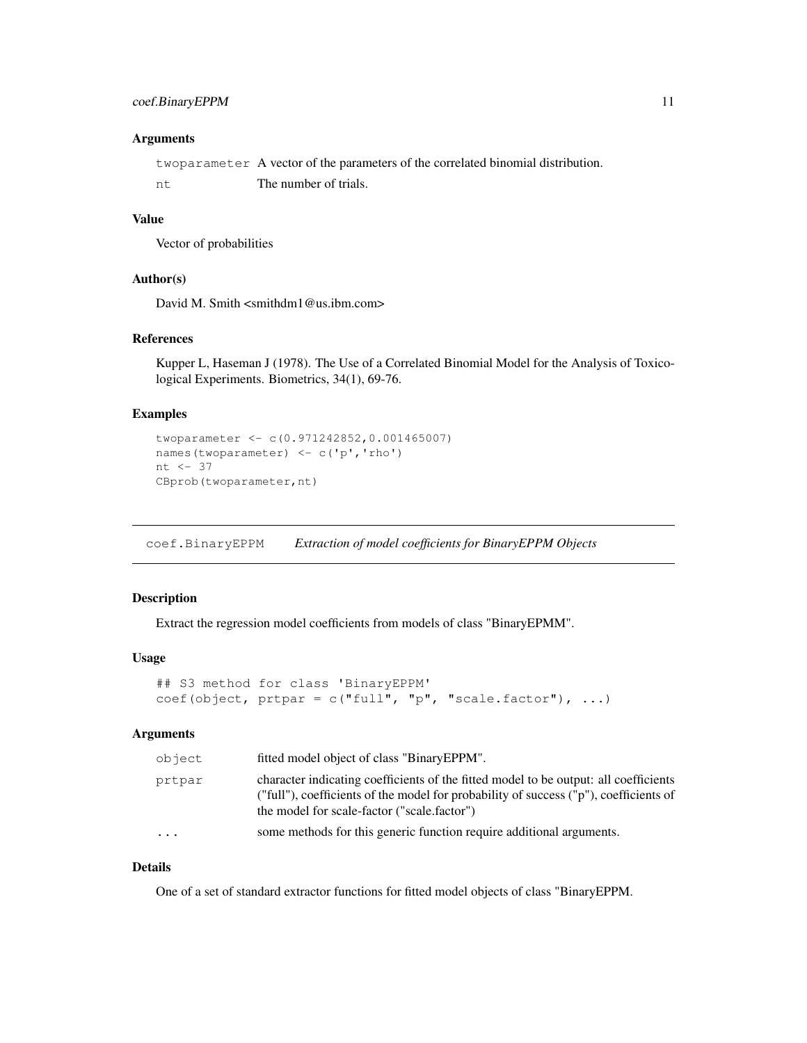### coef.BinaryEPPM 11

### **Arguments**

twoparameter A vector of the parameters of the correlated binomial distribution. nt The number of trials.

#### Value

Vector of probabilities

#### Author(s)

David M. Smith <smithdm1@us.ibm.com>

### References

Kupper L, Haseman J (1978). The Use of a Correlated Binomial Model for the Analysis of Toxicological Experiments. Biometrics, 34(1), 69-76.

### Examples

```
twoparameter <- c(0.971242852,0.001465007)
names(twoparameter) <- c('p','rho')
nt \leq 37
CBprob(twoparameter,nt)
```
coef.BinaryEPPM *Extraction of model coefficients for BinaryEPPM Objects*

### Description

Extract the regression model coefficients from models of class "BinaryEPMM".

### Usage

```
## S3 method for class 'BinaryEPPM'
coef(object, prpar = c("full", "p", "scale.factor"), ...
```
### Arguments

| object   | fitted model object of class "BinaryEPPM".                                                                                                                                                                                   |
|----------|------------------------------------------------------------------------------------------------------------------------------------------------------------------------------------------------------------------------------|
| prtpar   | character indicating coefficients of the fitted model to be output: all coefficients<br>("full"), coefficients of the model for probability of success ("p"), coefficients of<br>the model for scale-factor ("scale.factor") |
| $\ddots$ | some methods for this generic function require additional arguments.                                                                                                                                                         |

### Details

One of a set of standard extractor functions for fitted model objects of class "BinaryEPPM.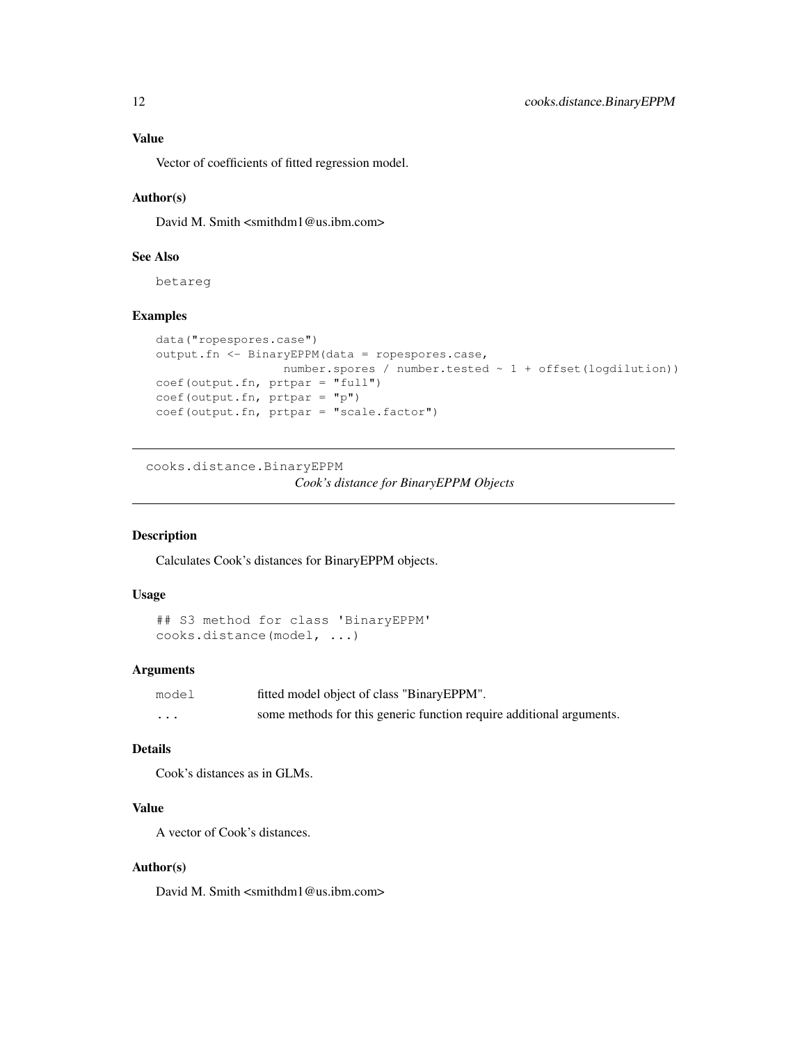Vector of coefficients of fitted regression model.

### Author(s)

David M. Smith <smithdm1@us.ibm.com>

### See Also

betareg

### Examples

```
data("ropespores.case")
output.fn <- BinaryEPPM(data = ropespores.case,
                 number.spores / number.tested ~ 1 + offset(logdilution))
coef(output.fn, prtpar = "full")
coef(output.fn, prtpar = "p")
coef(output.fn, prtpar = "scale.factor")
```
cooks.distance.BinaryEPPM

*Cook's distance for BinaryEPPM Objects*

### Description

Calculates Cook's distances for BinaryEPPM objects.

### Usage

```
## S3 method for class 'BinaryEPPM'
cooks.distance(model, ...)
```
#### Arguments

| model    | fitted model object of class "BinaryEPPM".                           |
|----------|----------------------------------------------------------------------|
| $\cdots$ | some methods for this generic function require additional arguments. |

### Details

Cook's distances as in GLMs.

### Value

A vector of Cook's distances.

### Author(s)

David M. Smith <smithdm1@us.ibm.com>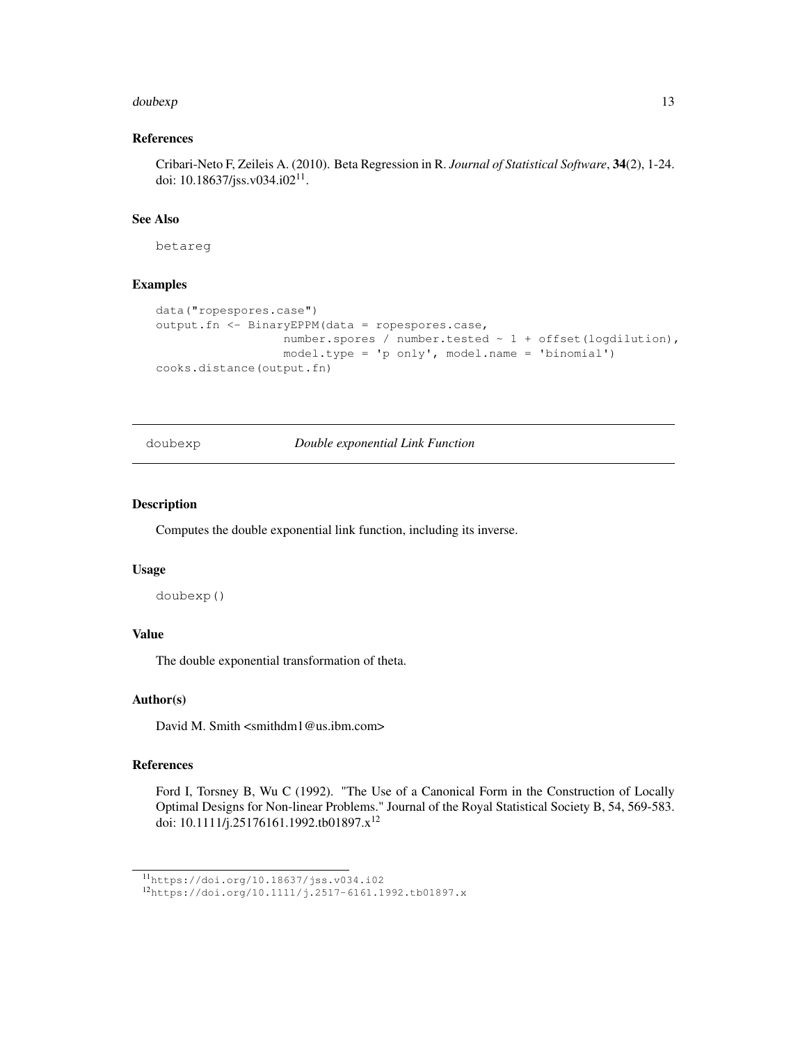#### doubexp and the state of the state of the state of the state of the state of the state of the state of the state of the state of the state of the state of the state of the state of the state of the state of the state of th

### References

Cribari-Neto F, Zeileis A. (2010). Beta Regression in R. *Journal of Statistical Software*, 34(2), 1-24. doi: 10.18637/jss.v034.i02<sup>11</sup>.

### See Also

betareg

#### Examples

```
data("ropespores.case")
output.fn <- BinaryEPPM(data = ropespores.case,
                  number.spores / number.tested ~ 1 + offset(logdilution),
                  model.type = 'p only', model.name = 'binomial')
cooks.distance(output.fn)
```
### doubexp *Double exponential Link Function*

#### Description

Computes the double exponential link function, including its inverse.

#### Usage

doubexp()

### Value

The double exponential transformation of theta.

#### Author(s)

David M. Smith <smithdm1@us.ibm.com>

#### References

Ford I, Torsney B, Wu C (1992). "The Use of a Canonical Form in the Construction of Locally Optimal Designs for Non-linear Problems." Journal of the Royal Statistical Society B, 54, 569-583. doi: 10.1111/j.25176161.1992.tb01897.x<sup>12</sup>

<sup>11</sup>https://doi.org/10.18637/jss.v034.i02

<sup>12</sup>https://doi.org/10.1111/j.2517-6161.1992.tb01897.x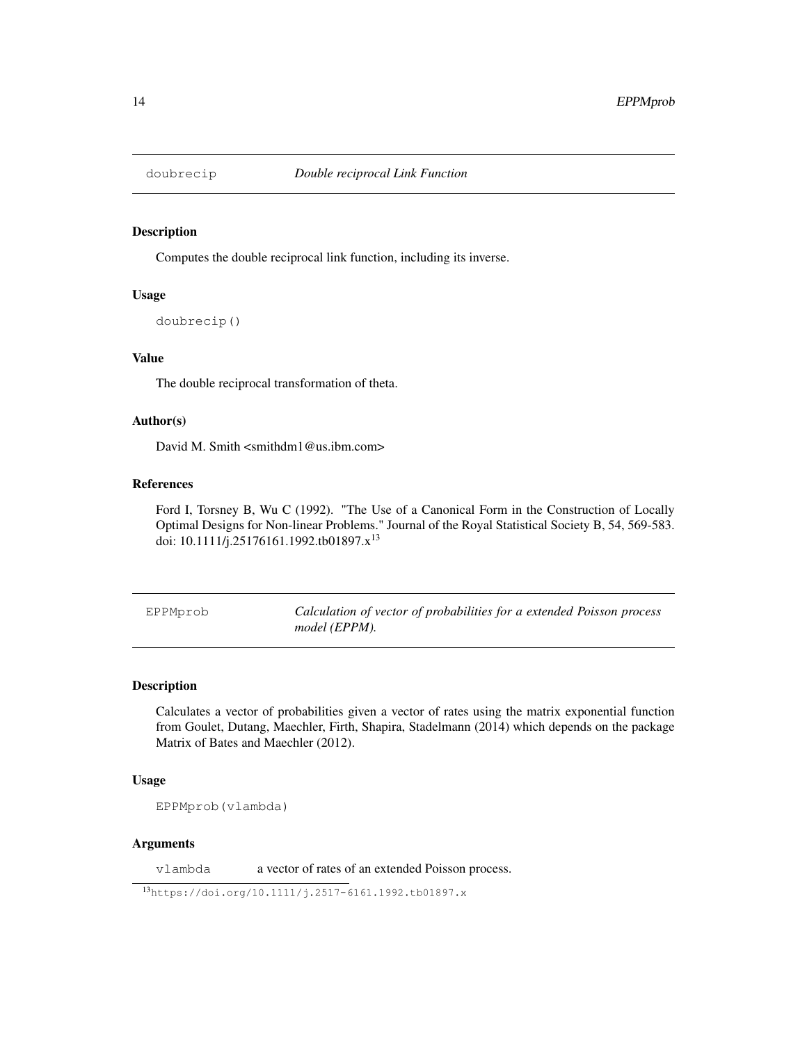### Description

Computes the double reciprocal link function, including its inverse.

#### Usage

```
doubrecip()
```
### Value

The double reciprocal transformation of theta.

### Author(s)

David M. Smith <smithdm1@us.ibm.com>

### References

Ford I, Torsney B, Wu C (1992). "The Use of a Canonical Form in the Construction of Locally Optimal Designs for Non-linear Problems." Journal of the Royal Statistical Society B, 54, 569-583. doi: 10.1111/j.25176161.1992.tb01897.x<sup>13</sup>

EPPMprob *Calculation of vector of probabilities for a extended Poisson process model (EPPM).*

#### Description

Calculates a vector of probabilities given a vector of rates using the matrix exponential function from Goulet, Dutang, Maechler, Firth, Shapira, Stadelmann (2014) which depends on the package Matrix of Bates and Maechler (2012).

#### Usage

EPPMprob(vlambda)

#### Arguments

vlambda a vector of rates of an extended Poisson process.

<sup>13</sup>https://doi.org/10.1111/j.2517-6161.1992.tb01897.x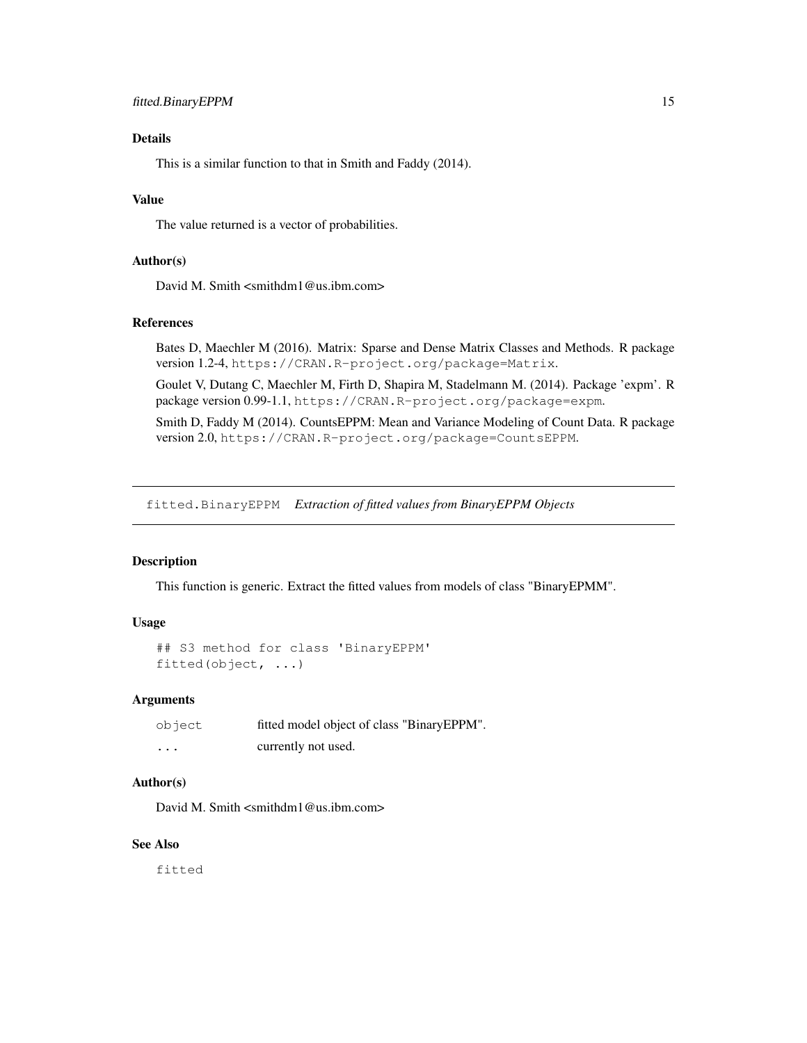### Details

This is a similar function to that in Smith and Faddy (2014).

#### Value

The value returned is a vector of probabilities.

### Author(s)

David M. Smith <smithdm1@us.ibm.com>

#### References

Bates D, Maechler M (2016). Matrix: Sparse and Dense Matrix Classes and Methods. R package version 1.2-4, https://CRAN.R-project.org/package=Matrix.

Goulet V, Dutang C, Maechler M, Firth D, Shapira M, Stadelmann M. (2014). Package 'expm'. R package version 0.99-1.1, https://CRAN.R-project.org/package=expm.

Smith D, Faddy M (2014). CountsEPPM: Mean and Variance Modeling of Count Data. R package version 2.0, https://CRAN.R-project.org/package=CountsEPPM.

fitted.BinaryEPPM *Extraction of fitted values from BinaryEPPM Objects*

### Description

This function is generic. Extract the fitted values from models of class "BinaryEPMM".

### Usage

```
## S3 method for class 'BinaryEPPM'
fitted(object, ...)
```
#### Arguments

| object   | fitted model object of class "BinaryEPPM". |  |
|----------|--------------------------------------------|--|
| $\cdots$ | currently not used.                        |  |

### Author(s)

David M. Smith <smithdm1@us.ibm.com>

### See Also

fitted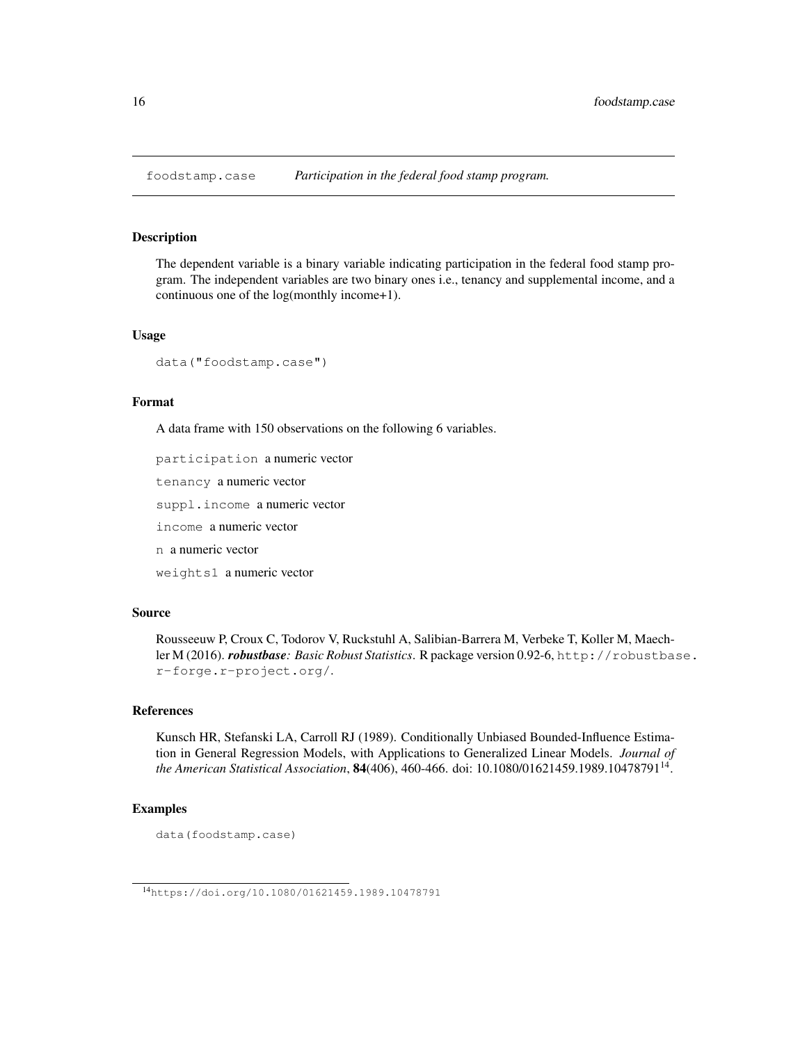foodstamp.case *Participation in the federal food stamp program.*

### Description

The dependent variable is a binary variable indicating participation in the federal food stamp program. The independent variables are two binary ones i.e., tenancy and supplemental income, and a continuous one of the log(monthly income+1).

#### Usage

```
data("foodstamp.case")
```
### Format

A data frame with 150 observations on the following 6 variables.

participation a numeric vector

tenancy a numeric vector

suppl.income a numeric vector

income a numeric vector

n a numeric vector

weights1 a numeric vector

### Source

Rousseeuw P, Croux C, Todorov V, Ruckstuhl A, Salibian-Barrera M, Verbeke T, Koller M, Maechler M (2016). *robustbase: Basic Robust Statistics*. R package version 0.92-6, http://robustbase. r-forge.r-project.org/.

### References

Kunsch HR, Stefanski LA, Carroll RJ (1989). Conditionally Unbiased Bounded-Influence Estimation in General Regression Models, with Applications to Generalized Linear Models. *Journal of the American Statistical Association*, 84(406), 460-466. doi: 10.1080/01621459.1989.10478791<sup>14</sup> .

### Examples

data(foodstamp.case)

<sup>14</sup>https://doi.org/10.1080/01621459.1989.10478791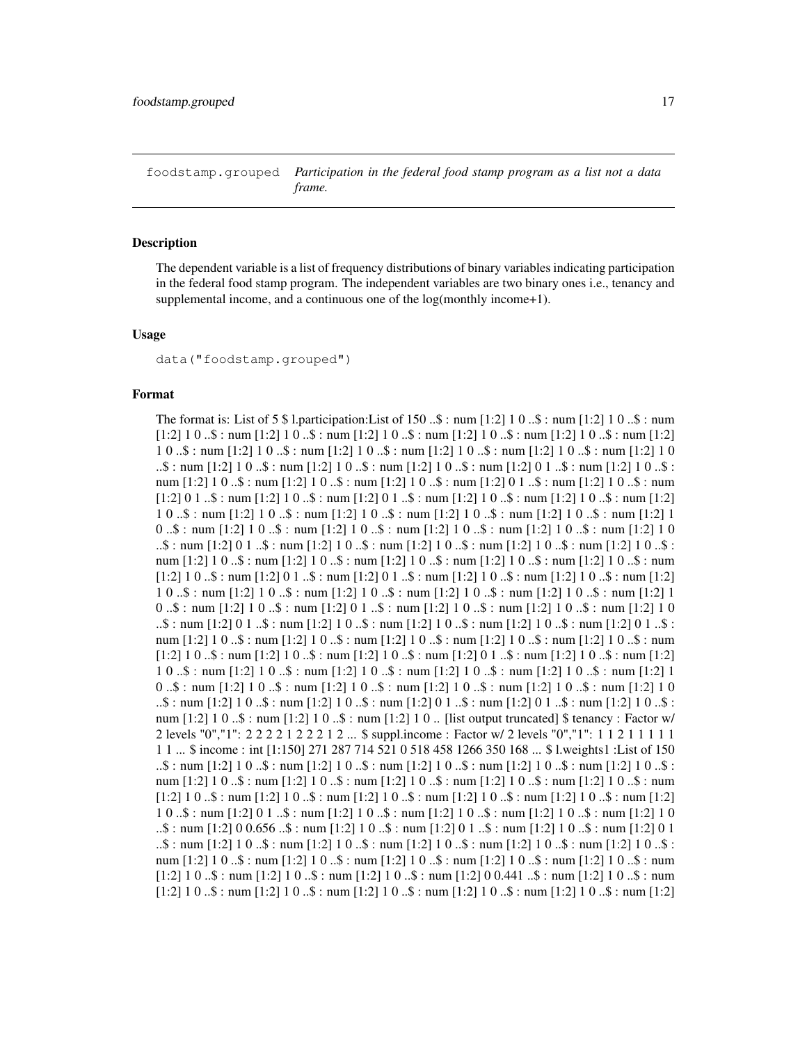foodstamp.grouped *Participation in the federal food stamp program as a list not a data frame.*

#### **Description**

The dependent variable is a list of frequency distributions of binary variables indicating participation in the federal food stamp program. The independent variables are two binary ones i.e., tenancy and supplemental income, and a continuous one of the log(monthly income+1).

#### Usage

data("foodstamp.grouped")

#### Format

The format is: List of 5  $\frac{1}{9}$  l.participation: List of 150 ..\$ : num [1:2] 1 0 ..\$ : num [1:2] 1 0 ..\$ : num  $[1:2] 1 0 \dots$ \$ : num  $[1:2] 1 0 \dots$ \$ : num  $[1:2] 1 0 \dots$ \$ : num  $[1:2] 1 0 \dots$ \$ : num  $[1:2] 1 0 \dots$ \$ : num  $[1:2]$ 1 0 ..\$ : num [1:2] 1 0 ..\$ : num [1:2] 1 0 ..\$ : num [1:2] 1 0 ..\$ : num [1:2] 1 0 ..\$ : num [1:2] 1 0 ..\$ : num  $[1:2]$  1 0 ..\$ : num  $[1:2]$  1 0 ..\$ : num  $[1:2]$  1 0 ..\$ : num  $[1:2]$  0 1 ..\$ : num  $[1:2]$  1 0 ..\$ : num [1:2] 1 0 ..\$ : num [1:2] 1 0 ..\$ : num [1:2] 1 0 ..\$ : num [1:2] 0 1 ..\$ : num [1:2] 1 0 ..\$ : num  $[1:2] 0 1 \dots$ \$ : num  $[1:2] 1 0 \dots$ \$ : num  $[1:2] 0 1 \dots$ \$ : num  $[1:2] 1 0 \dots$ \$ : num  $[1:2] 1 0 \dots$ \$ : num  $[1:2]$ 1 0 ..\$ : num [1:2] 1 0 ..\$ : num [1:2] 1 0 ..\$ : num [1:2] 1 0 ..\$ : num [1:2] 1 0 ..\$ : num [1:2] 1 0 ..\$ : num [1:2] 1 0 ..\$ : num [1:2] 1 0 ..\$ : num [1:2] 1 0 ..\$ : num [1:2] 1 0 ..\$ : num [1:2] 1 0  $\ldots$ \$ : num [1:2] 0 1  $\ldots$ \$ : num [1:2] 1 0  $\ldots$ \$ : num [1:2] 1 0  $\ldots$ \$ : num [1:2] 1 0  $\ldots$ \$ :  $\ldots$  is : num [1:2] 1 0 ..\$ : num [1:2] 1 0 ..\$ : num [1:2] 1 0 ..\$ : num [1:2] 1 0 ..\$ : num [1:2] 1 0 ..\$ : num  $[1:2]$  1 0 ..\$ : num  $[1:2]$  0 1 ..\$ : num  $[1:2]$  0 1 ..\$ : num  $[1:2]$  1 0 ..\$ : num  $[1:2]$  1 0 ..\$ : num  $[1:2]$ 1 0 ..\$ : num [1:2] 1 0 ..\$ : num [1:2] 1 0 ..\$ : num [1:2] 1 0 ..\$ : num [1:2] 1 0 ..\$ : num [1:2] 1 0 ..\$ : num  $[1:2]$  1 0 ..\$ : num  $[1:2]$  0 1 ..\$ : num  $[1:2]$  1 0 ..\$ : num  $[1:2]$  1 0 ..\$ : num  $[1:2]$  1 0  $\ldots$ \$ : num [1:2] 0 1  $\ldots$ \$ : num [1:2] 1 0  $\ldots$ \$ : num [1:2] 1 0  $\ldots$ \$ : num [1:2] 0  $\ldots$ \$ : num [1:2] 0  $\ldots$ \$ : num [1:2] 1 0 ..\$ : num [1:2] 1 0 ..\$ : num [1:2] 1 0 ..\$ : num [1:2] 1 0 ..\$ : num [1:2] 1 0 ..\$ : num  $[1:2] 1 0 \dots$ \$ : num  $[1:2] 1 0 \dots$ \$ : num  $[1:2] 1 0 \dots$ \$ : num  $[1:2] 0 1 \dots$ \$ : num  $[1:2] 1 0 \dots$ \$ : num  $[1:2]$ 1 0 ..\$ : num [1:2] 1 0 ..\$ : num [1:2] 1 0 ..\$ : num [1:2] 1 0 ..\$ : num [1:2] 1 0 ..\$ : num [1:2] 1 0 ..\$ : num  $[1:2]$  1 0 ..\$ : num  $[1:2]$  1 0 ..\$ : num  $[1:2]$  1 0 ..\$ : num  $[1:2]$  1 0 ..\$ : num  $[1:2]$  1 0  $\ldots$ \$ : num [1:2] 1 0 ..\$ : num [1:2] 1 0 ..\$ : num [1:2] 0 1 ..\$ : num [1:2] 0 1 ..\$ : num [1:2] 1 0 ..\$ : num  $[1:2]$  1 0 ..\$ : num  $[1:2]$  1 0 ..\$ : num  $[1:2]$  1 0 .. [list output truncated] \$ tenancy : Factor w/ 2 levels "0","1": 2 2 2 2 1 2 2 2 1 2 ... \$ suppl.income : Factor w/ 2 levels "0","1": 1 1 2 1 1 1 1 1 1 1 ... \$ income : int [1:150] 271 287 714 521 0 518 458 1266 350 168 ... \$ l.weights1 :List of 150  $\ldots$ \$ : num [1:2] 1 0 ..\$ : num [1:2] 1 0 ..\$ : num [1:2] 1 0 ..\$ : num [1:2] 1 0 ..\$ : num [1:2] 1 0 ..\$ : num [1:2] 1 0 ..\$ : num [1:2] 1 0 ..\$ : num [1:2] 1 0 ..\$ : num [1:2] 1 0 ..\$ : num [1:2] 1 0 ..\$ : num  $[1:2] 1 0 \dots$ \$ : num  $[1:2] 1 0 \dots$ \$ : num  $[1:2] 1 0 \dots$ \$ : num  $[1:2] 1 0 \dots$ \$ : num  $[1:2] 1 0 \dots$ \$ : num  $[1:2]$ 1 0 ..\$ : num [1:2] 0 1 ..\$ : num [1:2] 1 0 ..\$ : num [1:2] 1 0 ..\$ : num [1:2] 1 0 ..\$ : num [1:2] 1 0  $\ldots$ \$ : num [1:2] 0 0.656  $\ldots$ \$ : num [1:2] 1 0  $\ldots$ \$ : num [1:2] 0 1  $\ldots$ \$ : num [1:2] 1 0  $\ldots$ \$ : num [1:2] 0 1  $\ldots$ \$ : num [1:2] 1 0 ..\$ : num [1:2] 1 0 ..\$ : num [1:2] 1 0 ..\$ : num [1:2] 1 0 ..\$ : num [1:2] 1 0 ..\$ : num [1:2] 1 0 ..\$ : num [1:2] 1 0 ..\$ : num [1:2] 1 0 ..\$ : num [1:2] 1 0 ..\$ : num [1:2] 1 0 ..\$ : num  $[1:2] 1 0 \dots$ \$ : num  $[1:2] 1 0 \dots$ \$ : num  $[1:2] 1 0 \dots$ \$ : num  $[1:2] 0 0.441 \dots$ \$ : num  $[1:2] 1 0 \dots$ \$ : num  $[1:2] 1 0 \dots$ \$ : num  $[1:2] 1 0 \dots$ \$ : num  $[1:2] 1 0 \dots$ \$ : num  $[1:2] 1 0 \dots$ \$ : num  $[1:2] 1 0 \dots$ \$ : num  $[1:2]$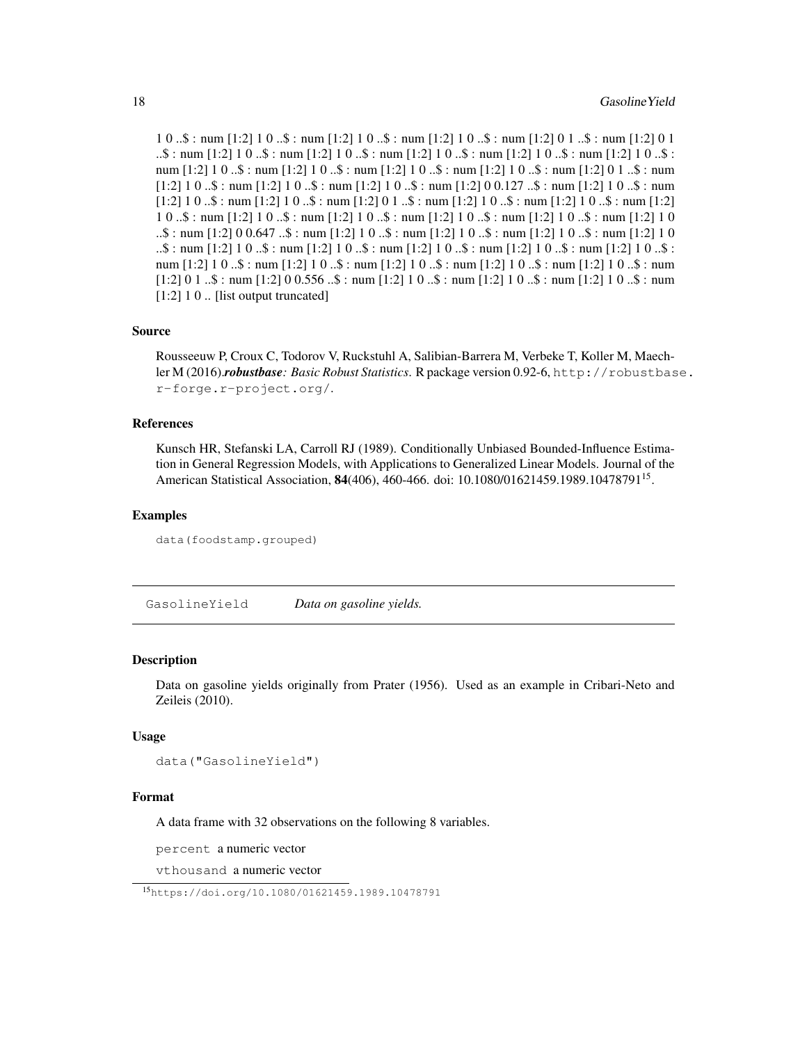1 0 ..\$ : num [1:2] 1 0 ..\$ : num [1:2] 1 0 ..\$ : num [1:2] 1 0 ..\$ : num [1:2] 0 1 ..\$ : num [1:2] 0 1  $\ldots$ \$ : num [1:2] 1 0 ..\$ : num [1:2] 1 0 ..\$ : num [1:2] 1 0 ..\$ : num [1:2] 1 0 ..\$ : num [1:2] 1 0 ..\$ : num [1:2] 1 0 ..\$ : num [1:2] 1 0 ..\$ : num [1:2] 1 0 ..\$ : num [1:2] 1 0 ..\$ : num [1:2] 0 1 ..\$ : num  $[1:2] 1 0 \dots$ \$ : num  $[1:2] 1 0 \dots$ \$ : num  $[1:2] 1 0 \dots$ \$ : num  $[1:2] 0 0.127 \dots$ \$ : num  $[1:2] 1 0 \dots$ \$ : num  $[1:2] 1 0 \dots$ \$ : num  $[1:2] 1 0 \dots$ \$ : num  $[1:2] 0 1 \dots$ \$ : num  $[1:2] 1 0 \dots$ \$ : num  $[1:2] 1 0 \dots$ \$ : num  $[1:2]$ 1 0 ..\$ : num [1:2] 1 0 ..\$ : num [1:2] 1 0 ..\$ : num [1:2] 1 0 ..\$ : num [1:2] 1 0 ..\$ : num [1:2] 1 0 ..\$ : num  $[1:2]$  0 0.647 ..\$ : num  $[1:2]$  1 0 ..\$ : num  $[1:2]$  1 0 ..\$ : num  $[1:2]$  1 0 ..\$ : num  $[1:2]$  1 0  $\ldots$ \$ : num [1:2] 1 0 ..\$ : num [1:2] 1 0 ..\$ : num [1:2] 1 0 ..\$ : num [1:2] 1 0 ..\$ : num [1:2] 1 0 ..\$ : num [1:2] 1 0 ..\$ : num [1:2] 1 0 ..\$ : num [1:2] 1 0 ..\$ : num [1:2] 1 0 ..\$ : num [1:2] 1 0 ..\$ : num  $[1:2] 0 1$  ..\$ : num  $[1:2] 0 0.556$  ..\$ : num  $[1:2] 1 0$  ..\$ : num  $[1:2] 1 0$  ..\$ : num  $[1:2] 1 0$  ..\$ : num [1:2] 1 0 .. [list output truncated]

### Source

Rousseeuw P, Croux C, Todorov V, Ruckstuhl A, Salibian-Barrera M, Verbeke T, Koller M, Maechler M (2016).*robustbase: Basic Robust Statistics*. R package version 0.92-6, http://robustbase. r-forge.r-project.org/.

#### References

Kunsch HR, Stefanski LA, Carroll RJ (1989). Conditionally Unbiased Bounded-Influence Estimation in General Regression Models, with Applications to Generalized Linear Models. Journal of the American Statistical Association, 84(406), 460-466. doi: 10.1080/01621459.1989.10478791<sup>15</sup>.

#### Examples

```
data(foodstamp.grouped)
```
GasolineYield *Data on gasoline yields.*

#### Description

Data on gasoline yields originally from Prater (1956). Used as an example in Cribari-Neto and Zeileis (2010).

### Usage

```
data("GasolineYield")
```
#### Format

A data frame with 32 observations on the following 8 variables.

percent a numeric vector

vthousand a numeric vector

<sup>15</sup>https://doi.org/10.1080/01621459.1989.10478791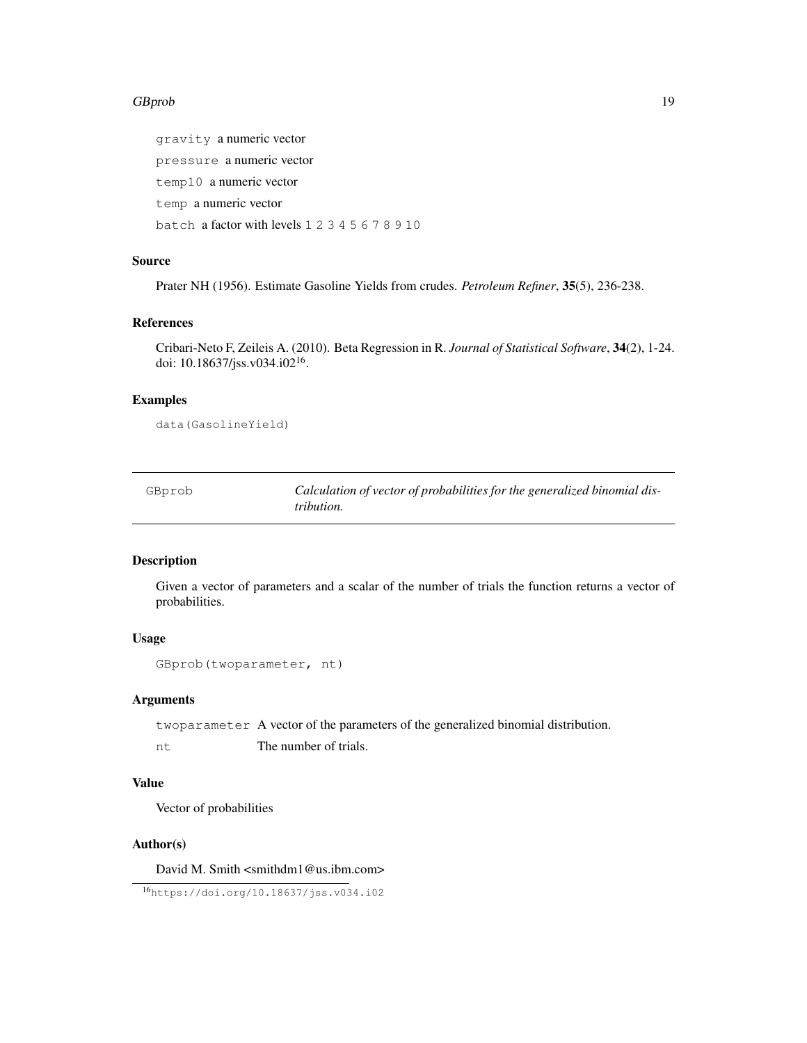#### GBprob the contract of the contract of the contract of the contract of the contract of the contract of the contract of the contract of the contract of the contract of the contract of the contract of the contract of the con

gravity a numeric vector pressure a numeric vector temp10 a numeric vector temp a numeric vector batch a factor with levels 1 2 3 4 5 6 7 8 9 10

### Source

Prater NH (1956). Estimate Gasoline Yields from crudes. *Petroleum Refiner*, 35(5), 236-238.

#### References

Cribari-Neto F, Zeileis A. (2010). Beta Regression in R. *Journal of Statistical Software*, 34(2), 1-24. doi: 10.18637/jss.v034.i02<sup>16</sup> .

#### Examples

data(GasolineYield)

GBprob *Calculation of vector of probabilities for the generalized binomial distribution.*

### Description

Given a vector of parameters and a scalar of the number of trials the function returns a vector of probabilities.

### Usage

```
GBprob(twoparameter, nt)
```
#### Arguments

twoparameter A vector of the parameters of the generalized binomial distribution.

nt The number of trials.

### Value

Vector of probabilities

### Author(s)

David M. Smith <smithdm1@us.ibm.com>

<sup>16</sup>https://doi.org/10.18637/jss.v034.i02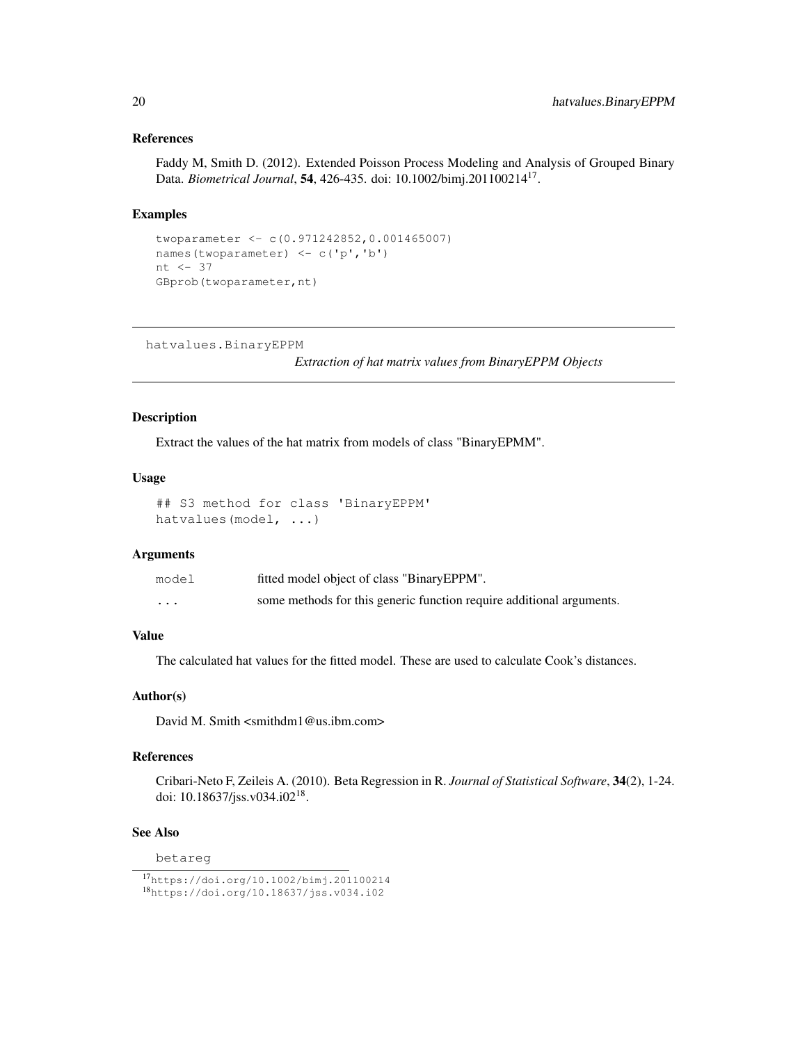### References

Faddy M, Smith D. (2012). Extended Poisson Process Modeling and Analysis of Grouped Binary Data. *Biometrical Journal*, 54, 426-435. doi: 10.1002/bimj.201100214<sup>17</sup> .

### Examples

```
twoparameter <- c(0.971242852,0.001465007)
names(twoparameter) <- c('p','b')
nt <- 37
GBprob(twoparameter,nt)
```
hatvalues.BinaryEPPM

*Extraction of hat matrix values from BinaryEPPM Objects*

#### Description

Extract the values of the hat matrix from models of class "BinaryEPMM".

### Usage

```
## S3 method for class 'BinaryEPPM'
hatvalues(model, ...)
```
### Arguments

| model    | fitted model object of class "BinaryEPPM".                           |
|----------|----------------------------------------------------------------------|
| $\cdots$ | some methods for this generic function require additional arguments. |

### Value

The calculated hat values for the fitted model. These are used to calculate Cook's distances.

### Author(s)

David M. Smith  $\langle$ smithdm1@us.ibm.com>

### References

Cribari-Neto F, Zeileis A. (2010). Beta Regression in R. *Journal of Statistical Software*, 34(2), 1-24. doi: 10.18637/jss.v034.i02<sup>18</sup>.

### See Also

betareg

<sup>17</sup>https://doi.org/10.1002/bimj.201100214 <sup>18</sup>https://doi.org/10.18637/jss.v034.i02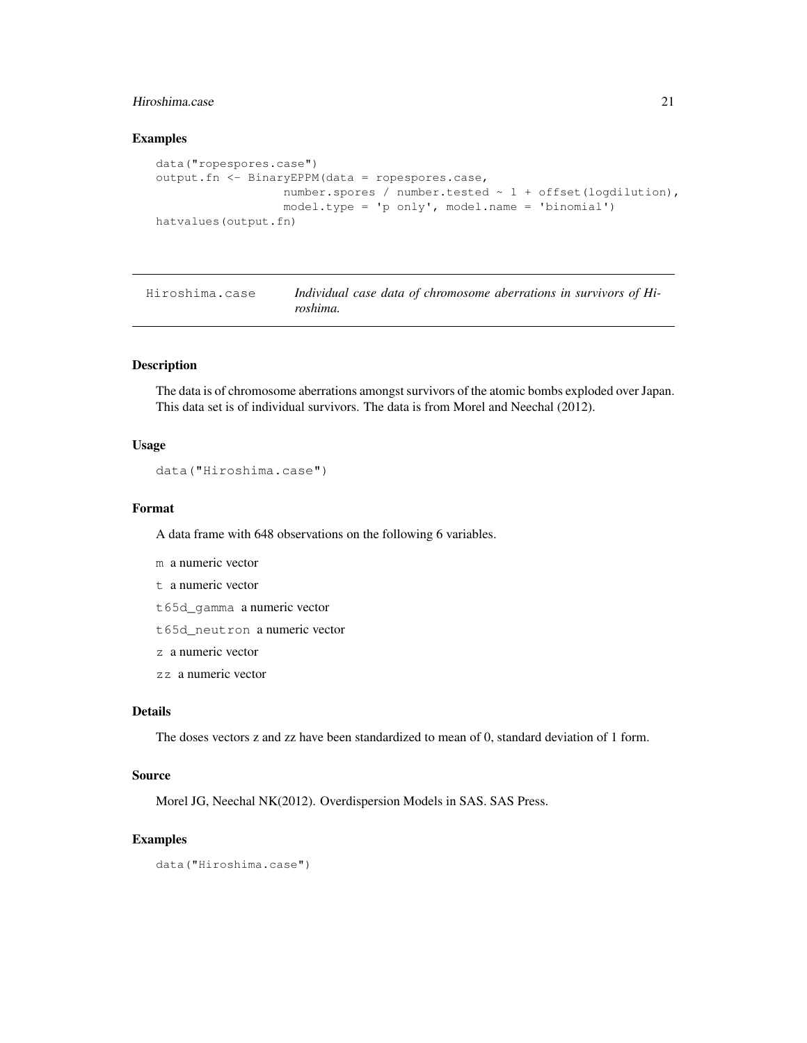### Hiroshima.case 21

### Examples

```
data("ropespores.case")
output.fn <- BinaryEPPM(data = ropespores.case,
                  number.spores / number.tested ~ 1 + offset(logdilution),
                  model.type = 'p only', model.name = 'binomial')
hatvalues(output.fn)
```

| Hiroshima.case | Individual case data of chromosome aberrations in survivors of Hi- |
|----------------|--------------------------------------------------------------------|
|                | roshima.                                                           |

#### Description

The data is of chromosome aberrations amongst survivors of the atomic bombs exploded over Japan. This data set is of individual survivors. The data is from Morel and Neechal (2012).

#### Usage

```
data("Hiroshima.case")
```
### Format

A data frame with 648 observations on the following 6 variables.

- m a numeric vector
- t a numeric vector
- t65d\_gamma a numeric vector
- t65d\_neutron a numeric vector
- z a numeric vector
- zz a numeric vector

### Details

The doses vectors z and zz have been standardized to mean of 0, standard deviation of 1 form.

### Source

Morel JG, Neechal NK(2012). Overdispersion Models in SAS. SAS Press.

### Examples

```
data("Hiroshima.case")
```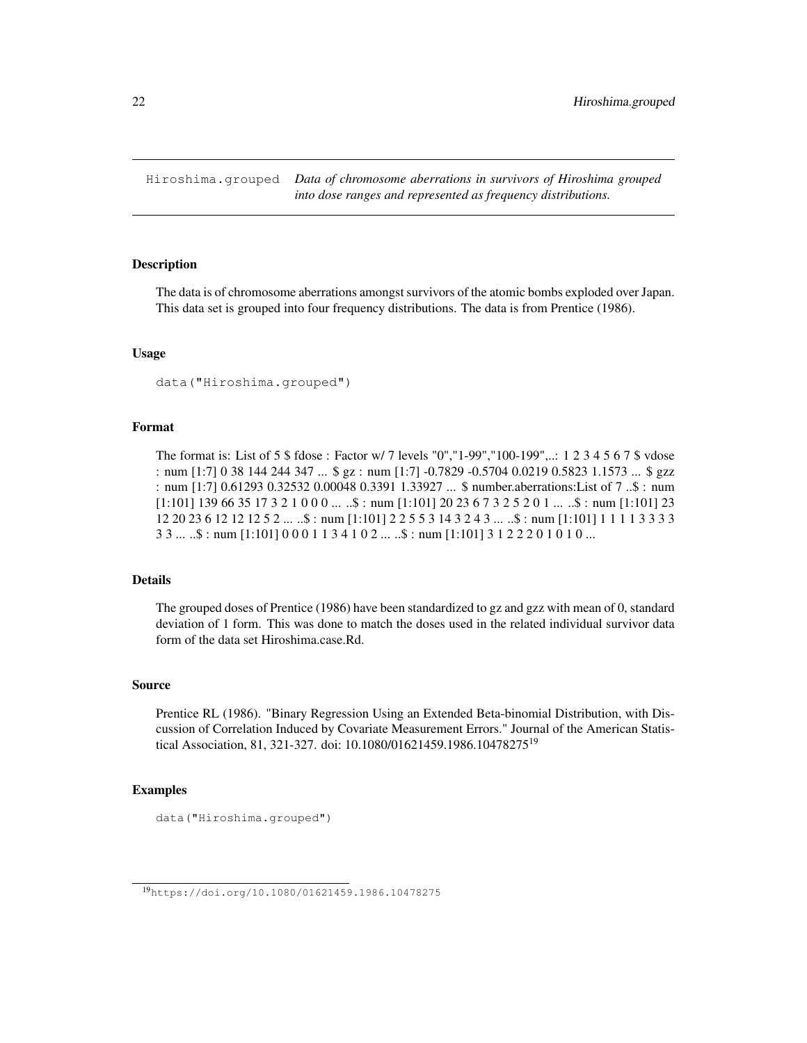Hiroshima.grouped *Data of chromosome aberrations in survivors of Hiroshima grouped into dose ranges and represented as frequency distributions.*

### Description

The data is of chromosome aberrations amongst survivors of the atomic bombs exploded over Japan. This data set is grouped into four frequency distributions. The data is from Prentice (1986).

### Usage

```
data("Hiroshima.grouped")
```
### Format

The format is: List of 5 \$ fdose : Factor w/ 7 levels "0","1-99","100-199",..: 1 2 3 4 5 6 7 \$ vdose : num [1:7] 0 38 144 244 347 ... \$ gz : num [1:7] -0.7829 -0.5704 0.0219 0.5823 1.1573 ... \$ gzz : num [1:7] 0.61293 0.32532 0.00048 0.3391 1.33927 ... \$ number.aberrations:List of 7 ..\$ : num  $[1:101]$  139 66 35 17 3 2 1 0 0 0 ...  $\therefore$  : num  $[1:101]$  20 23 6 7 3 2 5 2 0 1 ...  $\therefore$  : num  $[1:101]$  23 12 20 23 6 12 12 12 5 2 ... ..\$ : num [1:101] 2 2 5 5 3 14 3 2 4 3 ... ..\$ : num [1:101] 1 1 1 1 3 3 3 3 3 3 ... ..\$ : num [1:101] 0 0 0 1 1 3 4 1 0 2 ... ..\$ : num [1:101] 3 1 2 2 2 0 1 0 1 0 ...

### Details

The grouped doses of Prentice (1986) have been standardized to gz and gzz with mean of 0, standard deviation of 1 form. This was done to match the doses used in the related individual survivor data form of the data set Hiroshima.case.Rd.

#### Source

Prentice RL (1986). "Binary Regression Using an Extended Beta-binomial Distribution, with Discussion of Correlation Induced by Covariate Measurement Errors." Journal of the American Statistical Association, 81, 321-327. doi: 10.1080/01621459.1986.10478275<sup>19</sup>

### Examples

```
data("Hiroshima.grouped")
```
<sup>19</sup>https://doi.org/10.1080/01621459.1986.10478275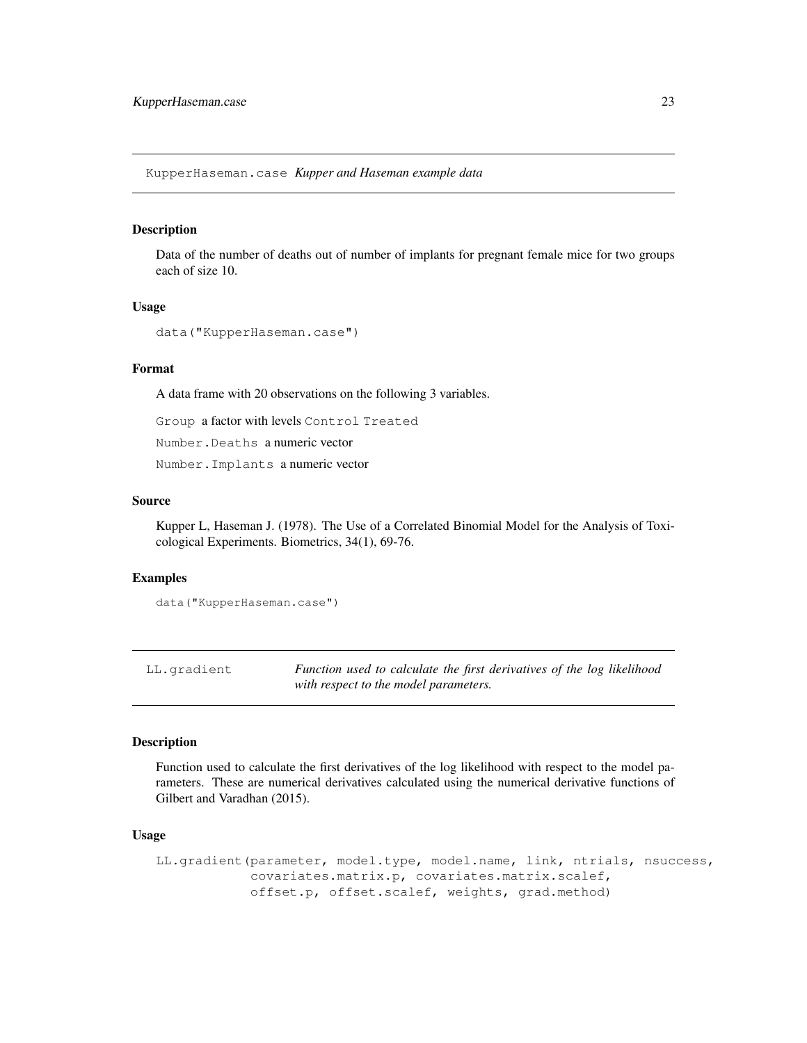KupperHaseman.case *Kupper and Haseman example data*

#### Description

Data of the number of deaths out of number of implants for pregnant female mice for two groups each of size 10.

### Usage

```
data("KupperHaseman.case")
```
### Format

A data frame with 20 observations on the following 3 variables.

Group a factor with levels Control Treated

Number.Deaths a numeric vector

Number.Implants a numeric vector

#### Source

Kupper L, Haseman J. (1978). The Use of a Correlated Binomial Model for the Analysis of Toxicological Experiments. Biometrics, 34(1), 69-76.

### Examples

```
data("KupperHaseman.case")
```
LL.gradient *Function used to calculate the first derivatives of the log likelihood with respect to the model parameters.*

#### Description

Function used to calculate the first derivatives of the log likelihood with respect to the model parameters. These are numerical derivatives calculated using the numerical derivative functions of Gilbert and Varadhan (2015).

#### Usage

```
LL.gradient(parameter, model.type, model.name, link, ntrials, nsuccess,
            covariates.matrix.p, covariates.matrix.scalef,
            offset.p, offset.scalef, weights, grad.method)
```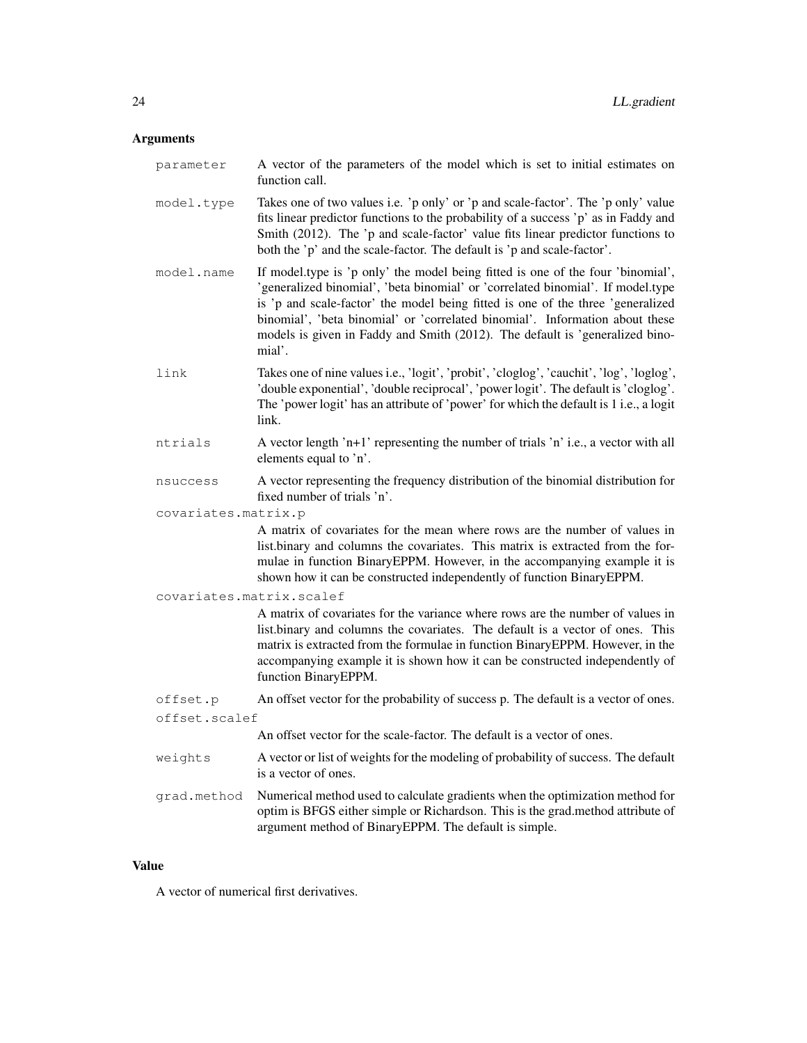#### Arguments

parameter A vector of the parameters of the model which is set to initial estimates on function call.

- model.type Takes one of two values i.e. 'p only' or 'p and scale-factor'. The 'p only' value fits linear predictor functions to the probability of a success 'p' as in Faddy and Smith (2012). The 'p and scale-factor' value fits linear predictor functions to both the 'p' and the scale-factor. The default is 'p and scale-factor'.
- model.name If model.type is 'p only' the model being fitted is one of the four 'binomial', 'generalized binomial', 'beta binomial' or 'correlated binomial'. If model.type is 'p and scale-factor' the model being fitted is one of the three 'generalized binomial', 'beta binomial' or 'correlated binomial'. Information about these models is given in Faddy and Smith (2012). The default is 'generalized binomial'.
- link Takes one of nine values i.e., 'logit', 'probit', 'cloglog', 'cauchit', 'log', 'loglog', 'double exponential', 'double reciprocal', 'power logit'. The default is 'cloglog'. The 'power logit' has an attribute of 'power' for which the default is 1 i.e., a logit link.
- ntrials A vector length 'n+1' representing the number of trials 'n' i.e., a vector with all elements equal to 'n'.
- nsuccess A vector representing the frequency distribution of the binomial distribution for fixed number of trials 'n'.
- covariates.matrix.p

A matrix of covariates for the mean where rows are the number of values in list.binary and columns the covariates. This matrix is extracted from the formulae in function BinaryEPPM. However, in the accompanying example it is shown how it can be constructed independently of function BinaryEPPM.

covariates.matrix.scalef

A matrix of covariates for the variance where rows are the number of values in list.binary and columns the covariates. The default is a vector of ones. This matrix is extracted from the formulae in function BinaryEPPM. However, in the accompanying example it is shown how it can be constructed independently of function BinaryEPPM.

offset.p An offset vector for the probability of success p. The default is a vector of ones. offset.scalef

An offset vector for the scale-factor. The default is a vector of ones.

- weights A vector or list of weights for the modeling of probability of success. The default is a vector of ones.
- grad.method Numerical method used to calculate gradients when the optimization method for optim is BFGS either simple or Richardson. This is the grad.method attribute of argument method of BinaryEPPM. The default is simple.

#### Value

A vector of numerical first derivatives.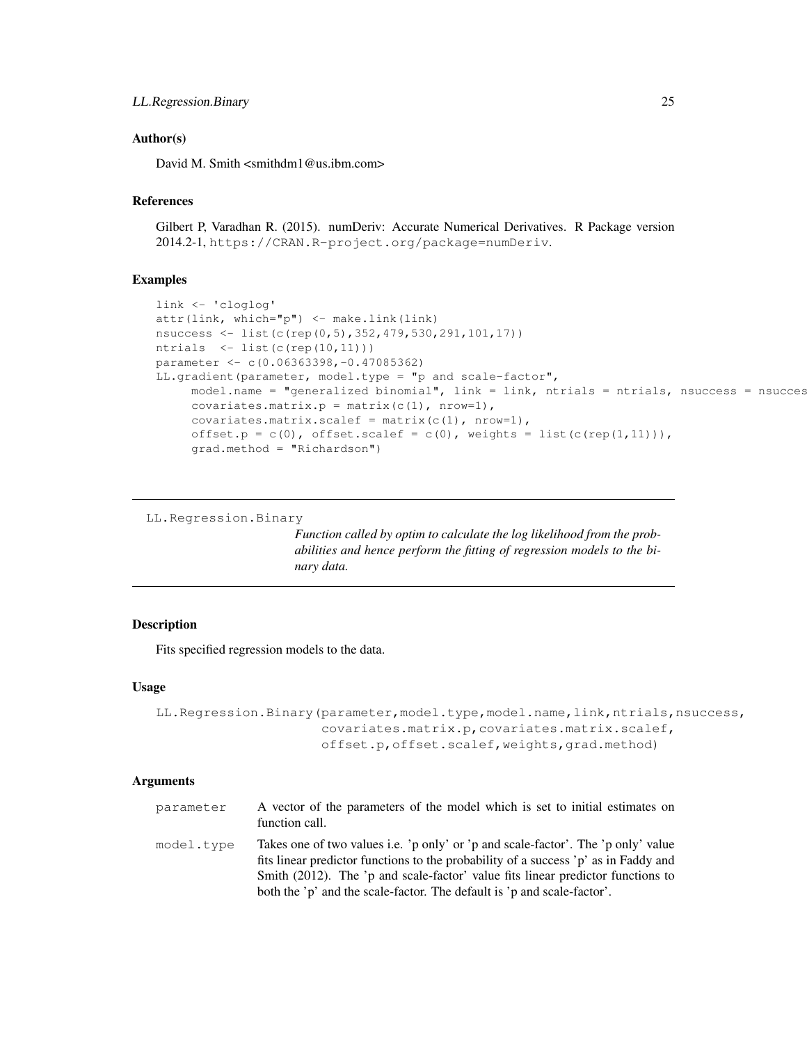### LL.Regression.Binary 25

### Author(s)

David M. Smith <smithdm1@us.ibm.com>

### References

Gilbert P, Varadhan R. (2015). numDeriv: Accurate Numerical Derivatives. R Package version 2014.2-1, https://CRAN.R-project.org/package=numDeriv.

### Examples

```
link <- 'cloglog'
attr(link, which="p") <- make.link(link)
nsuccess <- list(c(rep(0,5),352,479,530,291,101,17))
ntrials \leftarrow list(c(rep(10,11)))
parameter <- c(0.06363398,-0.47085362)
LL.gradient(parameter, model.type = "p and scale-factor",
     model.name = "generalized binomial", link = link, ntrials = ntrials, nsuccess = nsucces
     covariates.matrix.p = matrix(c(1), nrow=1),
     covariates.matrix.scalef = matrix(c(1), nrow=1),
     offset.p = c(0), offset.scalef = c(0), weights = list(c(rep(1,11))),
     grad.method = "Richardson")
```
LL.Regression.Binary

*Function called by optim to calculate the log likelihood from the probabilities and hence perform the fitting of regression models to the binary data.*

### Description

Fits specified regression models to the data.

#### Usage

```
LL.Regression.Binary(parameter,model.type,model.name,link,ntrials,nsuccess,
                     covariates.matrix.p,covariates.matrix.scalef,
                     offset.p,offset.scalef,weights,grad.method)
```
#### Arguments

| parameter  | A vector of the parameters of the model which is set to initial estimates on<br>function call.                                                                                                                                                                                                                                         |
|------------|----------------------------------------------------------------------------------------------------------------------------------------------------------------------------------------------------------------------------------------------------------------------------------------------------------------------------------------|
| model.type | Takes one of two values i.e. 'p only' or 'p and scale-factor'. The 'p only' value<br>fits linear predictor functions to the probability of a success 'p' as in Faddy and<br>Smith (2012). The 'p and scale-factor' value fits linear predictor functions to<br>both the 'p' and the scale-factor. The default is 'p and scale-factor'. |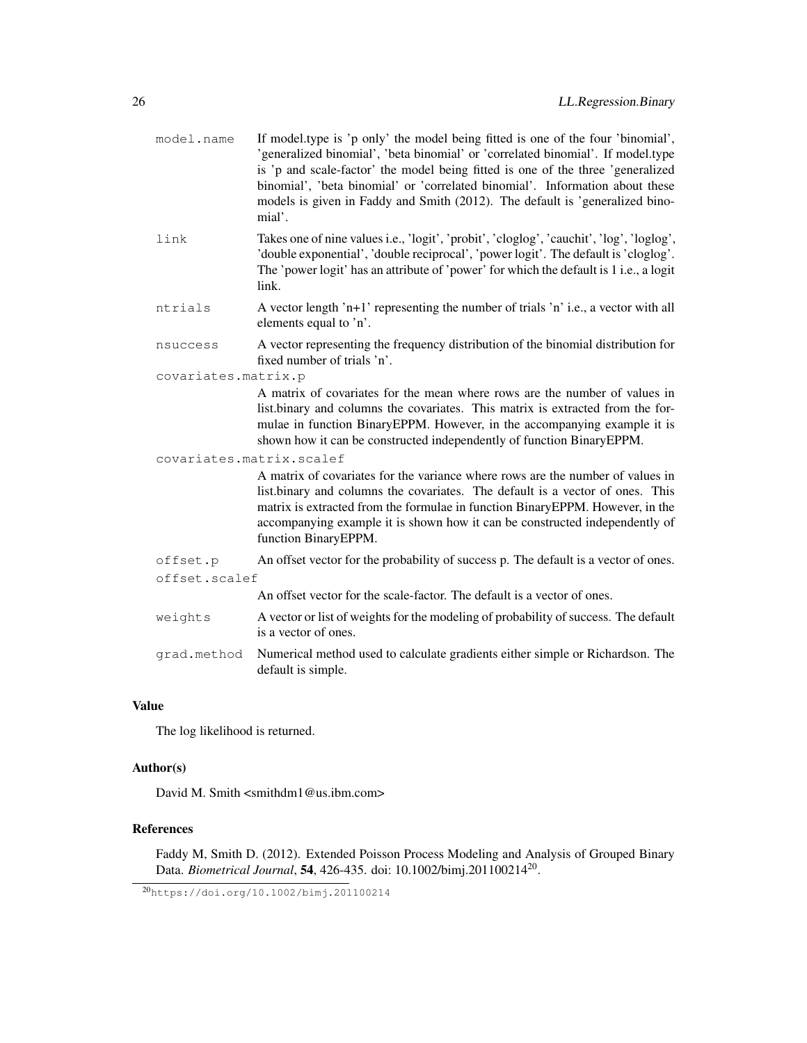| model.name               | If model type is 'p only' the model being fitted is one of the four 'binomial',<br>'generalized binomial', 'beta binomial' or 'correlated binomial'. If model.type<br>is 'p and scale-factor' the model being fitted is one of the three 'generalized<br>binomial', 'beta binomial' or 'correlated binomial'. Information about these<br>models is given in Faddy and Smith (2012). The default is 'generalized bino-<br>mial'. |  |
|--------------------------|---------------------------------------------------------------------------------------------------------------------------------------------------------------------------------------------------------------------------------------------------------------------------------------------------------------------------------------------------------------------------------------------------------------------------------|--|
| link                     | Takes one of nine values i.e., 'logit', 'probit', 'cloglog', 'cauchit', 'log', 'loglog',<br>'double exponential', 'double reciprocal', 'power logit'. The default is 'cloglog'.<br>The 'power logit' has an attribute of 'power' for which the default is 1 i.e., a logit<br>link.                                                                                                                                              |  |
| ntrials                  | A vector length 'n+1' representing the number of trials 'n' i.e., a vector with all<br>elements equal to 'n'.                                                                                                                                                                                                                                                                                                                   |  |
| nsuccess                 | A vector representing the frequency distribution of the binomial distribution for<br>fixed number of trials 'n'.                                                                                                                                                                                                                                                                                                                |  |
| covariates.matrix.p      |                                                                                                                                                                                                                                                                                                                                                                                                                                 |  |
|                          | A matrix of covariates for the mean where rows are the number of values in<br>list.binary and columns the covariates. This matrix is extracted from the for-<br>mulae in function BinaryEPPM. However, in the accompanying example it is<br>shown how it can be constructed independently of function BinaryEPPM.                                                                                                               |  |
| covariates.matrix.scalef |                                                                                                                                                                                                                                                                                                                                                                                                                                 |  |
|                          | A matrix of covariates for the variance where rows are the number of values in<br>list.binary and columns the covariates. The default is a vector of ones. This<br>matrix is extracted from the formulae in function BinaryEPPM. However, in the<br>accompanying example it is shown how it can be constructed independently of<br>function BinaryEPPM.                                                                         |  |
| offset.p                 | An offset vector for the probability of success p. The default is a vector of ones.                                                                                                                                                                                                                                                                                                                                             |  |
| offset.scalef            |                                                                                                                                                                                                                                                                                                                                                                                                                                 |  |
|                          | An offset vector for the scale-factor. The default is a vector of ones.                                                                                                                                                                                                                                                                                                                                                         |  |
| weights                  | A vector or list of weights for the modeling of probability of success. The default<br>is a vector of ones.                                                                                                                                                                                                                                                                                                                     |  |
| grad.method              | Numerical method used to calculate gradients either simple or Richardson. The<br>default is simple.                                                                                                                                                                                                                                                                                                                             |  |
|                          |                                                                                                                                                                                                                                                                                                                                                                                                                                 |  |

### Value

The log likelihood is returned.

### Author(s)

David M. Smith <smithdm1@us.ibm.com>

### References

Faddy M, Smith D. (2012). Extended Poisson Process Modeling and Analysis of Grouped Binary Data. *Biometrical Journal*, 54, 426-435. doi: 10.1002/bimj.201100214<sup>20</sup> .

<sup>20</sup>https://doi.org/10.1002/bimj.201100214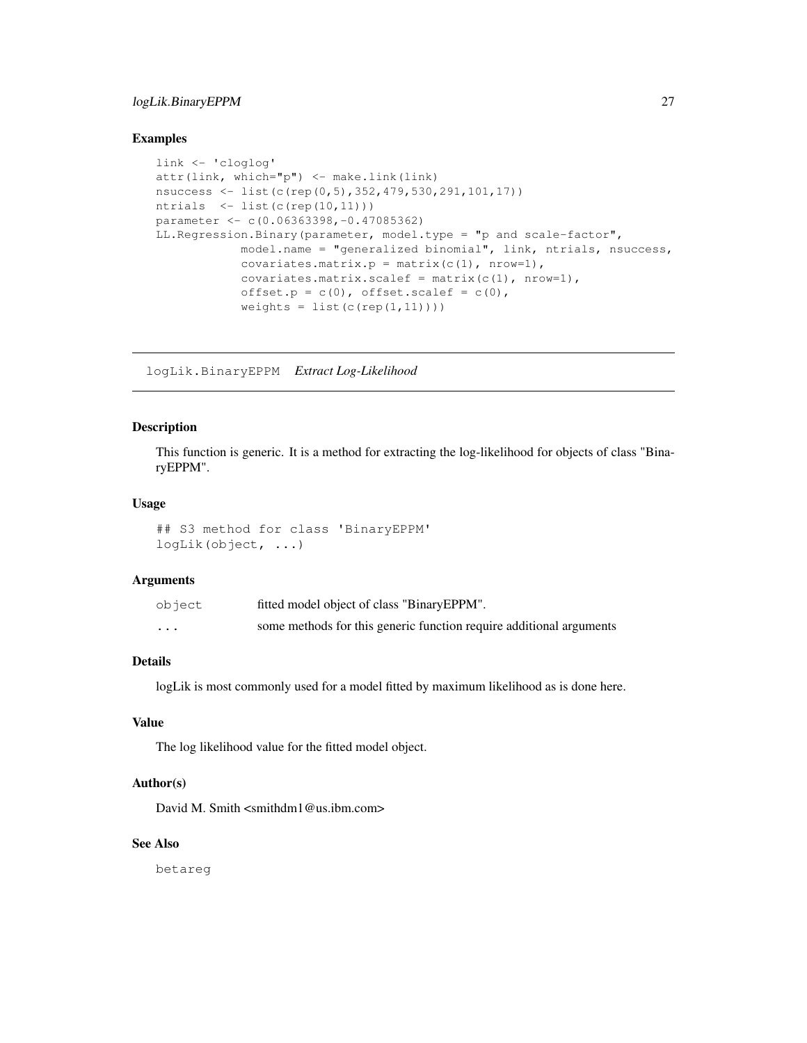### logLik.BinaryEPPM 27

#### Examples

```
link <- 'cloglog'
attr(link, which="p") <- make.link(link)
nsuccess <- list(c(rep(0,5),352,479,530,291,101,17))
ntrials <- list(c(rep(10,11)))
parameter <- c(0.06363398,-0.47085362)
LL.Regression.Binary(parameter, model.type = "p and scale-factor",
            model.name = "generalized binomial", link, ntrials, nsuccess,
            covariates.matrix.p = matrix(c(1), nrow=1),
            covariates.matrix.scalef = matrix(c(1), nrow=1),
            offset.p = c(0), offset.scalef = c(0),
            weights = list(c(rep(1,11))))
```
logLik.BinaryEPPM *Extract Log-Likelihood*

### Description

This function is generic. It is a method for extracting the log-likelihood for objects of class "BinaryEPPM".

#### Usage

```
## S3 method for class 'BinaryEPPM'
logLik(object, ...)
```
### Arguments

| object  | fitted model object of class "BinaryEPPM".                          |
|---------|---------------------------------------------------------------------|
| $\cdot$ | some methods for this generic function require additional arguments |

### Details

logLik is most commonly used for a model fitted by maximum likelihood as is done here.

#### Value

The log likelihood value for the fitted model object.

### Author(s)

David M. Smith <smithdm1@us.ibm.com>

### See Also

betareg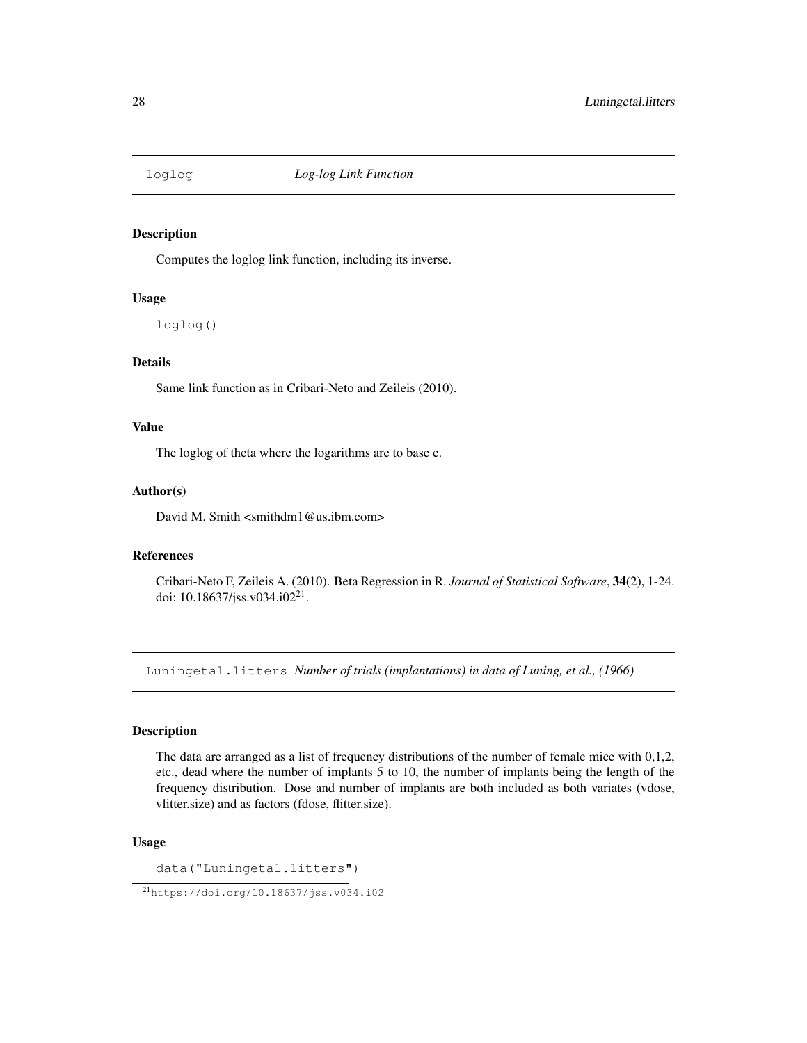### Description

Computes the loglog link function, including its inverse.

### Usage

loglog()

### Details

Same link function as in Cribari-Neto and Zeileis (2010).

### Value

The loglog of theta where the logarithms are to base e.

### Author(s)

David M. Smith <smithdm1@us.ibm.com>

#### References

Cribari-Neto F, Zeileis A. (2010). Beta Regression in R. *Journal of Statistical Software*, 34(2), 1-24. doi: 10.18637/jss.v034.i02<sup>21</sup>.

Luningetal.litters *Number of trials (implantations) in data of Luning, et al., (1966)*

### Description

The data are arranged as a list of frequency distributions of the number of female mice with 0,1,2, etc., dead where the number of implants 5 to 10, the number of implants being the length of the frequency distribution. Dose and number of implants are both included as both variates (vdose, vlitter.size) and as factors (fdose, flitter.size).

### Usage

data("Luningetal.litters")

<sup>21</sup>https://doi.org/10.18637/jss.v034.i02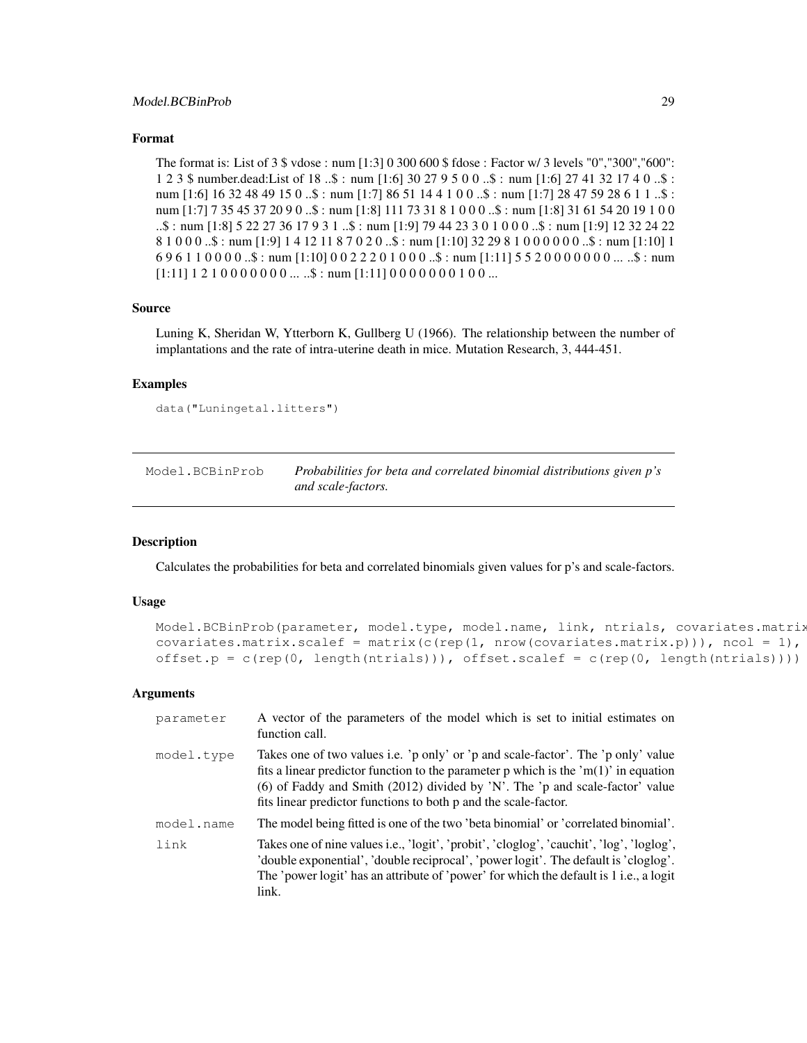### Format

The format is: List of 3 \$ vdose : num [1:3] 0 300 600 \$ fdose : Factor w/ 3 levels "0","300","600": 1 2 3 \$ number.dead:List of 18 ..\$ : num [1:6] 30 27 9 5 0 0 ..\$ : num [1:6] 27 41 32 17 4 0 ..\$ : num [1:6] 16 32 48 49 15 0 ..\$ : num [1:7] 86 51 14 4 1 0 0 ..\$ : num [1:7] 28 47 59 28 6 1 1 ..\$ : num [1:7] 7 35 45 37 20 9 0 ..\$ : num [1:8] 111 73 31 8 1 0 0 0 ..\$ : num [1:8] 31 61 54 20 19 1 0 0 ..\$ : num [1:8] 5 22 27 36 17 9 3 1 ..\$ : num [1:9] 79 44 23 3 0 1 0 0 0 ..\$ : num [1:9] 12 32 24 22 8 1 0 0 0 ..\$ : num [1:9] 1 4 12 11 8 7 0 2 0 ..\$ : num [1:10] 32 29 8 1 0 0 0 0 0 0 ..\$ : num [1:10] 1  $696110000...$ \$: num  $[1:10]0022201000...$ \$: num  $[1:11]5520000000...$ ... ..\$: num  $[1:11] 1 2 1 0 0 0 0 0 0 0 ...$   $\therefore$   $\$$  : num  $[1:11] 0 0 0 0 0 0 0 1 0 0 ...$ 

### Source

Luning K, Sheridan W, Ytterborn K, Gullberg U (1966). The relationship between the number of implantations and the rate of intra-uterine death in mice. Mutation Research, 3, 444-451.

### Examples

```
data("Luningetal.litters")
```

| Model.BCBinProb | Probabilities for beta and correlated binomial distributions given p's |
|-----------------|------------------------------------------------------------------------|
|                 | and scale-factors.                                                     |

### Description

Calculates the probabilities for beta and correlated binomials given values for p's and scale-factors.

### Usage

```
Model.BCBinProb(parameter, model.type, model.name, link, ntrials, covariates.matrix
covariates.matrix.scalef = matrix(c(rep(1, nrow(covariates.matrix.p))), ncol = 1),
offset.p = c(rep(0, length(ntrials))), offset.scalef = c(rep(0, length(ntrials))))
```
#### Arguments

| parameter  | A vector of the parameters of the model which is set to initial estimates on<br>function call.                                                                                                                                                                                                                              |
|------------|-----------------------------------------------------------------------------------------------------------------------------------------------------------------------------------------------------------------------------------------------------------------------------------------------------------------------------|
| model.type | Takes one of two values i.e. 'p only' or 'p and scale-factor'. The 'p only' value<br>fits a linear predictor function to the parameter p which is the 'm(1)' in equation<br>(6) of Faddy and Smith (2012) divided by 'N'. The 'p and scale-factor' value<br>fits linear predictor functions to both p and the scale-factor. |
| model.name | The model being fitted is one of the two 'beta binomial' or 'correlated binomial'.                                                                                                                                                                                                                                          |
| link       | Takes one of nine values i.e., 'logit', 'probit', 'cloglog', 'cauchit', 'log', 'loglog',<br>'double exponential', 'double reciprocal', 'power logit'. The default is 'cloglog'.<br>The 'power logit' has an attribute of 'power' for which the default is 1 i.e., a logit<br>link.                                          |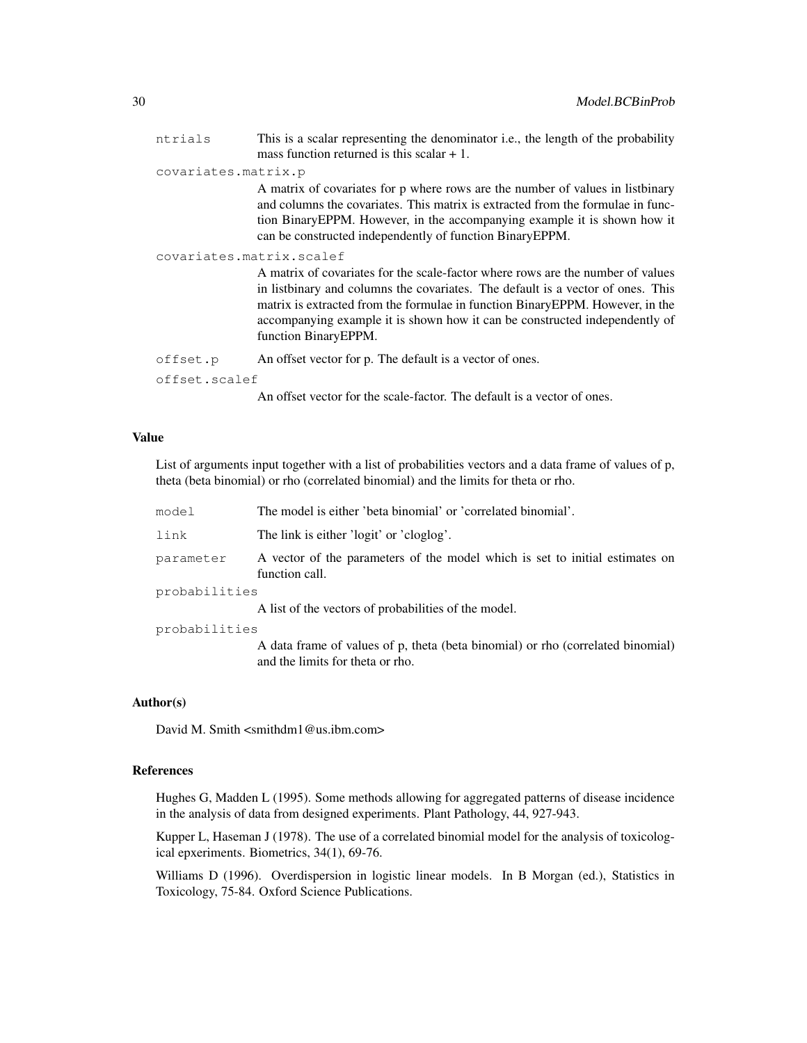| ntrials                  | This is a scalar representing the denominator i.e., the length of the probability<br>mass function returned is this scalar $+1$ .                                                                                                                                                                                                                          |
|--------------------------|------------------------------------------------------------------------------------------------------------------------------------------------------------------------------------------------------------------------------------------------------------------------------------------------------------------------------------------------------------|
| covariates.matrix.p      |                                                                                                                                                                                                                                                                                                                                                            |
|                          | A matrix of covariates for p where rows are the number of values in listbinary<br>and columns the covariates. This matrix is extracted from the formulae in func-<br>tion Binary EPPM. However, in the accompanying example it is shown how it<br>can be constructed independently of function Binary EPPM.                                                |
| covariates.matrix.scalef |                                                                                                                                                                                                                                                                                                                                                            |
|                          | A matrix of covariates for the scale-factor where rows are the number of values<br>in listbinary and columns the covariates. The default is a vector of ones. This<br>matrix is extracted from the formulae in function BinaryEPPM. However, in the<br>accompanying example it is shown how it can be constructed independently of<br>function BinaryEPPM. |
| offset.p                 | An offset vector for p. The default is a vector of ones.                                                                                                                                                                                                                                                                                                   |
| offset.scalef            |                                                                                                                                                                                                                                                                                                                                                            |
|                          | An offset vector for the scale-factor. The default is a vector of ones.                                                                                                                                                                                                                                                                                    |

#### Value

List of arguments input together with a list of probabilities vectors and a data frame of values of p, theta (beta binomial) or rho (correlated binomial) and the limits for theta or rho.

| model         | The model is either 'beta binomial' or 'correlated binomial'.                                                       |
|---------------|---------------------------------------------------------------------------------------------------------------------|
| link          | The link is either 'logit' or 'cloglog'.                                                                            |
| parameter     | A vector of the parameters of the model which is set to initial estimates on<br>function call.                      |
| probabilities |                                                                                                                     |
|               | A list of the vectors of probabilities of the model.                                                                |
| probabilities |                                                                                                                     |
|               | A data frame of values of p, theta (beta binomial) or rho (correlated binomial)<br>and the limits for theta or rho. |

### Author(s)

David M. Smith <smithdm1@us.ibm.com>

### References

Hughes G, Madden L (1995). Some methods allowing for aggregated patterns of disease incidence in the analysis of data from designed experiments. Plant Pathology, 44, 927-943.

Kupper L, Haseman J (1978). The use of a correlated binomial model for the analysis of toxicological epxeriments. Biometrics, 34(1), 69-76.

Williams D (1996). Overdispersion in logistic linear models. In B Morgan (ed.), Statistics in Toxicology, 75-84. Oxford Science Publications.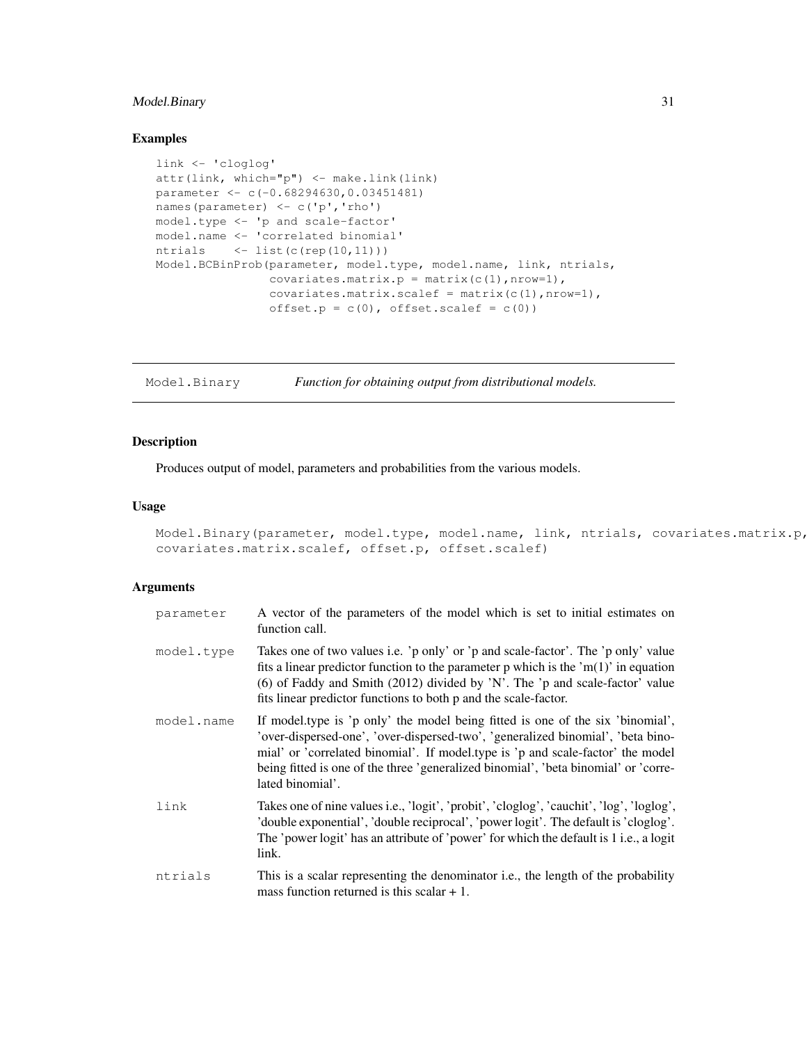### Model.Binary 31

### Examples

```
link <- 'cloglog'
attr(link, which="p") <- make.link(link)
parameter <- c(-0.68294630,0.03451481)
names(parameter) <- c('p','rho')
model.type <- 'p and scale-factor'
model.name <- 'correlated binomial'
ntrials \langle -1 list(c(rep(10,11)))
Model.BCBinProb(parameter, model.type, model.name, link, ntrials,
                covariates.matrix.p = matrix(c(1), nrow=1),
                covariates.matrix.scalef = matrix(c(1), nrow=1),
                offset.p = c(0), offset.scalef = c(0))
```
Model.Binary *Function for obtaining output from distributional models.*

### Description

Produces output of model, parameters and probabilities from the various models.

### Usage

```
Model.Binary(parameter, model.type, model.name, link, ntrials, covariates.matrix.p,
covariates.matrix.scalef, offset.p, offset.scalef)
```
### Arguments

| parameter  | A vector of the parameters of the model which is set to initial estimates on<br>function call.                                                                                                                                                                                                                                                                  |
|------------|-----------------------------------------------------------------------------------------------------------------------------------------------------------------------------------------------------------------------------------------------------------------------------------------------------------------------------------------------------------------|
| model.type | Takes one of two values i.e. 'p only' or 'p and scale-factor'. The 'p only' value<br>fits a linear predictor function to the parameter p which is the 'm(1)' in equation<br>(6) of Faddy and Smith (2012) divided by 'N'. The 'p and scale-factor' value<br>fits linear predictor functions to both p and the scale-factor.                                     |
| model.name | If model type is 'p only' the model being fitted is one of the six 'binomial',<br>'over-dispersed-one', 'over-dispersed-two', 'generalized binomial', 'beta bino-<br>mial' or 'correlated binomial'. If model type is 'p and scale-factor' the model<br>being fitted is one of the three 'generalized binomial', 'beta binomial' or 'corre-<br>lated binomial'. |
| link       | Takes one of nine values i.e., 'logit', 'probit', 'cloglog', 'cauchit', 'log', 'loglog',<br>'double exponential', 'double reciprocal', 'power logit'. The default is 'cloglog'.<br>The 'power logit' has an attribute of 'power' for which the default is 1 i.e., a logit<br>link.                                                                              |
| ntrials    | This is a scalar representing the denominator i.e., the length of the probability<br>mass function returned is this scalar $+1$ .                                                                                                                                                                                                                               |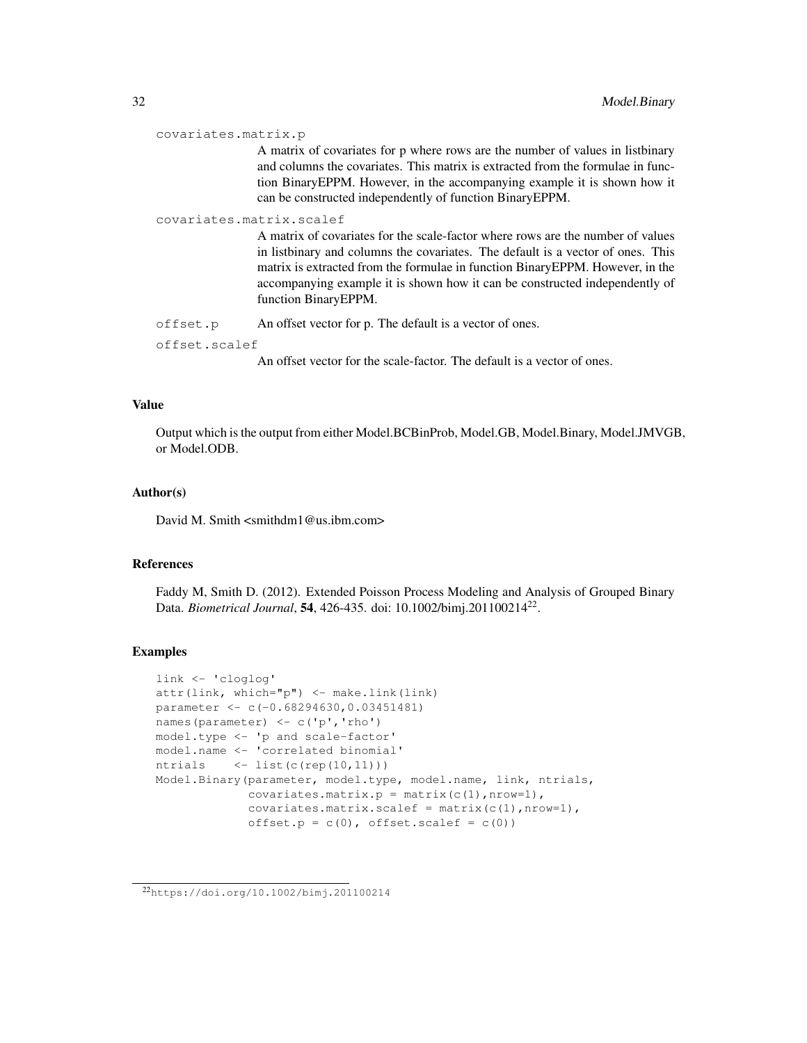```
covariates.matrix.p
```
A matrix of covariates for p where rows are the number of values in listbinary and columns the covariates. This matrix is extracted from the formulae in function BinaryEPPM. However, in the accompanying example it is shown how it can be constructed independently of function BinaryEPPM.

### covariates.matrix.scalef

A matrix of covariates for the scale-factor where rows are the number of values in listbinary and columns the covariates. The default is a vector of ones. This matrix is extracted from the formulae in function BinaryEPPM. However, in the accompanying example it is shown how it can be constructed independently of function BinaryEPPM.

offset.p An offset vector for p. The default is a vector of ones.

offset.scalef

An offset vector for the scale-factor. The default is a vector of ones.

### Value

Output which is the output from either Model.BCBinProb, Model.GB, Model.Binary, Model.JMVGB, or Model.ODB.

#### Author(s)

David M. Smith <smithdm1@us.ibm.com>

### References

Faddy M, Smith D. (2012). Extended Poisson Process Modeling and Analysis of Grouped Binary Data. *Biometrical Journal*, 54, 426-435. doi: 10.1002/bimj.201100214<sup>22</sup> .

### Examples

```
link <- 'cloglog'
attr(link, which="p") <- make.link(link)
parameter <- c(-0.68294630,0.03451481)
names(parameter) <- c('p','rho')
model.type <- 'p and scale-factor'
model.name <- 'correlated binomial'
ntrials \langle -1 list(c(rep(10,11)))
Model.Binary(parameter, model.type, model.name, link, ntrials,
             covariates.matrix.p = matrix(c(1), nrow=1),
             covariates.matrix.scalef = matrix(c(1), nrow=1),
             offset.p = c(0), offset.scalef = c(0))
```
<sup>22</sup>https://doi.org/10.1002/bimj.201100214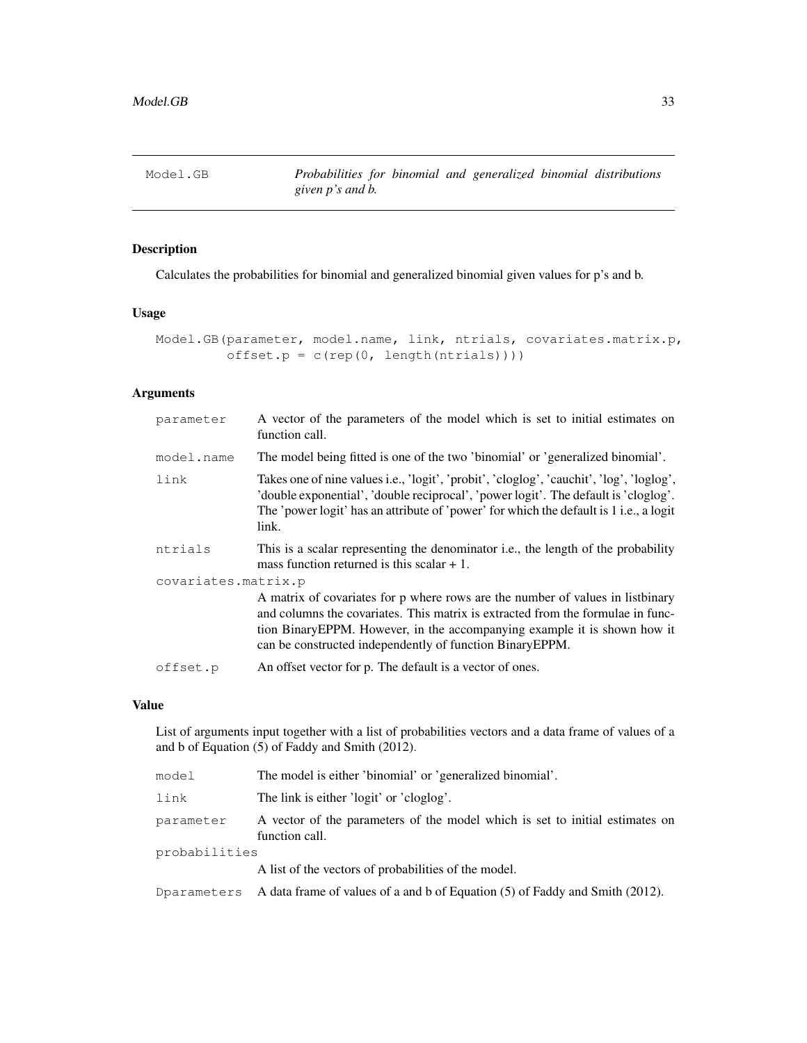### Description

Calculates the probabilities for binomial and generalized binomial given values for p's and b.

### Usage

```
Model.GB(parameter, model.name, link, ntrials, covariates.matrix.p,
         offset.p = c(rep(0, length(ntrials))))
```
### Arguments

| parameter           | A vector of the parameters of the model which is set to initial estimates on<br>function call.                                                                                                                                                                                                              |  |
|---------------------|-------------------------------------------------------------------------------------------------------------------------------------------------------------------------------------------------------------------------------------------------------------------------------------------------------------|--|
| model.name          | The model being fitted is one of the two 'binomial' or 'generalized binomial'.                                                                                                                                                                                                                              |  |
| link                | Takes one of nine values i.e., 'logit', 'probit', 'cloglog', 'cauchit', 'log', 'loglog',<br>'double exponential', 'double reciprocal', 'power logit'. The default is 'cloglog'.<br>The 'power logit' has an attribute of 'power' for which the default is 1 i.e., a logit<br>link.                          |  |
| ntrials             | This is a scalar representing the denominator i.e., the length of the probability<br>mass function returned is this scalar $+1$ .                                                                                                                                                                           |  |
| covariates.matrix.p |                                                                                                                                                                                                                                                                                                             |  |
|                     | A matrix of covariates for p where rows are the number of values in listbinary<br>and columns the covariates. This matrix is extracted from the formulae in func-<br>tion Binary EPPM. However, in the accompanying example it is shown how it<br>can be constructed independently of function Binary EPPM. |  |
| offset.p            | An offset vector for p. The default is a vector of ones.                                                                                                                                                                                                                                                    |  |

### Value

List of arguments input together with a list of probabilities vectors and a data frame of values of a and b of Equation (5) of Faddy and Smith (2012).

| model         | The model is either 'binomial' or 'generalized binomial'.                                      |  |
|---------------|------------------------------------------------------------------------------------------------|--|
| link          | The link is either 'logit' or 'cloglog'.                                                       |  |
| parameter     | A vector of the parameters of the model which is set to initial estimates on<br>function call. |  |
| probabilities |                                                                                                |  |
|               | A list of the vectors of probabilities of the model.                                           |  |
|               | Dparameters A data frame of values of a and b of Equation $(5)$ of Faddy and Smith $(2012)$ .  |  |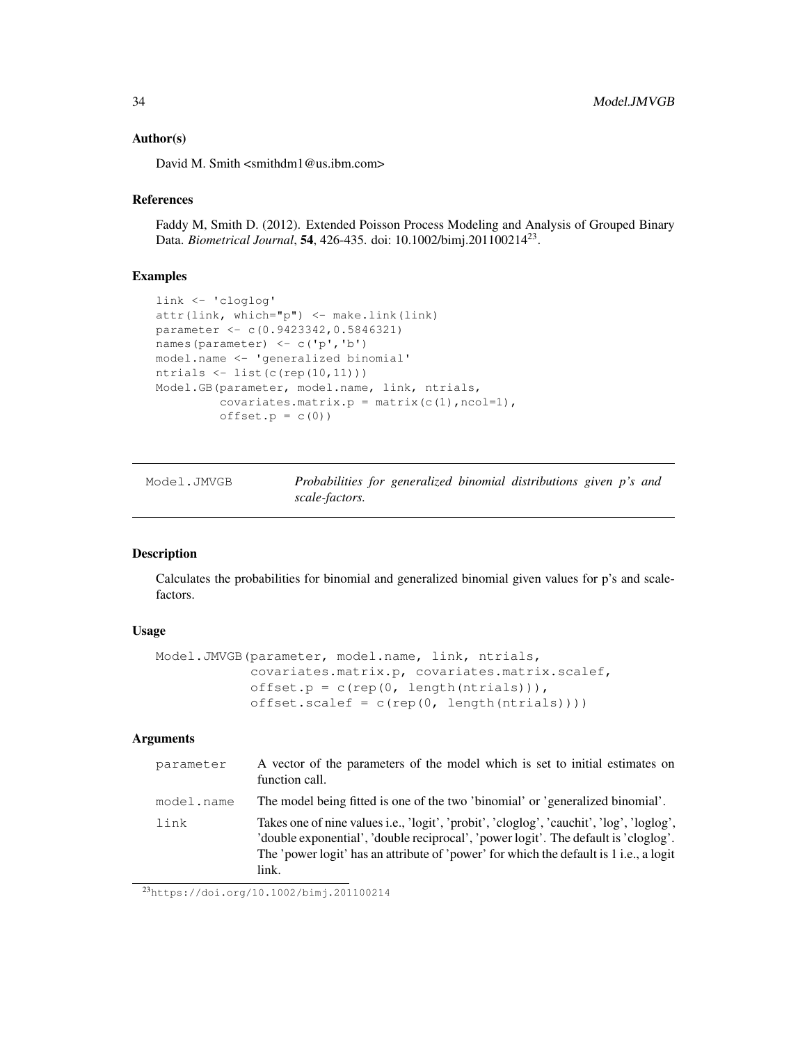### Author(s)

David M. Smith <smithdm1@us.ibm.com>

#### **References**

Faddy M, Smith D. (2012). Extended Poisson Process Modeling and Analysis of Grouped Binary Data. *Biometrical Journal*, 54, 426-435. doi: 10.1002/bimj.201100214<sup>23</sup> .

### Examples

```
link <- 'cloglog'
attr(link, which="p") <- make.link(link)
parameter <- c(0.9423342,0.5846321)
names(parameter) <- c('p','b')
model.name <- 'generalized binomial'
ntrials <- list(c(rep(10,11)))
Model.GB(parameter, model.name, link, ntrials,
         covariates.matrix.p = matrix(c(1), ncol=1),
         offset.p = c(0)
```
Model.JMVGB *Probabilities for generalized binomial distributions given p's and scale-factors.*

### Description

Calculates the probabilities for binomial and generalized binomial given values for p's and scalefactors.

### Usage

```
Model.JMVGB(parameter, model.name, link, ntrials,
             covariates.matrix.p, covariates.matrix.scalef,
             offset.p = c(rep(0, length(ntrials))),
             offset.\text{scalef} = c(\text{rep}(0, \text{length}(ntrials))))
```
### Arguments

| parameter  | A vector of the parameters of the model which is set to initial estimates on<br>function call.                                                                                                                                                                                     |
|------------|------------------------------------------------------------------------------------------------------------------------------------------------------------------------------------------------------------------------------------------------------------------------------------|
| model.name | The model being fitted is one of the two 'binomial' or 'generalized binomial'.                                                                                                                                                                                                     |
| link       | Takes one of nine values i.e., 'logit', 'probit', 'cloglog', 'cauchit', 'log', 'loglog',<br>'double exponential', 'double reciprocal', 'power logit'. The default is 'cloglog'.<br>The 'power logit' has an attribute of 'power' for which the default is 1 i.e., a logit<br>link. |

<sup>23</sup>https://doi.org/10.1002/bimj.201100214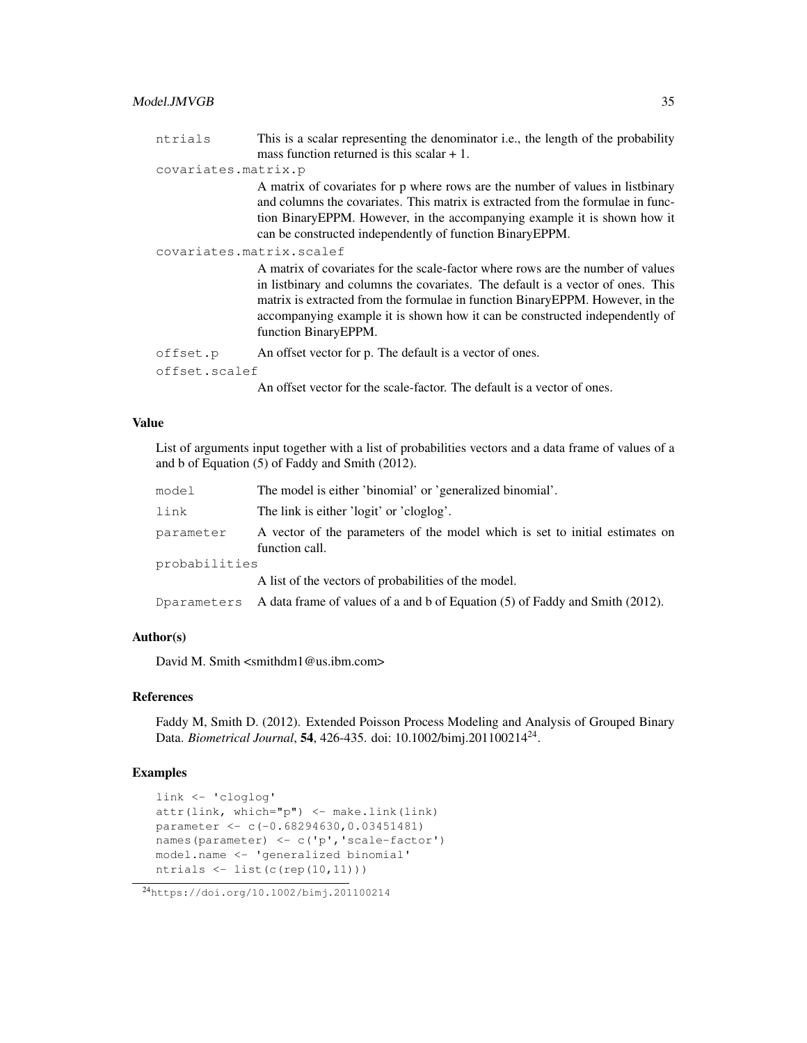### Model.JMVGB 35

| ntrials             | This is a scalar representing the denominator i.e., the length of the probability                                                                                                                                                                                                                                                                           |
|---------------------|-------------------------------------------------------------------------------------------------------------------------------------------------------------------------------------------------------------------------------------------------------------------------------------------------------------------------------------------------------------|
|                     | mass function returned is this scalar $+1$ .                                                                                                                                                                                                                                                                                                                |
| covariates.matrix.p |                                                                                                                                                                                                                                                                                                                                                             |
|                     | A matrix of covariates for p where rows are the number of values in listbinary<br>and columns the covariates. This matrix is extracted from the formulae in func-<br>tion Binary EPPM. However, in the accompanying example it is shown how it<br>can be constructed independently of function Binary EPPM.                                                 |
|                     | covariates.matrix.scalef                                                                                                                                                                                                                                                                                                                                    |
|                     | A matrix of covariates for the scale-factor where rows are the number of values<br>in listbinary and columns the covariates. The default is a vector of ones. This<br>matrix is extracted from the formulae in function Binary EPPM. However, in the<br>accompanying example it is shown how it can be constructed independently of<br>function BinaryEPPM. |
| offset.p            | An offset vector for p. The default is a vector of ones.                                                                                                                                                                                                                                                                                                    |
| offset.scalef       |                                                                                                                                                                                                                                                                                                                                                             |
|                     | An offset vector for the scale-factor. The default is a vector of ones.                                                                                                                                                                                                                                                                                     |

### Value

List of arguments input together with a list of probabilities vectors and a data frame of values of a and b of Equation (5) of Faddy and Smith (2012).

| model         | The model is either 'binomial' or 'generalized binomial'.                                      |  |
|---------------|------------------------------------------------------------------------------------------------|--|
| link          | The link is either 'logit' or 'cloglog'.                                                       |  |
| parameter     | A vector of the parameters of the model which is set to initial estimates on<br>function call. |  |
| probabilities |                                                                                                |  |
|               | A list of the vectors of probabilities of the model.                                           |  |
| Dparameters   | A data frame of values of a and b of Equation (5) of Faddy and Smith (2012).                   |  |

### Author(s)

David M. Smith <smithdm1@us.ibm.com>

### References

Faddy M, Smith D. (2012). Extended Poisson Process Modeling and Analysis of Grouped Binary Data. *Biometrical Journal*, 54, 426-435. doi: 10.1002/bimj.201100214<sup>24</sup> .

### Examples

```
link <- 'cloglog'
attr(link, which="p") <- make.link(link)
parameter <- c(-0.68294630,0.03451481)
names(parameter) <- c('p','scale-factor')
model.name <- 'generalized binomial'
ntrials <- list(c(rep(10,11)))
```
<sup>24</sup>https://doi.org/10.1002/bimj.201100214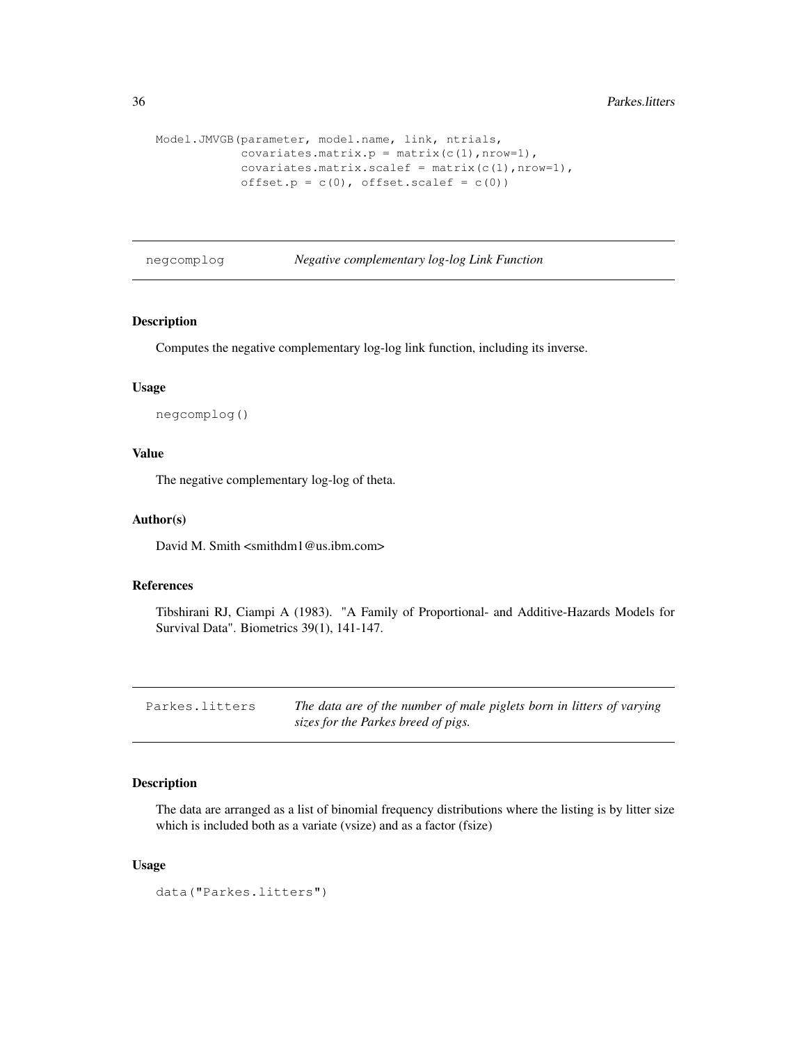```
Model.JMVGB(parameter, model.name, link, ntrials,
           covariates.matrix.p = matrix(c(1), nrow=1),
            covariates.matrix.scalef = matrix(c(1), nrow=1),
            offset.p = c(0), offset.scalef = c(0))
```
negcomplog *Negative complementary log-log Link Function*

### Description

Computes the negative complementary log-log link function, including its inverse.

### Usage

negcomplog()

### Value

The negative complementary log-log of theta.

### Author(s)

David M. Smith <smithdm1@us.ibm.com>

### References

Tibshirani RJ, Ciampi A (1983). "A Family of Proportional- and Additive-Hazards Models for Survival Data". Biometrics 39(1), 141-147.

| Parkes.litters | The data are of the number of male piglets born in litters of varying |
|----------------|-----------------------------------------------------------------------|
|                | sizes for the Parkes breed of pigs.                                   |

### Description

The data are arranged as a list of binomial frequency distributions where the listing is by litter size which is included both as a variate (vsize) and as a factor (fsize)

#### Usage

```
data("Parkes.litters")
```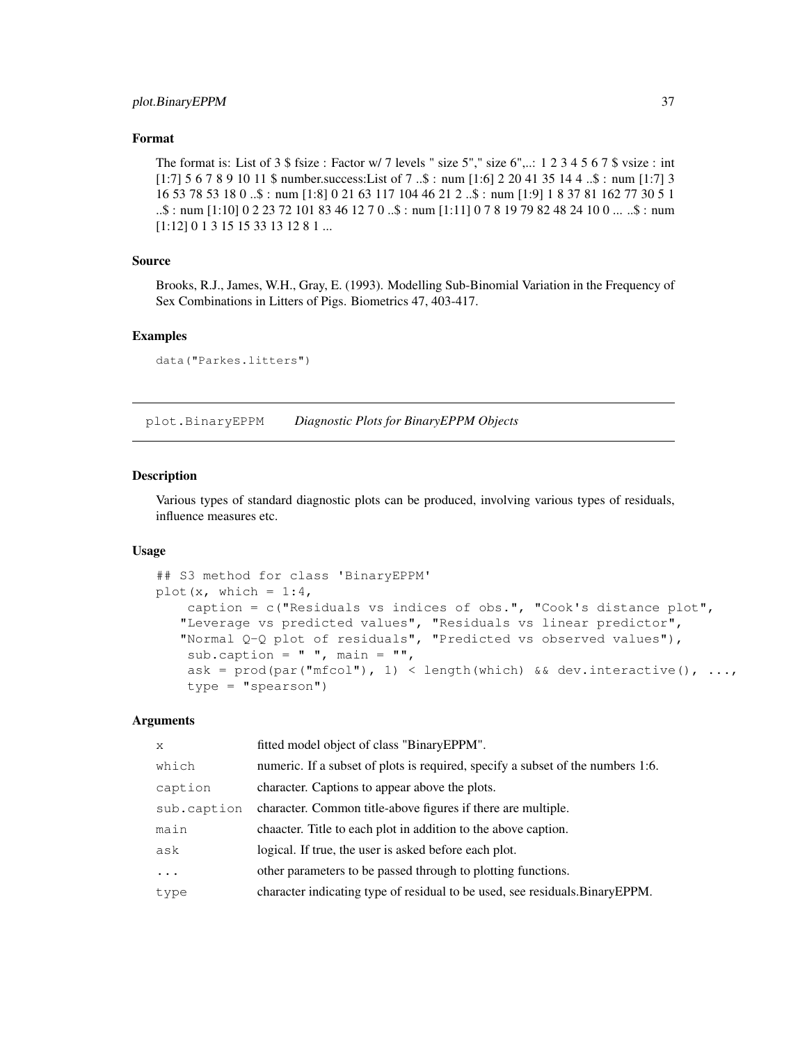### Format

The format is: List of  $3 \text{ }$  fsize : Factor w/  $7$  levels " size  $5$ "," size  $6$ ",..: 1 2  $3 \text{ } 4 \text{ } 5 \text{ } 6 \text{ } 7 \text{ }$  s vsize : int [1:7] 5 6 7 8 9 10 11 \$ number.success:List of 7 ..\$ : num [1:6] 2 20 41 35 14 4 ..\$ : num [1:7] 3 16 53 78 53 18 0 ..\$ : num [1:8] 0 21 63 117 104 46 21 2 ..\$ : num [1:9] 1 8 37 81 162 77 30 5 1 ..\$ : num [1:10] 0 2 23 72 101 83 46 12 7 0 ..\$ : num [1:11] 0 7 8 19 79 82 48 24 10 0 ... ..\$ : num [1:12] 0 1 3 15 15 33 13 12 8 1 ...

### Source

Brooks, R.J., James, W.H., Gray, E. (1993). Modelling Sub-Binomial Variation in the Frequency of Sex Combinations in Litters of Pigs. Biometrics 47, 403-417.

#### Examples

```
data("Parkes.litters")
```
plot.BinaryEPPM *Diagnostic Plots for BinaryEPPM Objects*

### **Description**

Various types of standard diagnostic plots can be produced, involving various types of residuals, influence measures etc.

### Usage

```
## S3 method for class 'BinaryEPPM'
plot(x, which = 1:4,
    caption = c("Residuals vs indices of obs.", "Cook's distance plot",
   "Leverage vs predicted values", "Residuals vs linear predictor",
   "Normal Q-Q plot of residuals", "Predicted vs observed values"),
    sub.caption = " ", main = " ",
    ask = prod(par("mfcol"), 1) < length(which) && dev.interactive(), \ldots,
    type = "spearson")
```
### Arguments

| X           | fitted model object of class "BinaryEPPM".                                      |
|-------------|---------------------------------------------------------------------------------|
| which       | numeric. If a subset of plots is required, specify a subset of the numbers 1:6. |
| caption     | character. Captions to appear above the plots.                                  |
| sub.caption | character. Common title-above figures if there are multiple.                    |
| main        | chaacter. Title to each plot in addition to the above caption.                  |
| ask         | logical. If true, the user is asked before each plot.                           |
| $\ddots$    | other parameters to be passed through to plotting functions.                    |
| type        | character indicating type of residual to be used, see residuals. Binary EPPM.   |
|             |                                                                                 |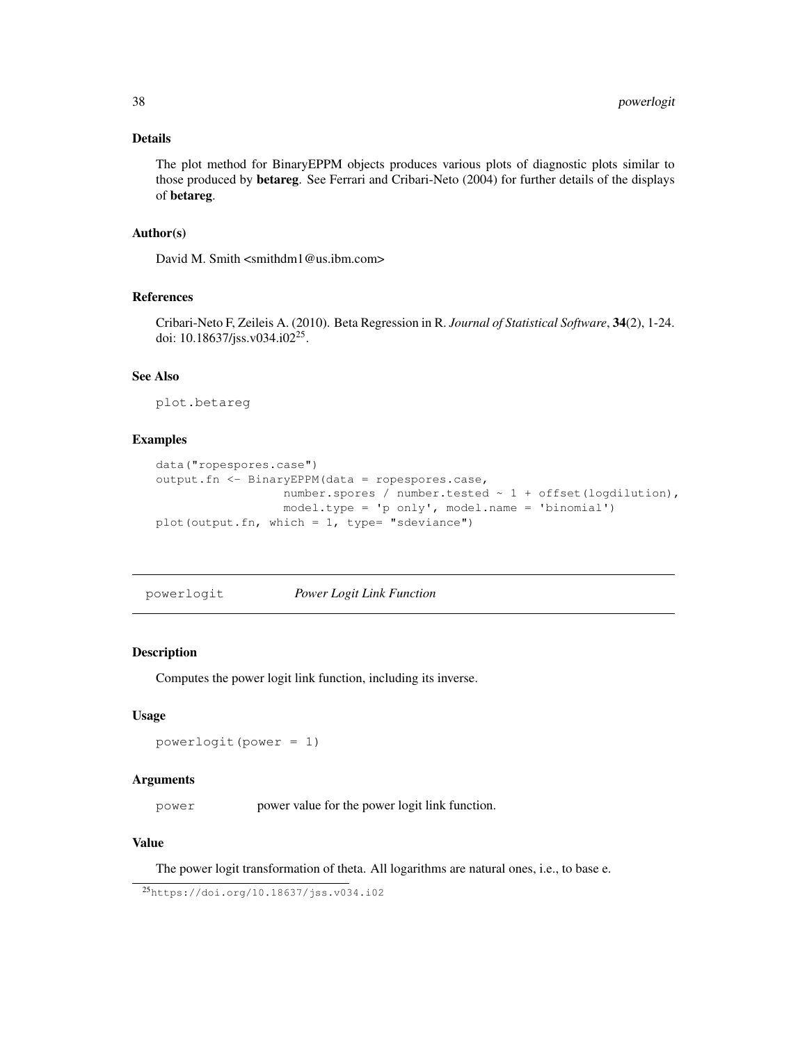### Details

The plot method for BinaryEPPM objects produces various plots of diagnostic plots similar to those produced by betareg. See Ferrari and Cribari-Neto (2004) for further details of the displays of betareg.

### Author(s)

David M. Smith <smithdm1@us.ibm.com>

### References

Cribari-Neto F, Zeileis A. (2010). Beta Regression in R. *Journal of Statistical Software*, 34(2), 1-24. doi: 10.18637/jss.v034.i02<sup>25</sup>.

### See Also

plot.betareg

### Examples

```
data("ropespores.case")
output.fn <- BinaryEPPM(data = ropespores.case,
                  number.spores / number.tested ~ 1 + offset(logdilution),
                  model.type = 'p only', model.name = 'binomial')
plot(output.fn, which = 1, type= "sdeviance")
```
powerlogit *Power Logit Link Function*

#### Description

Computes the power logit link function, including its inverse.

#### Usage

```
powerlogit(power = 1)
```
#### Arguments

power power value for the power logit link function.

### Value

The power logit transformation of theta. All logarithms are natural ones, i.e., to base e.

<sup>25</sup>https://doi.org/10.18637/jss.v034.i02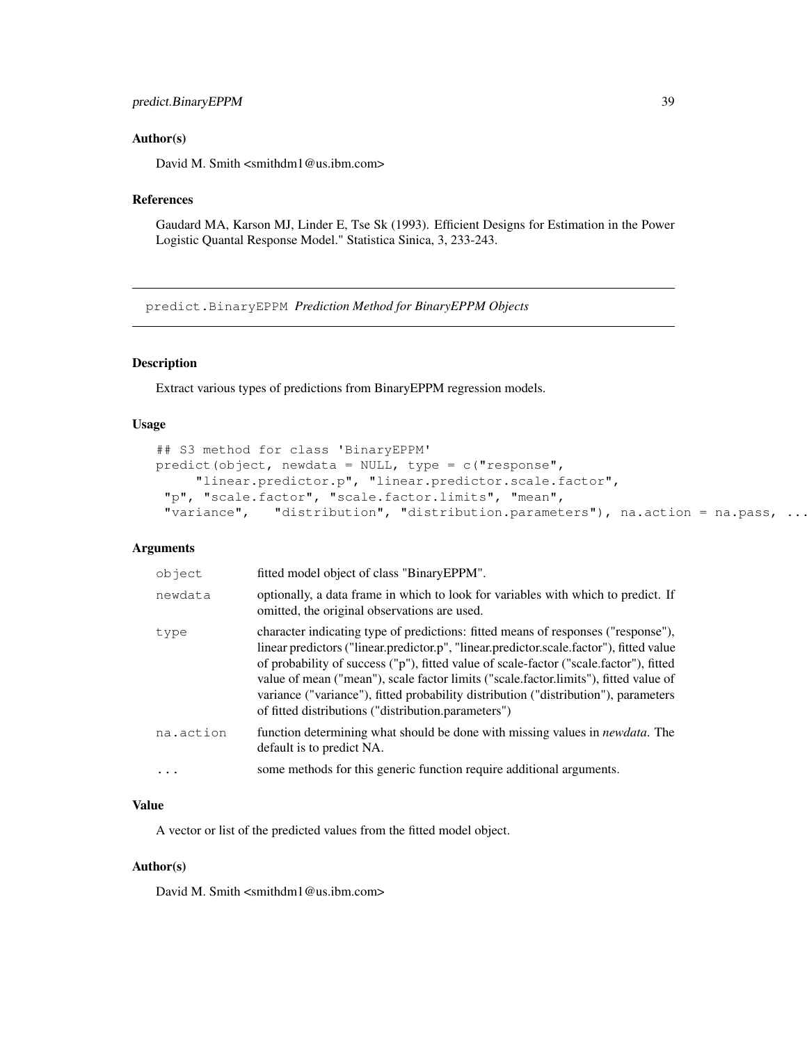### predict.BinaryEPPM 39

### Author(s)

David M. Smith <smithdm1@us.ibm.com>

### References

Gaudard MA, Karson MJ, Linder E, Tse Sk (1993). Efficient Designs for Estimation in the Power Logistic Quantal Response Model." Statistica Sinica, 3, 233-243.

predict.BinaryEPPM *Prediction Method for BinaryEPPM Objects*

### Description

Extract various types of predictions from BinaryEPPM regression models.

#### Usage

```
## S3 method for class 'BinaryEPPM'
predict(object, newdata = NULL, type = c("response",
     "linear.predictor.p", "linear.predictor.scale.factor",
 "p", "scale.factor", "scale.factor.limits", "mean",
 "variance", "distribution", "distribution.parameters"), na.action = na.pass, ...)
```
#### Arguments

| object    | fitted model object of class "BinaryEPPM".                                                                                                                                                                                                                                                                                                                                                                                                                                                                   |
|-----------|--------------------------------------------------------------------------------------------------------------------------------------------------------------------------------------------------------------------------------------------------------------------------------------------------------------------------------------------------------------------------------------------------------------------------------------------------------------------------------------------------------------|
| newdata   | optionally, a data frame in which to look for variables with which to predict. If<br>omitted, the original observations are used.                                                                                                                                                                                                                                                                                                                                                                            |
| type      | character indicating type of predictions: fitted means of responses ("response"),<br>linear predictors ("linear.predictor.p", "linear.predictor.scale.factor"), fitted value<br>of probability of success ("p"), fitted value of scale-factor ("scale.factor"), fitted<br>value of mean ("mean"), scale factor limits ("scale.factor.limits"), fitted value of<br>variance ("variance"), fitted probability distribution ("distribution"), parameters<br>of fitted distributions ("distribution.parameters") |
| na.action | function determining what should be done with missing values in <i>newdata</i> . The<br>default is to predict NA.                                                                                                                                                                                                                                                                                                                                                                                            |
| $\cdot$   | some methods for this generic function require additional arguments.                                                                                                                                                                                                                                                                                                                                                                                                                                         |

### Value

A vector or list of the predicted values from the fitted model object.

#### Author(s)

David M. Smith <smithdm1@us.ibm.com>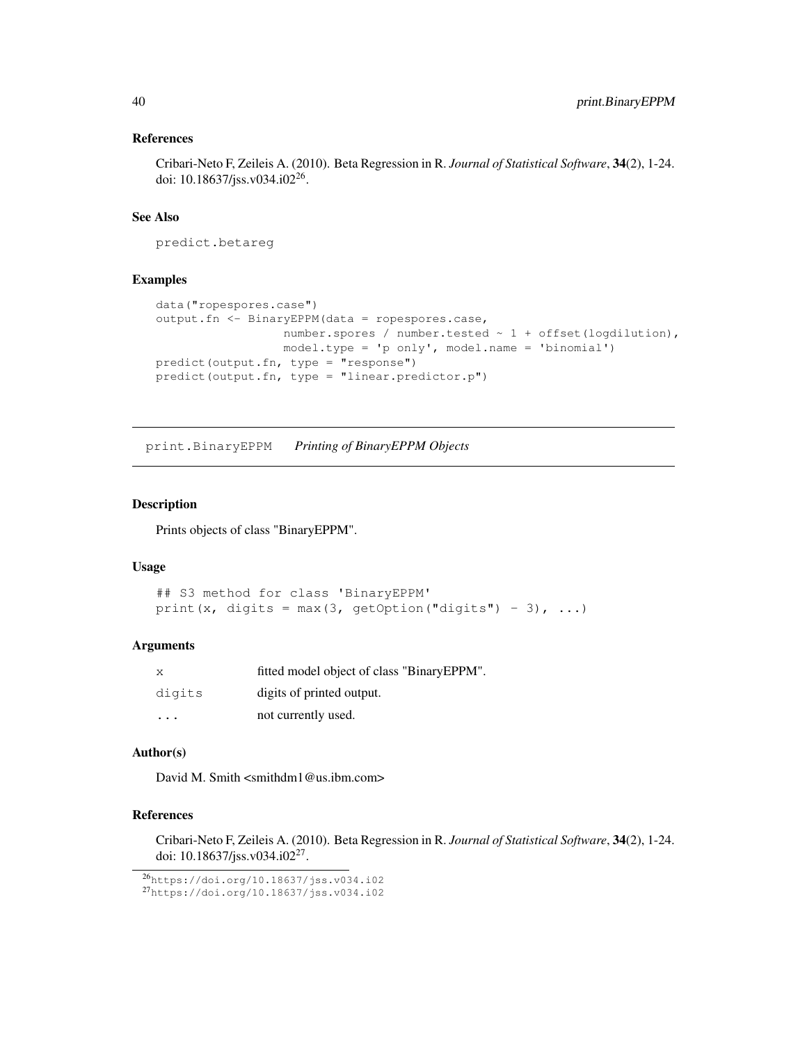### References

Cribari-Neto F, Zeileis A. (2010). Beta Regression in R. *Journal of Statistical Software*, 34(2), 1-24. doi: 10.18637/jss.v034.i02<sup>26</sup>.

### See Also

predict.betareg

### Examples

```
data("ropespores.case")
output.fn <- BinaryEPPM(data = ropespores.case,
                  number.spores / number.tested ~ 1 + offset(logdilution),
                  model.type = 'p only', model.name = 'binomial')
predict(output.fn, type = "response")
predict(output.fn, type = "linear.predictor.p")
```
print.BinaryEPPM *Printing of BinaryEPPM Objects*

#### Description

Prints objects of class "BinaryEPPM".

### Usage

```
## S3 method for class 'BinaryEPPM'
print(x, digits = max(3, getOption("digits") - 3), ...)
```
#### Arguments

| X       | fitted model object of class "BinaryEPPM". |
|---------|--------------------------------------------|
| digits  | digits of printed output.                  |
| $\cdot$ | not currently used.                        |

### Author(s)

David M. Smith <smithdm1@us.ibm.com>

### References

Cribari-Neto F, Zeileis A. (2010). Beta Regression in R. *Journal of Statistical Software*, 34(2), 1-24. doi: 10.18637/jss.v034.i02<sup>27</sup>.

<sup>26</sup>https://doi.org/10.18637/jss.v034.i02

<sup>27</sup>https://doi.org/10.18637/jss.v034.i02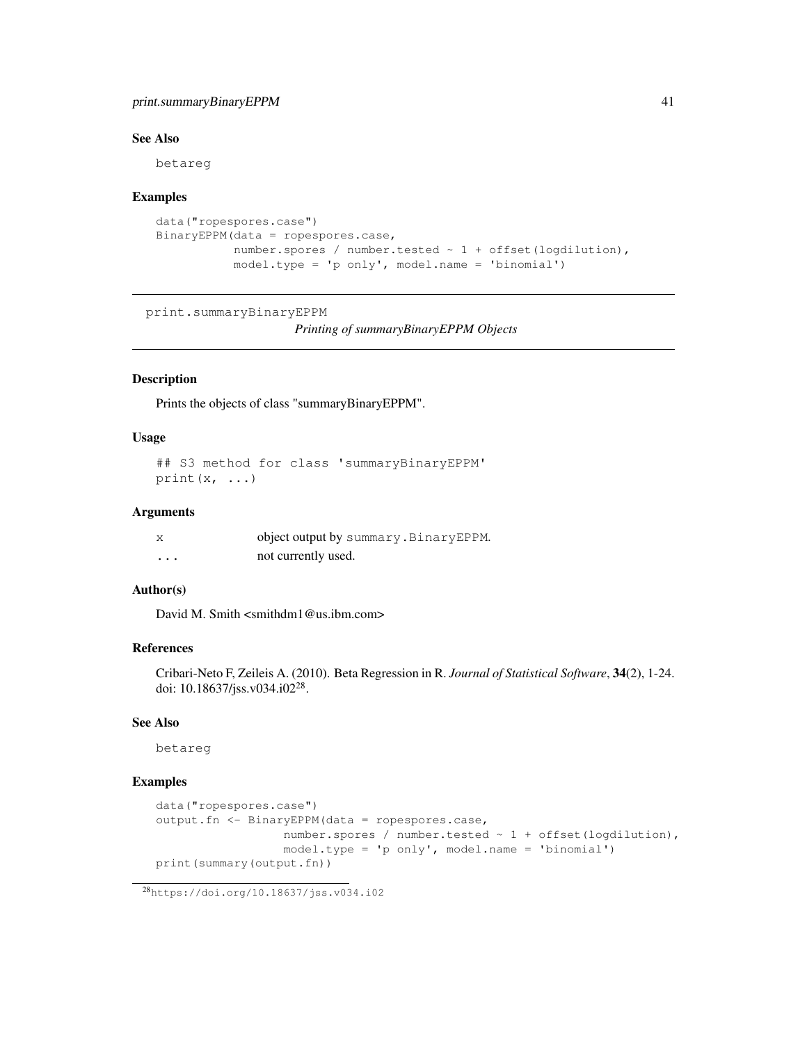### print.summaryBinaryEPPM 41

### See Also

betareg

#### Examples

```
data("ropespores.case")
BinaryEPPM(data = ropespores.case,
           number.spores / number.tested ~ 1 + offset(logdilution),
           model.type = 'p only', model.name = 'binomial')
```

```
print.summaryBinaryEPPM
```

```
Printing of summaryBinaryEPPM Objects
```
### Description

Prints the objects of class "summaryBinaryEPPM".

### Usage

```
## S3 method for class 'summaryBinaryEPPM'
print(x, \ldots)
```
#### Arguments

|          | object output by summary. Binary EPPM. |
|----------|----------------------------------------|
| $\cdots$ | not currently used.                    |

### Author(s)

David M. Smith <smithdm1@us.ibm.com>

### References

Cribari-Neto F, Zeileis A. (2010). Beta Regression in R. *Journal of Statistical Software*, 34(2), 1-24. doi: 10.18637/jss.v034.i02<sup>28</sup>.

### See Also

betareg

### Examples

```
data("ropespores.case")
output.fn <- BinaryEPPM(data = ropespores.case,
                  number.spores / number.tested ~ 1 + offset(logdilution),
                  model.type = 'p only', model.name = 'binomial')
print(summary(output.fn))
```
<sup>28</sup>https://doi.org/10.18637/jss.v034.i02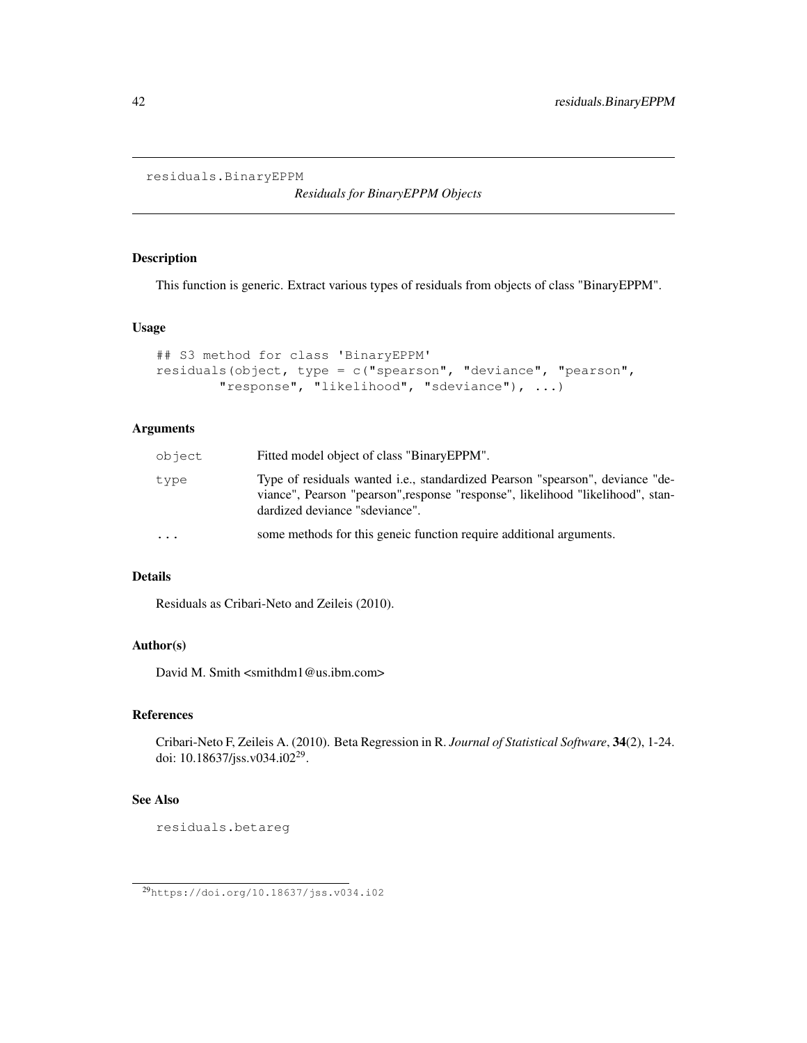```
residuals.BinaryEPPM
```
*Residuals for BinaryEPPM Objects*

### Description

This function is generic. Extract various types of residuals from objects of class "BinaryEPPM".

### Usage

```
## S3 method for class 'BinaryEPPM'
residuals(object, type = c("spearson", "deviance", "pearson",
       "response", "likelihood", "sdeviance"), ...)
```
### Arguments

| object                  | Fitted model object of class "BinaryEPPM".                                                                                                                                                         |
|-------------------------|----------------------------------------------------------------------------------------------------------------------------------------------------------------------------------------------------|
| type                    | Type of residuals wanted i.e., standardized Pearson "spearson", deviance "de-<br>viance", Pearson "pearson", response "response", likelihood "likelihood", stan-<br>dardized deviance "sdeviance". |
| $\cdot$ $\cdot$ $\cdot$ | some methods for this generic function require additional arguments.                                                                                                                               |

### Details

Residuals as Cribari-Neto and Zeileis (2010).

### Author(s)

David M. Smith <smithdm1@us.ibm.com>

### References

Cribari-Neto F, Zeileis A. (2010). Beta Regression in R. *Journal of Statistical Software*, 34(2), 1-24. doi: 10.18637/jss.v034.i02<sup>29</sup>.

#### See Also

residuals.betareg

<sup>29</sup>https://doi.org/10.18637/jss.v034.i02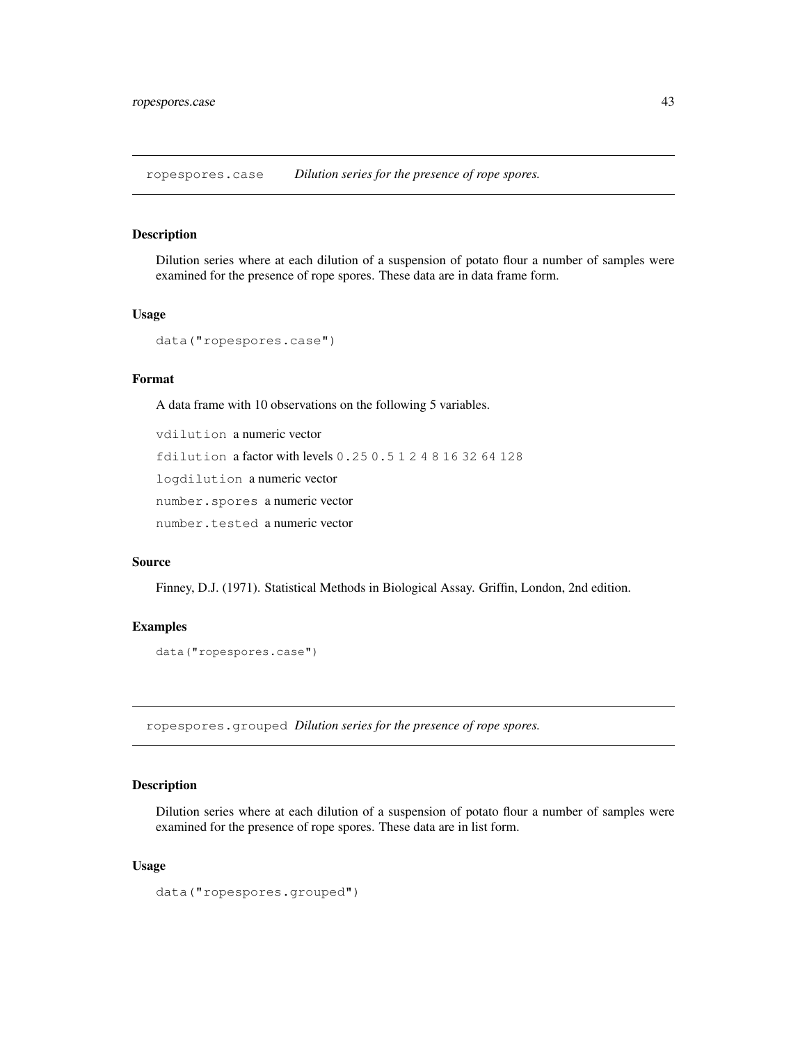ropespores.case *Dilution series for the presence of rope spores.*

### Description

Dilution series where at each dilution of a suspension of potato flour a number of samples were examined for the presence of rope spores. These data are in data frame form.

#### Usage

```
data("ropespores.case")
```
### Format

A data frame with 10 observations on the following 5 variables.

vdilution a numeric vector fdilution a factor with levels 0.25 0.5 1 2 4 8 16 32 64 128 logdilution a numeric vector number.spores a numeric vector number.tested a numeric vector

#### Source

Finney, D.J. (1971). Statistical Methods in Biological Assay. Griffin, London, 2nd edition.

### Examples

```
data("ropespores.case")
```
ropespores.grouped *Dilution series for the presence of rope spores.*

### Description

Dilution series where at each dilution of a suspension of potato flour a number of samples were examined for the presence of rope spores. These data are in list form.

#### Usage

```
data("ropespores.grouped")
```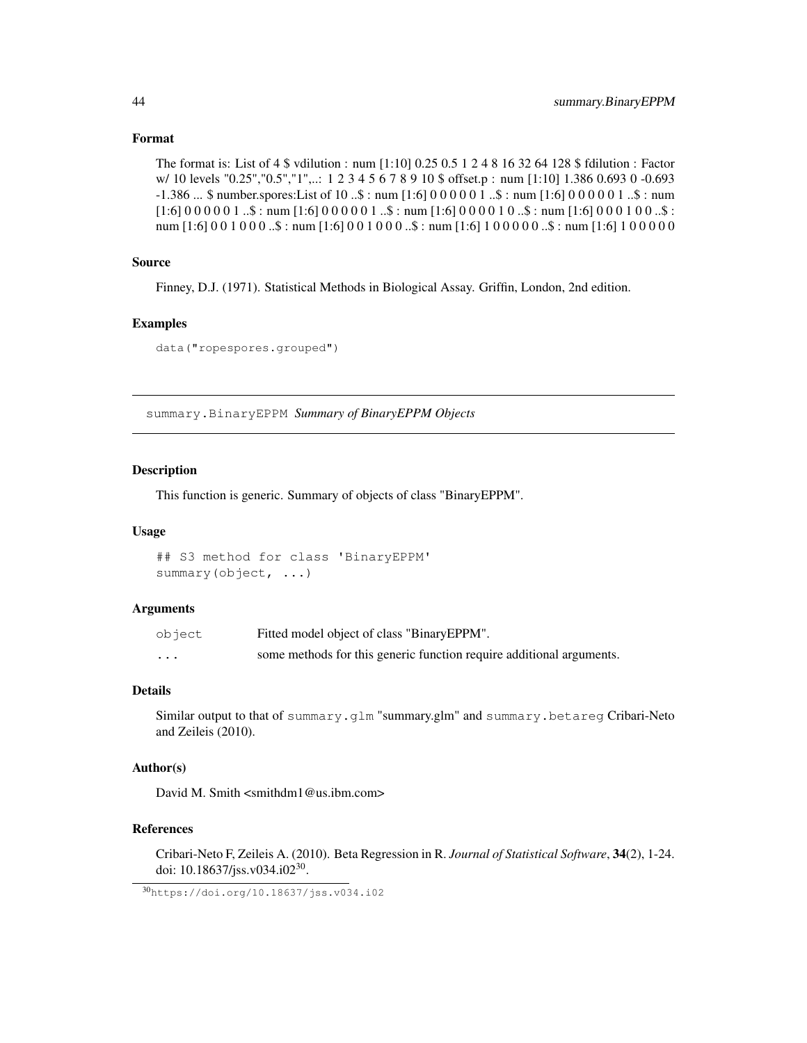### Format

```
The format is: List of 4 $ vdilution : num [1:10] 0.25 0.5 1 2 4 8 16 32 64 128 $ fdilution : Factor
w/ 10 levels "0.25","0.5","1",..: 1 2 3 4 5 6 7 8 9 10 $ offset.p : num [1:10] 1.386 0.693 0 -0.693
-1.386 ... $ number.spores:List of 10 ..$ : num [1:6] 0 0 0 0 0 1 ..$ : num [1:6] 0 0 0 0 0 1 ..$ : num
[1:6] 0 0 0 0 0 1 ..$ : num [1:6] 0 0 0 0 0 1 ..$ : num [1:6] 0 0 0 0 1 0 ..$ : num [1:6] 0 0 0 1 0 0 ..$ :
num [1:6] 0 0 1 0 0 0 ..$ : num [1:6] 0 0 1 0 0 0 ..$ : num [1:6] 1 0 0 0 0 0 ..$ : num [1:6] 1 0 0 0 0 0
```
### Source

Finney, D.J. (1971). Statistical Methods in Biological Assay. Griffin, London, 2nd edition.

### Examples

data("ropespores.grouped")

summary.BinaryEPPM *Summary of BinaryEPPM Objects*

### Description

This function is generic. Summary of objects of class "BinaryEPPM".

#### Usage

```
## S3 method for class 'BinaryEPPM'
summary(object, ...)
```
#### Arguments

| object   | Fitted model object of class "Binary EPPM".                          |
|----------|----------------------------------------------------------------------|
| $\cdots$ | some methods for this generic function require additional arguments. |

### Details

Similar output to that of summary.glm "summary.glm" and summary.betareg Cribari-Neto and Zeileis (2010).

### Author(s)

David M. Smith <smithdm1@us.ibm.com>

#### References

Cribari-Neto F, Zeileis A. (2010). Beta Regression in R. *Journal of Statistical Software*, 34(2), 1-24. doi: 10.18637/jss.v034.i02<sup>30</sup>.

<sup>30</sup>https://doi.org/10.18637/jss.v034.i02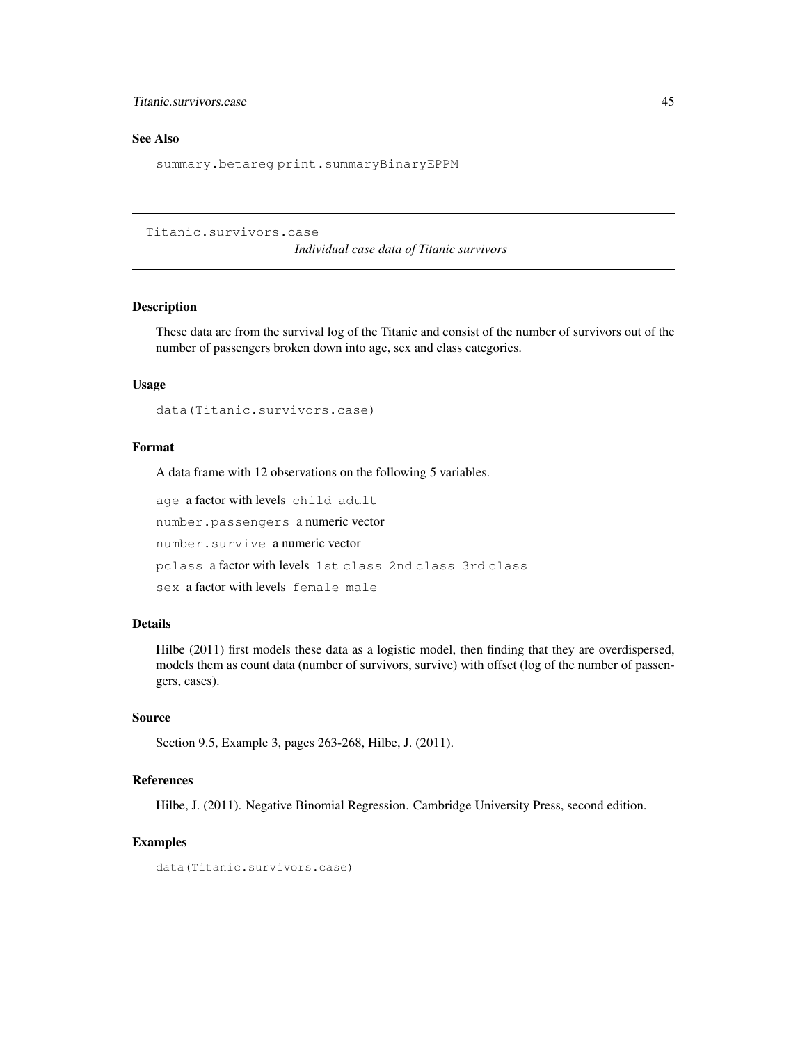### Titanic.survivors.case 45

### See Also

summary.betareg print.summaryBinaryEPPM

Titanic.survivors.case

*Individual case data of Titanic survivors*

### Description

These data are from the survival log of the Titanic and consist of the number of survivors out of the number of passengers broken down into age, sex and class categories.

### Usage

data(Titanic.survivors.case)

#### Format

A data frame with 12 observations on the following 5 variables.

age a factor with levels child adult number.passengers a numeric vector number.survive a numeric vector pclass a factor with levels 1st class 2nd class 3rd class sex a factor with levels female male

### Details

Hilbe (2011) first models these data as a logistic model, then finding that they are overdispersed, models them as count data (number of survivors, survive) with offset (log of the number of passengers, cases).

### Source

Section 9.5, Example 3, pages 263-268, Hilbe, J. (2011).

### References

Hilbe, J. (2011). Negative Binomial Regression. Cambridge University Press, second edition.

### Examples

data(Titanic.survivors.case)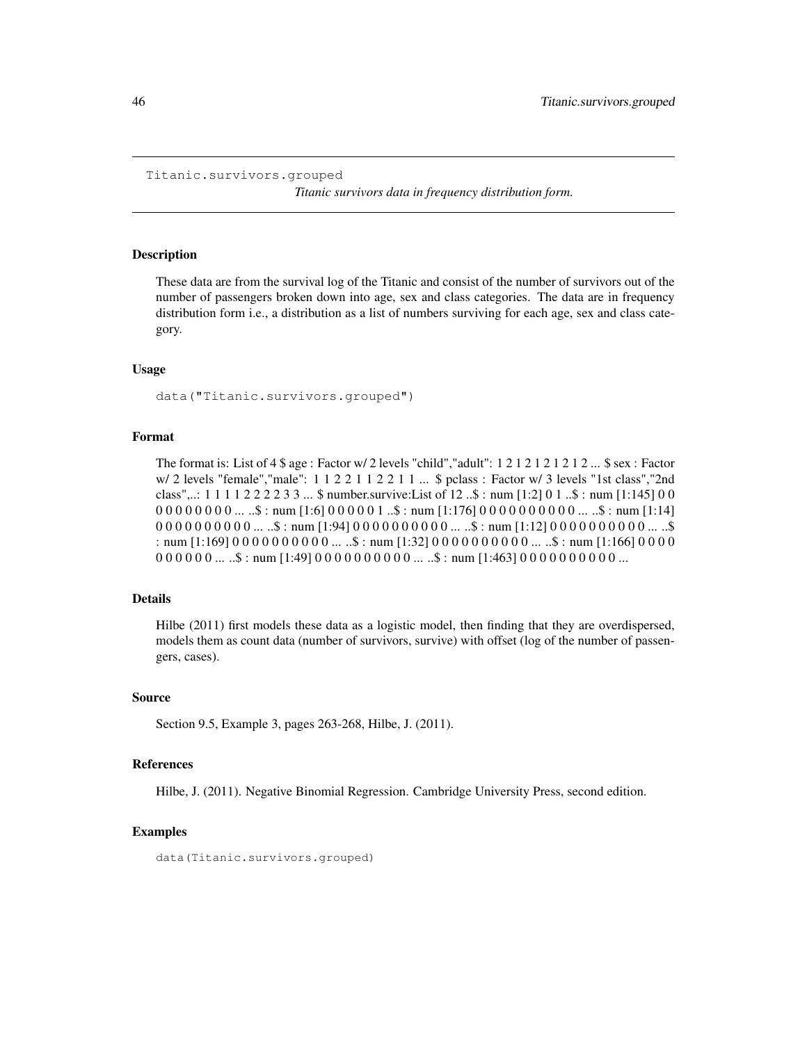```
Titanic.survivors.grouped
```
*Titanic survivors data in frequency distribution form.*

#### Description

These data are from the survival log of the Titanic and consist of the number of survivors out of the number of passengers broken down into age, sex and class categories. The data are in frequency distribution form i.e., a distribution as a list of numbers surviving for each age, sex and class category.

#### Usage

data("Titanic.survivors.grouped")

#### Format

The format is: List of  $4 \text{ $}$  age : Factor w/ 2 levels "child", "adult": 1 2 1 2 1 2 1 2 1 2 ...  $\text{ $}$  sex : Factor w/ 2 levels "female", "male": 1 1 2 2 1 1 2 2 1 1 ... \$ pclass : Factor w/ 3 levels "1st class", "2nd class",..: 1 1 1 1 2 2 2 2 3 3 ... \$ number.survive:List of 12 ..\$ : num [1:2] 0 1 ..\$ : num [1:145] 0 0  $0\,0\,0\,0\,0\,0\,0\,0\,$  ... ..\$ : num  $[1:6]$   $0\,0\,0\,0\,0\,1$  ..\$ : num  $[1:176]$   $0\,0\,0\,0\,0\,0\,0\,0\,0\,0\,0$  ... ..\$ : num  $[1:14]$  $0.000000000...$  ...\$ : num [1:94]  $0.000000000...$  ...\$ : num [1:12]  $0.00000000...$  ...\$ : num [1:169] 0 0 0 0 0 0 0 0 0 0 ... ..\$ : num [1:32] 0 0 0 0 0 0 0 0 0 0 ... ..\$ : num [1:166] 0 0 0 0  $000000...$  ...  $\text{\$: num}$  [1:49]  $000000000...$  ...  $\text{\$: num}$  [1:463]  $0000000000...$ 

#### Details

Hilbe (2011) first models these data as a logistic model, then finding that they are overdispersed, models them as count data (number of survivors, survive) with offset (log of the number of passengers, cases).

#### Source

Section 9.5, Example 3, pages 263-268, Hilbe, J. (2011).

#### References

Hilbe, J. (2011). Negative Binomial Regression. Cambridge University Press, second edition.

#### Examples

data(Titanic.survivors.grouped)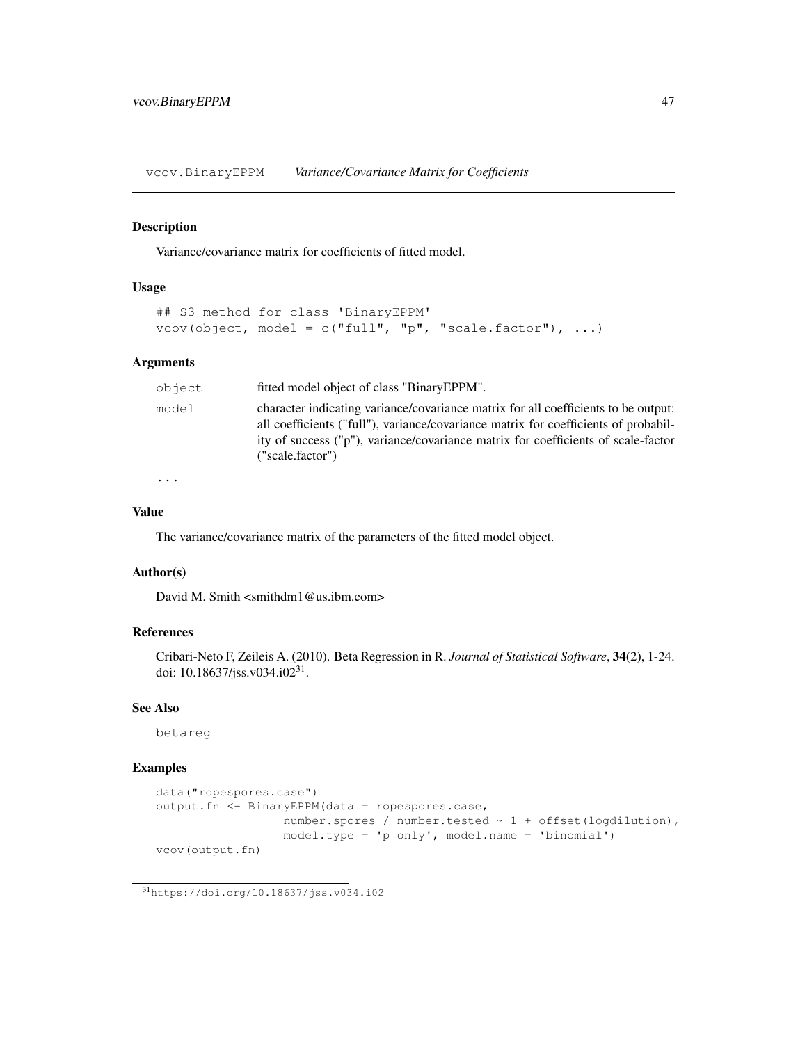vcov.BinaryEPPM *Variance/Covariance Matrix for Coefficients*

### Description

Variance/covariance matrix for coefficients of fitted model.

### Usage

```
## S3 method for class 'BinaryEPPM'
vcov(object, model = c("full", "p", "scale.factory"), ...
```
### Arguments

| object | fitted model object of class "BinaryEPPM".                                                                                                                                                                                                                                         |
|--------|------------------------------------------------------------------------------------------------------------------------------------------------------------------------------------------------------------------------------------------------------------------------------------|
| model  | character indicating variance/covariance matrix for all coefficients to be output:<br>all coefficients ("full"), variance/covariance matrix for coefficients of probabil-<br>ity of success ("p"), variance/covariance matrix for coefficients of scale-factor<br>("scale.factor") |
|        |                                                                                                                                                                                                                                                                                    |

...

### Value

The variance/covariance matrix of the parameters of the fitted model object.

### Author(s)

David M. Smith <smithdm1@us.ibm.com>

#### References

Cribari-Neto F, Zeileis A. (2010). Beta Regression in R. *Journal of Statistical Software*, 34(2), 1-24. doi: 10.18637/jss.v034.i02<sup>31</sup>.

### See Also

betareg

### Examples

```
data("ropespores.case")
output.fn <- BinaryEPPM(data = ropespores.case,
                 number.spores / number.tested ~ 1 + offset(logdilution),
                  model.type = 'p only', model.name = 'binomial')
vcov(output.fn)
```
<sup>31</sup>https://doi.org/10.18637/jss.v034.i02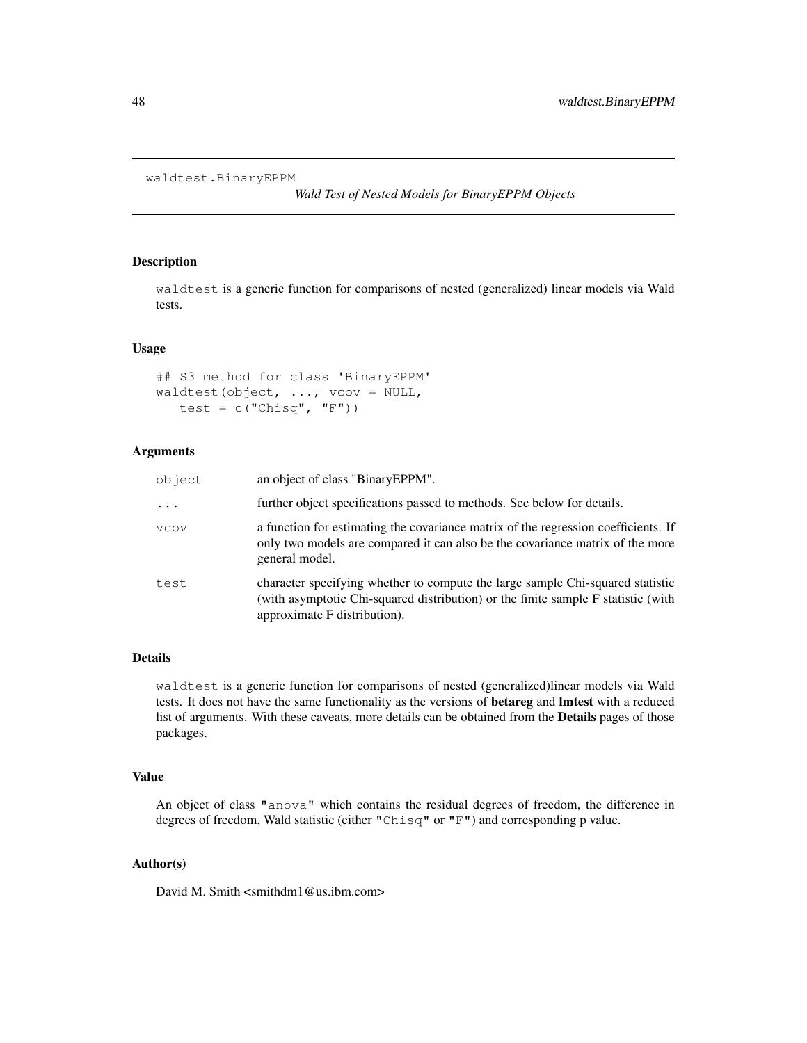```
waldtest.BinaryEPPM
```
*Wald Test of Nested Models for BinaryEPPM Objects*

### Description

waldtest is a generic function for comparisons of nested (generalized) linear models via Wald tests.

### Usage

```
## S3 method for class 'BinaryEPPM'
waldtest(object, \ldots, vcov = NULL,
   test = c("Chisq", "F"))
```
### Arguments

| object   | an object of class "Binary EPPM".                                                                                                                                                                   |
|----------|-----------------------------------------------------------------------------------------------------------------------------------------------------------------------------------------------------|
| $\ddots$ | further object specifications passed to methods. See below for details.                                                                                                                             |
| VCOV     | a function for estimating the covariance matrix of the regression coefficients. If<br>only two models are compared it can also be the covariance matrix of the more<br>general model.               |
| test     | character specifying whether to compute the large sample Chi-squared statistic<br>(with asymptotic Chi-squared distribution) or the finite sample F statistic (with<br>approximate F distribution). |

### Details

waldtest is a generic function for comparisons of nested (generalized)linear models via Wald tests. It does not have the same functionality as the versions of betareg and lmtest with a reduced list of arguments. With these caveats, more details can be obtained from the **Details** pages of those packages.

### Value

An object of class "anova" which contains the residual degrees of freedom, the difference in degrees of freedom, Wald statistic (either "Chisq" or "F") and corresponding p value.

### Author(s)

David M. Smith <smithdm1@us.ibm.com>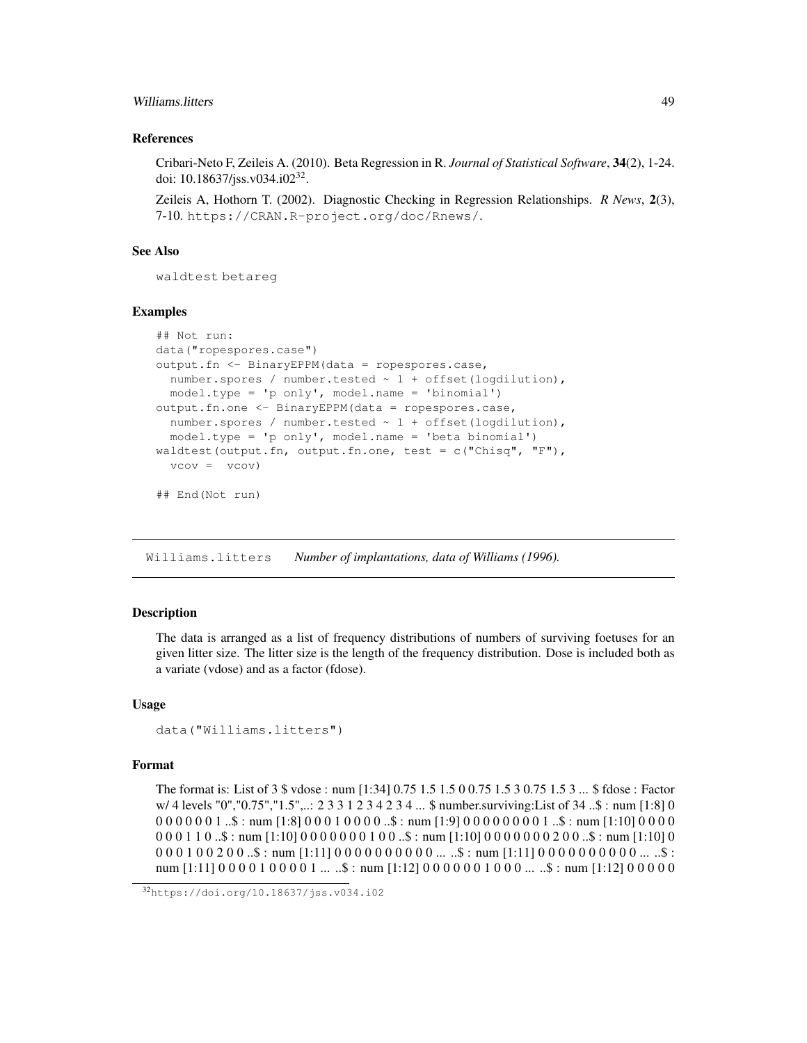### Williams.litters 49

### References

Cribari-Neto F, Zeileis A. (2010). Beta Regression in R. *Journal of Statistical Software*, 34(2), 1-24. doi: 10.18637/jss.v034.i02<sup>32</sup>.

Zeileis A, Hothorn T. (2002). Diagnostic Checking in Regression Relationships. *R News*, 2(3), 7-10. https://CRAN.R-project.org/doc/Rnews/.

### See Also

waldtest betareg

#### Examples

```
## Not run:
data("ropespores.case")
output.fn <- BinaryEPPM(data = ropespores.case,
  number.spores / number.tested ~ 1 + offset(logdilution),
 model.type = 'p only', model.name = 'binomial')
output.fn.one <- BinaryEPPM(data = ropespores.case,
  number.spores / number.tested ~ 1 + offset(logdilution),
 model.type = 'p only', model.name = 'beta binomial')
waldtest(output.fn, output.fn.one, test = c("Chisq", "F"),
  vcov = vcov)
```
## End(Not run)

Williams.litters *Number of implantations, data of Williams (1996).*

### **Description**

The data is arranged as a list of frequency distributions of numbers of surviving foetuses for an given litter size. The litter size is the length of the frequency distribution. Dose is included both as a variate (vdose) and as a factor (fdose).

#### Usage

```
data("Williams.litters")
```
### Format

The format is: List of 3 \$ vdose : num [1:34] 0.75 1.5 1.5 0 0.75 1.5 3 0.75 1.5 3 ... \$ fdose : Factor w/ 4 levels "0","0.75","1.5",..: 2 3 3 1 2 3 4 2 3 4 ... \$ number.surviving:List of 34 ..\$ : num [1:8] 0 0 0 0 0 0 0 1 ..\$ : num [1:8] 0 0 0 1 0 0 0 0 ..\$ : num [1:9] 0 0 0 0 0 0 0 0 1 ..\$ : num [1:10] 0 0 0 0  $0.001110...$ \$ : num [1:10]  $0.000000100...$ \$ : num [1:10]  $0.000000200...$ \$ : num [1:10] 0  $0.00100200...$ \$ : num [1:11]  $0.00000000...$  ... ..\$ : num [1:11]  $0.0000000...$  ... ..\$ : num  $[1:11] 0 0 0 0 1 0 0 0 0 1 ...$ .\$ : num  $[1:12] 0 0 0 0 0 0 1 0 0 0 ...$ .\$ : num  $[1:12] 0 0 0 0 0$ 

<sup>32</sup>https://doi.org/10.18637/jss.v034.i02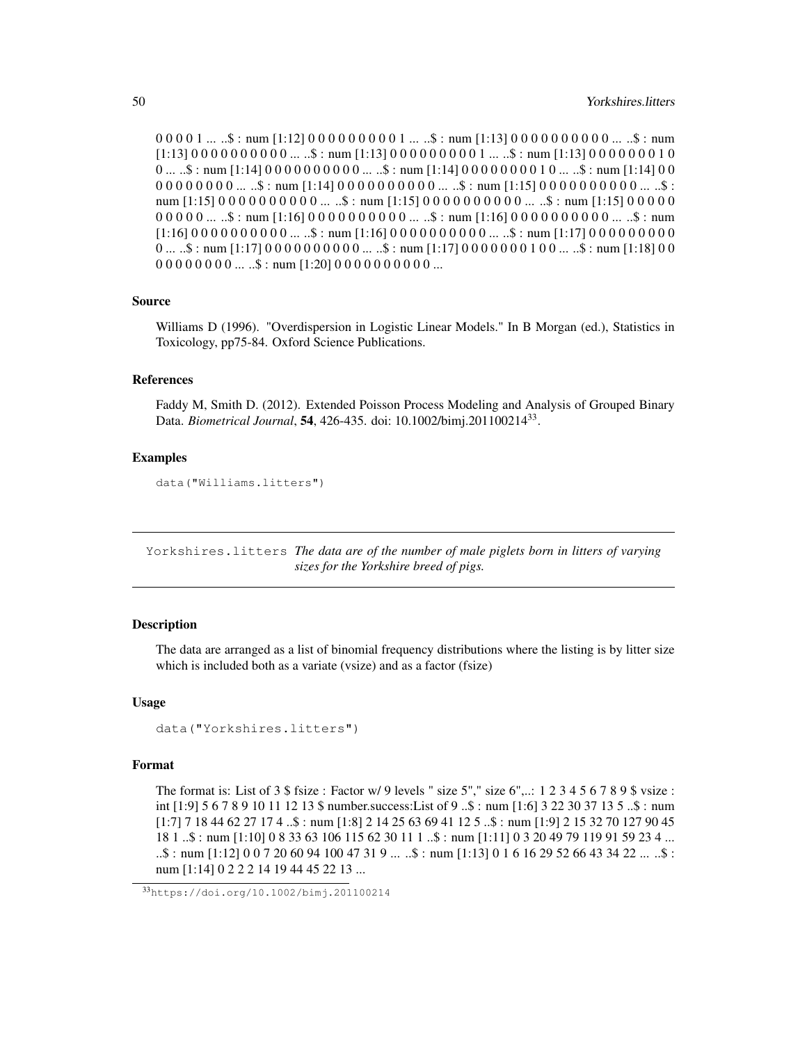$0\,0\,0\,0\,1\,...\,.$ \$ : num  $[1:12]$   $0\,0\,0\,0\,0\,0\,0\,0\,1\,...\,.$ \$ : num  $[1:13]$   $0\,0\,0\,0\,0\,0\,0\,0\,0\,0\,...\,.$ \$ : num  $[1:13] 0 0 0 0 0 0 0 0 0 0 ...$  ...  $\mathfrak{h}:$  num  $[1:13] 0 0 0 0 0 0 0 0 1 ...$  ...  $\mathfrak{h}:$  num  $[1:13] 0 0 0 0 0 0 0 1 0$  $0 \dots .$ \$ : num  $[1:14] 0 0 0 0 0 0 0 0 0 0 \dots .$ \$ : num  $[1:14] 0 0 0 0 0 0 0 0 1 0 \dots .$ \$ : num  $[1:14] 0 0$  $0.00000000...$ ...  $\frac{4}{3}$ : num [1:14]  $0.00000000...$ ...  $\frac{4}{3}$ : num [1:15]  $0.00000000...$ ...  $\frac{4}{3}$ : num  $[1:15] 0 0 0 0 0 0 0 0 0 0 ...$ ...\$ : num  $[1:15] 0 0 0 0 0 0 0 0 0 0 ...$ ...\$ : num  $[1:15] 0 0 0 0 0$ 0 0 0 0 0 ... ..\$ : num [1:16] 0 0 0 0 0 0 0 0 0 0 ... ..\$ : num [1:16] 0 0 0 0 0 0 0 0 0 0 ... ..\$ : num [1:16] 0 0 0 0 0 0 0 0 0 0 ... ..\$ : num [1:16] 0 0 0 0 0 0 0 0 0 0 ... ..\$ : num [1:17] 0 0 0 0 0 0 0 0 0 0 ...  $\therefore$  : num [1:17] 0 0 0 0 0 0 0 0 0 0 0 ...  $\therefore$  : num [1:17] 0 0 0 0 0 0 0 0 1 0 0 ...  $\therefore$  : num [1:18] 0 0  $000000000...$   $\therefore$  : num [1:20] 00000000000...

### Source

Williams D (1996). "Overdispersion in Logistic Linear Models." In B Morgan (ed.), Statistics in Toxicology, pp75-84. Oxford Science Publications.

### References

Faddy M, Smith D. (2012). Extended Poisson Process Modeling and Analysis of Grouped Binary Data. *Biometrical Journal*, 54, 426-435. doi: 10.1002/bimj.201100214<sup>33</sup> .

#### Examples

```
data("Williams.litters")
```
Yorkshires.litters *The data are of the number of male piglets born in litters of varying sizes for the Yorkshire breed of pigs.*

### Description

The data are arranged as a list of binomial frequency distributions where the listing is by litter size which is included both as a variate (vsize) and as a factor (fsize)

#### Usage

```
data("Yorkshires.litters")
```
#### Format

The format is: List of  $3 \text{ $s$~fsize}$ : Factor w/ 9 levels " size  $5$ ", " size  $6$ ",..:  $1 \text{ 2 } 3 \text{ 4 } 5 \text{ 6 } 7 \text{ 8 } 9 \text{ $s$~vsize}$ : int [1:9] 5 6 7 8 9 10 11 12 13 \$ number.success:List of 9 ..\$ : num [1:6] 3 22 30 37 13 5 ..\$ : num [1:7] 7 18 44 62 27 17 4 ..\$ : num [1:8] 2 14 25 63 69 41 12 5 ..\$ : num [1:9] 2 15 32 70 127 90 45 18 1 ..\$ : num [1:10] 0 8 33 63 106 115 62 30 11 1 ..\$ : num [1:11] 0 3 20 49 79 119 91 59 23 4 ... ..\$ : num [1:12] 0 0 7 20 60 94 100 47 31 9 ... ..\$ : num [1:13] 0 1 6 16 29 52 66 43 34 22 ... ..\$ : num [1:14] 0 2 2 2 14 19 44 45 22 13 ...

<sup>33</sup>https://doi.org/10.1002/bimj.201100214